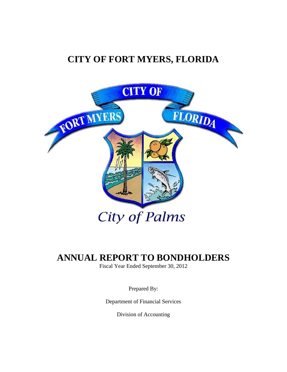# **CITY OF FORT MYERS, FLORIDA**



# **ANNUAL REPORT TO BONDHOLDERS**

Fiscal Year Ended September 30, 2012

Prepared By:

Department of Financial Services

Division of Accounting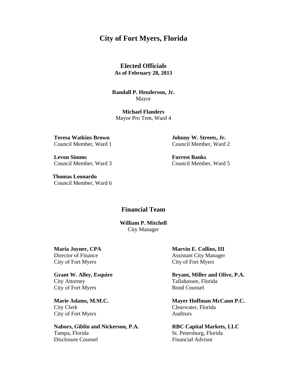# **City of Fort Myers, Florida**

**Elected Officials As of February 28, 2013** 

**Randall P. Henderson, Jr.**  Mayor

**Michael Flanders**  Mayor Pro Tem, Ward 4

**Levon Simms Forrest Banks** 

 **Thomas Leonardo**  Council Member, Ward 6

**Teresa Watkins Brown Johnny W. Streets, Jr.**  Council Member, Ward 1 Council Member, Ward 2

Council Member, Ward 3 Council Member, Ward 5

# **Financial Team**

**William P. Mitchell** City Manager

City Attorney Tallahassee, Florida City of Fort Myers Bond Counsel

 City Clerk Clearwater, Florida City of Fort Myers Auditors

**Nabors, Giblin and Nickerson, P.A. RBC Capital Markets, LLC**  Tampa, Florida St. Petersburg, Florida Disclosure Counsel **Financial Advisor** 

**Maria Joyner, CPA** Marvin E. Collins, III Director of Finance Assistant City Manager City of Fort Myers City of Fort Myers

Grant W. Alley, Esquire Bryant, Miller and Olive, P.A.

**Marie Adams, M.M.C. Mayer Hoffman McCann P.C.**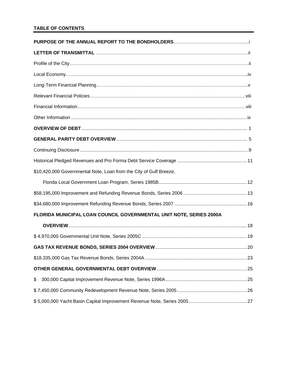# **TABLE OF CONTENTS**

| \$10,420,000 Governmental Note, Loan from the City of Gulf Breeze,  |  |
|---------------------------------------------------------------------|--|
|                                                                     |  |
|                                                                     |  |
|                                                                     |  |
| FLORIDA MUNICIPAL LOAN COUNCIL GOVERNMENTAL UNIT NOTE, SERIES 2000A |  |
|                                                                     |  |
|                                                                     |  |
|                                                                     |  |
|                                                                     |  |
|                                                                     |  |
| \$                                                                  |  |
|                                                                     |  |
|                                                                     |  |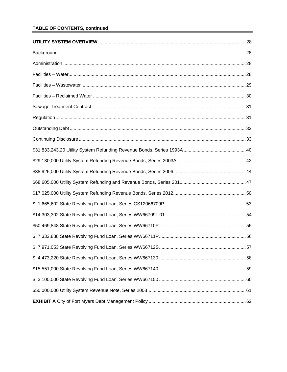# **TABLE OF CONTENTS, continued**

| 57 |
|----|
|    |
|    |
|    |
|    |
|    |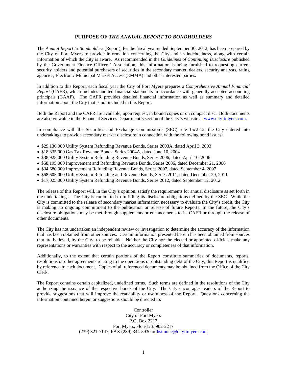#### **PURPOSE OF** *THE ANNUAL REPORT TO BONDHOLDERS*

The *Annual Report to Bondholders* (Report), for the fiscal year ended September 30, 2012, has been prepared by the City of Fort Myers to provide information concerning the City and its indebtedness, along with certain information of which the City is aware. As recommended in the *Guidelines of Continuing Disclosure* published by the Government Finance Officers' Association, this information is being furnished to requesting current security holders and potential purchasers of securities in the secondary market, dealers, security analysts, rating agencies, Electronic Municipal Market Access (EMMA) and other interested parties.

In addition to this Report, each fiscal year the City of Fort Myers prepares a *Comprehensive Annual Financial Report* (CAFR), which includes audited financial statements in accordance with generally accepted accounting principals (GAAP). The CAFR provides detailed financial information as well as summary and detailed information about the City that is not included in this Report.

Both the Report and the CAFR are available, upon request, in bound copies or on compact disc. Both documents are also viewable in the Financial Services Department's section of the City's website at [www.cityftmyers.com.](http://www.cityftmyers.com/)

In compliance with the Securities and Exchange Commission's (SEC) rule 15c2-12, the City entered into undertakings to provide secondary market disclosure in connection with the following bond issues:

- \$29,130,000 Utility System Refunding Revenue Bonds, Series 2003A, dated April 3, 2003
- \$18,335,000 Gas Tax Revenue Bonds, Series 2004A, dated June 10, 2004
- \$38,925,000 Utility System Refunding Revenue Bonds, Series 2006, dated April 10, 2006
- \$58,195,000 Improvement and Refunding Revenue Bonds, Series 2006, dated December 21, 2006
- \$34,680,000 Improvement Refunding Revenue Bonds, Series 2007, dated September 4, 2007
- \$68,605,000 Utility System Refunding and Revenue Bonds, Series 2011, dated December 29, 2011
- \$17,025,000 Utility System Refunding Revenue Bonds, Series 2012, dated September 12, 2012

The release of this Report will, in the City's opinion, satisfy the requirements for annual disclosure as set forth in the undertakings. The City is committed to fulfilling its disclosure obligations defined by the SEC. While the City is committed to the release of secondary market information necessary to evaluate the City's credit, the City is making no ongoing commitment to the publication or release of future Reports. In the future, the City's disclosure obligations may be met through supplements or enhancements to its CAFR or through the release of other documents.

The City has not undertaken an independent review or investigation to determine the accuracy of the information that has been obtained from other sources. Certain information presented herein has been obtained from sources that are believed, by the City, to be reliable. Neither the City nor the elected or appointed officials make any representations or warranties with respect to the accuracy or completeness of that information.

Additionally, to the extent that certain portions of the Report constitute summaries of documents, reports, resolutions or other agreements relating to the operations or outstanding debt of the City, this Report is qualified by reference to each document. Copies of all referenced documents may be obtained from the Office of the City Clerk.

The Report contains certain capitalized, undefined terms. Such terms are defined in the resolutions of the City authorizing the issuance of the respective bonds of the City. The City encourages readers of the Report to provide suggestions that will improve the readability or usefulness of the Report. Questions concerning the information contained herein or suggestions should be directed to:

> Controller City of Fort Myers P.O. Box 2217 Fort Myers, Florida 33902-2217 (239) 321-7147; FAX (239) 344-5930 or hsimone[@cityftmyers.com](mailto:lwalker@cityftmyers.com)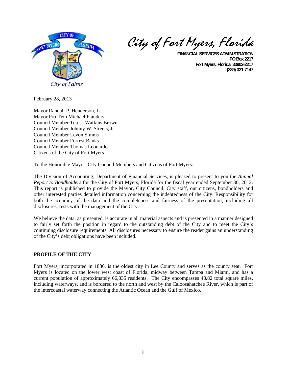

City of Fort Myers, Florida

**FINANCIAL SERVICES ADMINISTRATION PO Box 2217 Fort Myers, Florida 33902-2217 (239) 321-7147**

February 28, 2013

Mayor Randall P. Henderson, Jr. Mayor Pro-Tem Michael Flanders Council Member Teresa Watkins Brown Council Member Johnny W. Streets, Jr. Council Member Levon Simms Council Member Forrest Banks Council Member Thomas Leonardo Citizens of the City of Fort Myers

To the Honorable Mayor, City Council Members and Citizens of Fort Myers:

The Division of Accounting, Department of Financial Services, is pleased to present to you the *Annual Report to Bondholders* for the City of Fort Myers, Florida for the fiscal year ended September 30, 2012. This report is published to provide the Mayor, City Council, City staff, our citizens, bondholders and other interested parties detailed information concerning the indebtedness of the City. Responsibility for both the accuracy of the data and the completeness and fairness of the presentation, including all disclosures, rests with the management of the City.

We believe the data, as presented, is accurate in all material aspects and is presented in a manner designed to fairly set forth the position in regard to the outstanding debt of the City and to meet the City's continuing disclosure requirements. All disclosures necessary to ensure the reader gains an understanding of the City's debt obligations have been included.

# **PROFILE OF THE CITY**

Fort Myers, incorporated in 1886, is the oldest city in Lee County and serves as the county seat. Fort Myers is located on the lower west coast of Florida, midway between Tampa and Miami, and has a current population of approximately 66,835 residents. The City encompasses 48.82 total square miles, including waterways, and is bordered to the north and west by the Caloosahatchee River, which is part of the intercoastal waterway connecting the Atlantic Ocean and the Gulf of Mexico.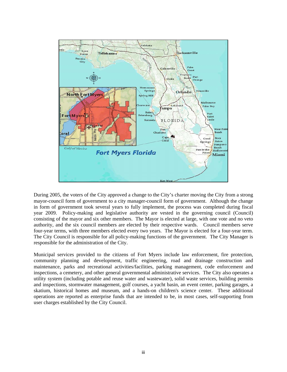

During 2005, the voters of the City approved a change to the City's charter moving the City from a strong mayor-council form of government to a city manager-council form of government. Although the change in form of government took several years to fully implement, the process was completed during fiscal year 2009. Policy-making and legislative authority are vested in the governing council (Council) consisting of the mayor and six other members. The Mayor is elected at large, with one vote and no veto authority, and the six council members are elected by their respective wards. Council members serve four-year terms, with three members elected every two years. The Mayor is elected for a four-year term. The City Council is responsible for all policy-making functions of the government. The City Manager is responsible for the administration of the City.

Municipal services provided to the citizens of Fort Myers include law enforcement, fire protection, community planning and development, traffic engineering, road and drainage construction and maintenance, parks and recreational activities/facilities, parking management, code enforcement and inspections, a cemetery, and other general governmental administrative services. The City also operates a utility system (including potable and reuse water and wastewater), solid waste services, building permits and inspections, stormwater management, golf courses, a yacht basin, an event center, parking garages, a skatium, historical homes and museum, and a hands-on children's science center. These additional operations are reported as enterprise funds that are intended to be, in most cases, self-supporting from user charges established by the City Council.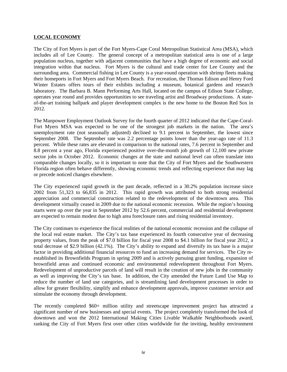## **LOCAL ECONOMY**

The City of Fort Myers is part of the Fort Myers-Cape Coral Metropolitan Statistical Area (MSA), which includes all of Lee County. The general concept of a metropolitan statistical area is one of a large population nucleus, together with adjacent communities that have a high degree of economic and social integration within that nucleus. Fort Myers is the cultural and trade center for Lee County and the surrounding area. Commercial fishing in Lee County is a year-round operation with shrimp fleets making their homeports in Fort Myers and Fort Myers Beach. For recreation, the Thomas Edison and Henry Ford Winter Estates offers tours of their exhibits including a museum, botanical gardens and research laboratory. The Barbara B. Mann Performing Arts Hall, located on the campus of Edison State College, operates year round and provides opportunities to see traveling artist and Broadway productions. A stateof-the-art training ballpark and player development complex is the new home to the Boston Red Sox in 2012.

The Manpower Employment Outlook Survey for the fourth quarter of 2012 indicated that the Cape-Coral-Fort Myers MSA was expected to be one of the strongest job markets in the nation. The area's unemployment rate (not seasonally adjusted) declined to 9.1 percent in September, the lowest since September 2008. The September rate was 2.2 percentage points lower than the year-ago rate of 11.3 percent. While these rates are elevated in comparison to the national rates, 7.6 percent in September and 8.8 percent a year ago, Florida experienced positive over-the-month job growth of 12,100 new private sector jobs in October 2012. Economic changes at the state and national level can often translate into comparable changes locally, so it is important to note that the City of Fort Myers and the Southwestern Florida region often behave differently, showing economic trends and reflecting experience that may lag or precede noticed changes elsewhere.

The City experienced rapid growth in the past decade, reflected in a 30.2% population increase since 2002 from 51,323 to 66,835 in 2012. This rapid growth was attributed to both strong residential appreciation and commercial construction related to the redevelopment of the downtown area. This development virtually ceased in 2009 due to the national economic recession. While the region's housing starts were up over the year in September 2012 by 52.6 percent, commercial and residential development are expected to remain modest due to high area foreclosure rates and rising residential inventory.

The City continues to experience the fiscal realities of the national economic recession and the collapse of the local real estate market. The City's tax base experienced its fourth consecutive year of decreasing property values, from the peak of \$7.0 billion for fiscal year 2008 to \$4.1 billion for fiscal year 2012, a total decrease of \$2.9 billion (42.1%). The City's ability to expand and diversify its tax base is a major factor in providing additional financial resources to fund an increasing demand for services. The City reestablished its Brownfields Program in spring 2009 and is actively pursuing grant funding, expansion of brownfield areas and continued economic and environmental redevelopment throughout Fort Myers. Redevelopment of unproductive parcels of land will result in the creation of new jobs in the community as well as improving the City's tax base. In addition, the City amended the Future Land Use Map to reduce the number of land use categories, and is streamlining land development processes in order to allow for greater flexibility, simplify and enhance development approvals, improve customer service and stimulate the economy through development.

The recently completed \$60+ million utility and streetscape improvement project has attracted a significant number of new businesses and special events. The project completely transformed the look of downtown and won the 2012 International Making Cities Livable Walkable Neighborhoods award, ranking the City of Fort Myers first over other cities worldwide for the inviting, healthy environment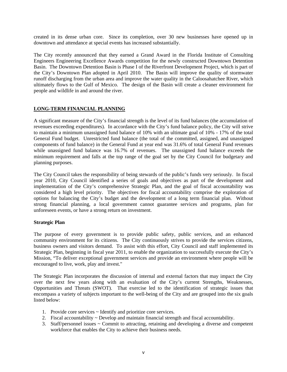created in its dense urban core. Since its completion, over 30 new businesses have opened up in downtown and attendance at special events has increased substantially.

The City recently announced that they earned a Grand Award in the Florida Institute of Consulting Engineers Engineering Excellence Awards competition for the newly constructed Downtown Detention Basin. The Downtown Detention Basin is Phase I of the Riverfront Development Project, which is part of the City's Downtown Plan adopted in April 2010. The Basin will improve the quality of stormwater runoff discharging from the urban area and improve the water quality in the Caloosahatchee River, which ultimately flows to the Gulf of Mexico. The design of the Basin will create a cleaner environment for people and wildlife in and around the river.

# **LONG-TERM FINANCIAL PLANNING**

A significant measure of the City's financial strength is the level of its fund balances (the accumulation of revenues exceeding expenditures). In accordance with the City's fund balance policy, the City will strive to maintain a minimum unassigned fund balance of 10% with an ultimate goal of 10% - 17% of the total General Fund budget. Unrestricted fund balance (the total of the committed, assigned, and unassigned components of fund balance) in the General Fund at year end was 31.6% of total General Fund revenues while unassigned fund balance was 16.7% of revenues. The unassigned fund balance exceeds the minimum requirement and falls at the top range of the goal set by the City Council for budgetary and planning purposes.

The City Council takes the responsibility of being stewards of the public's funds very seriously. In fiscal year 2010, City Council identified a series of goals and objectives as part of the development and implementation of the City's comprehensive Strategic Plan, and the goal of fiscal accountability was considered a high level priority. The objectives for fiscal accountability comprise the exploration of options for balancing the City's budget and the development of a long term financial plan. Without strong financial planning, a local government cannot guarantee services and programs, plan for unforeseen events, or have a strong return on investment.

# **Strategic Plan**

The purpose of every government is to provide public safety, public services, and an enhanced community environment for its citizens. The City continuously strives to provide the services citizens, business owners and visitors demand. To assist with this effort, City Council and staff implemented its Strategic Plan, beginning in fiscal year 2011, to enable the organization to successfully execute the City's Mission, "To deliver exceptional government services and provide an environment where people will be encouraged to live, work, play and invest."

The Strategic Plan incorporates the discussion of internal and external factors that may impact the City over the next few years along with an evaluation of the City's current Strengths, Weaknesses, Opportunities and Threats (SWOT). That exercise led to the identification of strategic issues that encompass a variety of subjects important to the well-being of the City and are grouped into the six goals listed below:

- 1. Provide core services ~ Identify and prioritize core services.
- 2. Fiscal accountability ~ Develop and maintain financial strength and fiscal accountability.
- 3. Staff/personnel issues  $\sim$  Commit to attracting, retaining and developing a diverse and competent workforce that enables the City to achieve their business needs.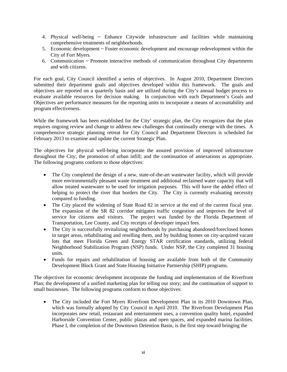- 4. Physical well-being  $\sim$  Enhance Citywide infrastructure and facilities while maintaining comprehensive treatments of neighborhoods.
- 5. Economic development ~ Foster economic development and encourage redevelopment within the City of Fort Myers.
- 6. Communication  $\sim$  Promote interactive methods of communication throughout City departments and with citizens.

For each goal, City Council identified a series of objectives. In August 2010, Department Directors submitted their department goals and objectives developed within this framework. The goals and objectives are reported on a quarterly basis and are utilized during the City's annual budget process to evaluate available resources for decision making. In conjunction with each Department's Goals and Objectives are performance measures for the reporting units to incorporate a means of accountability and program effectiveness.

While the framework has been established for the City' strategic plan, the City recognizes that the plan requires ongoing review and change to address new challenges that continually emerge with the times. A comprehensive strategic planning retreat for City Council and Department Directors is scheduled for February 2013 to examine and update the current Strategic Plan.

The objectives for physical well-being incorporate the assured provision of improved infrastructure throughout the City; the promotion of urban infill; and the continuation of annexations as appropriate. The following programs conform to those objectives:

- The City completed the design of a new, state-of-the-art wastewater facility, which will provide more environmentally pleasant waste treatment and additional reclaimed water capacity that will allow treated wastewater to be used for irrigation purposes. This will have the added effect of helping to protect the river that borders the City. The City is currently evaluating necessity compared to funding.
- The City placed the widening of State Road 82 in service at the end of the current fiscal year. The expansion of the SR 82 corridor mitigates traffic congestion and improves the level of service for citizens and visitors. The project was funded by the Florida Department of Transportation, Lee County, and City receipts of developer impact fees.
- The City is successfully revitalizing neighborhoods by purchasing abandoned/foreclosed homes in target areas, rehabilitating and reselling them, and by building homes on city-acquired vacant lots that meet Florida Green and Energy STAR certification standards, utilizing federal Neighborhood Stabilization Program (NSP) funds. Under NSP, the City completed 31 housing units.
- Funds for repairs and rehabilitation of housing are available from both of the Community Development Block Grant and State Housing Initiative Partnership (SHIP) programs.

The objectives for economic development incorporate the funding and implementation of the Riverfront Plan; the development of a unified marketing plan for telling our story; and the continuation of support to small businesses. The following programs conform to those objectives:

• The City included the Fort Myers Riverfront Development Plan in its 2010 Downtown Plan, which was formally adopted by City Council in April 2010. The Riverfront Development Plan incorporates new retail, restaurant and entertainment uses, a convention quality hotel, expanded Harborside Convention Center, public plazas and open spaces, and expanded marina facilities. Phase I, the completion of the Downtown Detention Basin, is the first step toward bringing the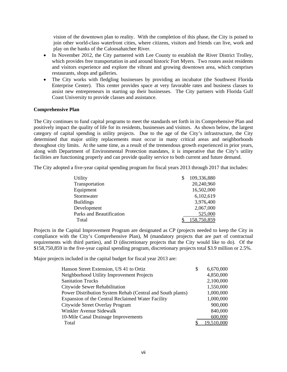vision of the downtown plan to reality. With the completion of this phase, the City is poised to join other world-class waterfront cities, where citizens, visitors and friends can live, work and play on the banks of the Caloosahatchee River.

- In November 2012, the City partnered with Lee County to establish the River District Trolley, which provides free transportation in and around historic Fort Myers. Two routes assist residents and visitors experience and explore the vibrant and growing downtown area, which comprises restaurants, shops and galleries.
- The City works with fledgling businesses by providing an incubator (the Southwest Florida Enterprise Center). This center provides space at very favorable rates and business classes to assist new entrepreneurs in starting up their businesses. The City partners with Florida Gulf Coast University to provide classes and assistance.

# **Comprehensive Plan**

The City continues to fund capital programs to meet the standards set forth in its Comprehensive Plan and positively impact the quality of life for its residents, businesses and visitors. As shown below, the largest category of capital spending is utility projects. Due to the age of the City's infrastructure, the City determined that major utility replacements must occur in many critical areas and neighborhoods throughout city limits. At the same time, as a result of the tremendous growth experienced in prior years, along with Department of Environmental Protection mandates, it is imperative that the City's utility facilities are functioning properly and can provide quality service to both current and future demand.

The City adopted a five-year capital spending program for fiscal years 2013 through 2017 that includes:

| Utility                  | 109,336,880 |
|--------------------------|-------------|
| Transportation           | 20,240,960  |
| Equipment                | 16,502,000  |
| Stormwater               | 6,102,619   |
| <b>Buildings</b>         | 3,976,400   |
| Development              | 2,067,000   |
| Parks and Beautification | 525,000     |
| Total                    | 158,750,859 |

Projects in the Capital Improvement Program are designated as CP (projects needed to keep the City in compliance with the City's Comprehensive Plan), M (mandatory projects that are part of contractual requirements with third parties), and D (discretionary projects that the City would like to do). Of the \$158,750,859 in the five-year capital spending program, discretionary projects total \$3.9 million or 2.5%.

Major projects included in the capital budget for fiscal year 2013 are:

| Hanson Street Extension, US 41 to Ortiz                    | \$<br>6,670,000 |
|------------------------------------------------------------|-----------------|
| Neighborhood Utility Improvement Projects                  | 4,850,000       |
| <b>Sanitation Trucks</b>                                   | 2,100,000       |
| Citywide Sewer Rehabilitation                              | 1,550,000       |
| Power Distribution System Rehab (Central and South plants) | 1,000,000       |
| Expansion of the Central Reclaimed Water Facility          | 1,000,000       |
| Citywide Street Overlay Program                            | 900,000         |
| Winkler Avenue Sidewalk                                    | 840,000         |
| 10-Mile Canal Drainage Improvements                        | 600,000         |
| Total                                                      | 19,510,000      |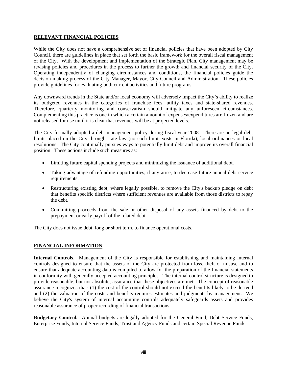# **RELEVANT FINANCIAL POLICIES**

While the City does not have a comprehensive set of financial policies that have been adopted by City Council, there are guidelines in place that set forth the basic framework for the overall fiscal management of the City. With the development and implementation of the Strategic Plan, City management may be revising policies and procedures in the process to further the growth and financial security of the City. Operating independently of changing circumstances and conditions, the financial policies guide the decision-making process of the City Manager, Mayor, City Council and Administration. These policies provide guidelines for evaluating both current activities and future programs.

Any downward trends in the State and/or local economy will adversely impact the City's ability to realize its budgeted revenues in the categories of franchise fees, utility taxes and state-shared revenues. Therefore, quarterly monitoring and conservatism should mitigate any unforeseen circumstances. Complementing this practice is one in which a certain amount of expenses/expenditures are frozen and are not released for use until it is clear that revenues will be at projected levels.

The City formally adopted a debt management policy during fiscal year 2008. There are no legal debt limits placed on the City through state law (no such limit exists in Florida), local ordinances or local resolutions. The City continually pursues ways to potentially limit debt and improve its overall financial position. These actions include such measures as:

- Limiting future capital spending projects and minimizing the issuance of additional debt.
- Taking advantage of refunding opportunities, if any arise, to decrease future annual debt service requirements.
- Restructuring existing debt, where legally possible, to remove the City's backup pledge on debt that benefits specific districts where sufficient revenues are available from those districts to repay the debt.
- Committing proceeds from the sale or other disposal of any assets financed by debt to the prepayment or early payoff of the related debt.

The City does not issue debt, long or short term, to finance operational costs.

# **FINANCIAL INFORMATION**

**Internal Controls**. Management of the City is responsible for establishing and maintaining internal controls designed to ensure that the assets of the City are protected from loss, theft or misuse and to ensure that adequate accounting data is compiled to allow for the preparation of the financial statements in conformity with generally accepted accounting principles. The internal control structure is designed to provide reasonable, but not absolute, assurance that these objectives are met. The concept of reasonable assurance recognizes that: (1) the cost of the control should not exceed the benefits likely to be derived and (2) the valuation of the costs and benefits requires estimates and judgments by management. We believe the City's system of internal accounting controls adequately safeguards assets and provides reasonable assurance of proper recording of financial transactions.

**Budgetary Control.** Annual budgets are legally adopted for the General Fund, Debt Service Funds, Enterprise Funds, Internal Service Funds, Trust and Agency Funds and certain Special Revenue Funds.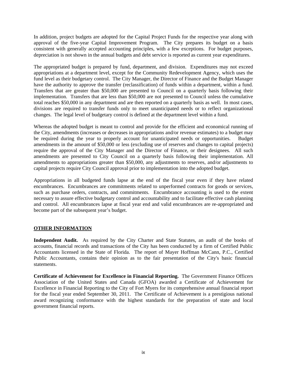In addition, project budgets are adopted for the Capital Project Funds for the respective year along with approval of the five-year Capital Improvement Program. The City prepares its budget on a basis consistent with generally accepted accounting principles, with a few exceptions. For budget purposes, depreciation is not shown in the annual budgets and debt service is reported as current year expenditures.

The appropriated budget is prepared by fund, department, and division. Expenditures may not exceed appropriations at a department level, except for the Community Redevelopment Agency, which uses the fund level as their budgetary control. The City Manager, the Director of Finance and the Budget Manager have the authority to approve the transfer (reclassification) of funds within a department, within a fund. Transfers that are greater than \$50,000 are presented to Council on a quarterly basis following their implementation. Transfers that are less than \$50,000 are not presented to Council unless the cumulative total reaches \$50,000 in any department and are then reported on a quarterly basis as well. In most cases, divisions are required to transfer funds only to meet unanticipated needs or to reflect organizational changes. The legal level of budgetary control is defined at the department level within a fund.

Whereas the adopted budget is meant to control and provide for the efficient and economical running of the City, amendments (increases or decreases in appropriations and/or revenue estimates) to a budget may be required during the year to properly account for unanticipated needs or opportunities. Budget amendments in the amount of \$50,000 or less (excluding use of reserves and changes to capital projects) require the approval of the City Manager and the Director of Finance, or their designees. All such amendments are presented to City Council on a quarterly basis following their implementation. All amendments to appropriations greater than \$50,000, any adjustments to reserves, and/or adjustments to capital projects require City Council approval prior to implementation into the adopted budget.

Appropriations in all budgeted funds lapse at the end of the fiscal year even if they have related encumbrances. Encumbrances are commitments related to unperformed contracts for goods or services, such as purchase orders, contracts, and commitments. Encumbrance accounting is used to the extent necessary to assure effective budgetary control and accountability and to facilitate effective cash planning and control. All encumbrances lapse at fiscal year end and valid encumbrances are re-appropriated and become part of the subsequent year's budget.

# **OTHER INFORMATION**

**Independent Audit.** As required by the City Charter and State Statutes, an audit of the books of accounts, financial records and transactions of the City has been conducted by a firm of Certified Public Accountants licensed in the State of Florida. The report of Mayer Hoffman McCann, P.C., Certified Public Accountants, contains their opinion as to the fair presentation of the City's basic financial statements.

**Certificate of Achievement for Excellence in Financial Reporting.** The Government Finance Officers Association of the United States and Canada (GFOA) awarded a Certificate of Achievement for Excellence in Financial Reporting to the City of Fort Myers for its comprehensive annual financial report for the fiscal year ended September 30, 2011. The Certificate of Achievement is a prestigious national award recognizing conformance with the highest standards for the preparation of state and local government financial reports.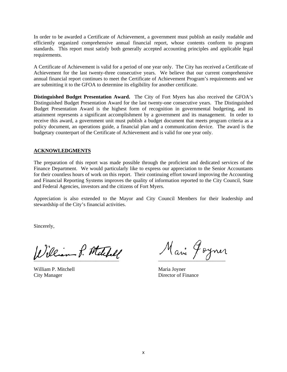In order to be awarded a Certificate of Achievement, a government must publish an easily readable and efficiently organized comprehensive annual financial report, whose contents conform to program standards. This report must satisfy both generally accepted accounting principles and applicable legal requirements.

A Certificate of Achievement is valid for a period of one year only. The City has received a Certificate of Achievement for the last twenty-three consecutive years. We believe that our current comprehensive annual financial report continues to meet the Certificate of Achievement Program's requirements and we are submitting it to the GFOA to determine its eligibility for another certificate.

**Distinguished Budget Presentation Award.** The City of Fort Myers has also received the GFOA's Distinguished Budget Presentation Award for the last twenty-one consecutive years. The Distinguished Budget Presentation Award is the highest form of recognition in governmental budgeting, and its attainment represents a significant accomplishment by a government and its management. In order to receive this award, a government unit must publish a budget document that meets program criteria as a policy document, an operations guide, a financial plan and a communication device. The award is the budgetary counterpart of the Certificate of Achievement and is valid for one year only.

# **ACKNOWLEDGMENTS**

The preparation of this report was made possible through the proficient and dedicated services of the Finance Department. We would particularly like to express our appreciation to the Senior Accountants for their countless hours of work on this report. Their continuing effort toward improving the Accounting and Financial Reporting Systems improves the quality of information reported to the City Council, State and Federal Agencies, investors and the citizens of Fort Myers.

Appreciation is also extended to the Mayor and City Council Members for their leadership and stewardship of the City's financial activities.

Sincerely,

¯¯¯¯¯¯¯¯¯¯¯¯¯¯¯¯¯¯¯¯¯¯¯¯¯¯¯¯¯¯¯¯¯ ¯¯¯¯¯¯¯¯¯¯¯¯¯¯¯¯¯¯¯¯¯¯¯¯¯¯

William P. Mitchell Maria Joyner City Manager Director of Finance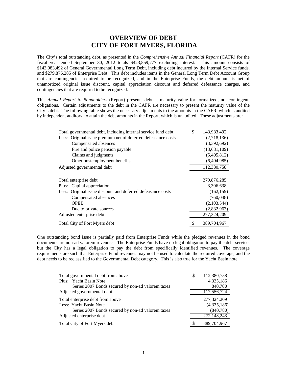# **OVERVIEW OF DEBT CITY OF FORT MYERS, FLORIDA**

The City's total outstanding debt, as presented in the *Comprehensive Annual Financial Report* (CAFR) for the fiscal year ended September 30, 2012 totals \$423,859,777 excluding interest. This amount consists of \$143,983,492 of General Governmental Long Term Debt, including debt incurred by the Internal Service funds, and \$279,876,285 of Enterprise Debt. This debt includes items in the General Long Term Debt Account Group that are contingencies required to be recognized, and in the Enterprise Funds, the debt amount is net of unamortized original issue discount, capital appreciation discount and deferred defeasance charges, and contingencies that are required to be recognized.

This *Annual Report to Bondholders* (Report) presents debt at maturity value for formalized, not contingent, obligations. Certain adjustments to the debt in the CAFR are necessary to present the maturity value of the City's debt. The following table shows the necessary adjustments to the amounts in the CAFR, which is audited by independent auditors, to attain the debt amounts in the Report, which is unaudited. These adjustments are:

| Total governmental debt, including internal service fund debt | \$<br>143,983,492 |
|---------------------------------------------------------------|-------------------|
| Less: Original issue premium net of deferred defeasance costs | (2,718,136)       |
| Compensated absences                                          | (3,392,692)       |
| Fire and police pension payable                               | (13,681,109)      |
| Claims and judgments                                          | (5,405,812)       |
| Other postemployment benefits                                 | (6,404,985)       |
| Adjusted governmental debt                                    | 112,380,758       |
|                                                               |                   |
| Total enterprise debt                                         | 279,876,285       |
| Plus: Capital appreciation                                    | 3,306,638         |
| Less: Original issue discount and deferred defeasance costs   | (162, 159)        |
| Compensated absences                                          | (760,048)         |
| <b>OPEB</b>                                                   | (2,103,544)       |
| Due to private sources                                        | (2,832,963)       |
| Adjusted enterprise debt                                      | 277,324,209       |
| Total City of Fort Myers debt                                 | 389,704,967       |

One outstanding bond issue is partially paid from Enterprise Funds while the pledged revenues in the bond documents are non-ad valorem revenues. The Enterprise Funds have no legal obligation to pay the debt service, but the City has a legal obligation to pay the debt from specifically identified revenues. The coverage requirements are such that Enterprise Fund revenues may not be used to calculate the required coverage, and the debt needs to be reclassified to the Governmental Debt category. This is also true for the Yacht Basin note.

| Total governmental debt from above                | S | 112,380,758 |
|---------------------------------------------------|---|-------------|
| Plus: Yacht Basin Note                            |   | 4,335,186   |
| Series 2007 Bonds secured by non-ad valorem taxes |   | 840,780     |
| Adjusted governmental debt                        |   | 117,556,724 |
| Total enterprise debt from above                  |   | 277,324,209 |
| Less: Yacht Basin Note                            |   | (4,335,186) |
| Series 2007 Bonds secured by non-ad valorem taxes |   | (840,780)   |
| Adjusted enterprise debt                          |   | 272,148,243 |
| Total City of Fort Myers debt                     |   | 389,704,967 |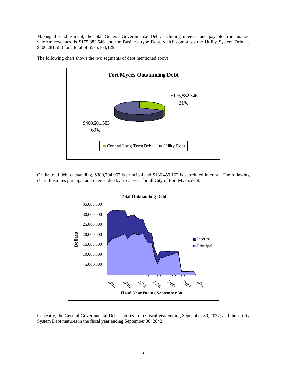Making this adjustment, the total General Governmental Debt, including interest, and payable from non-ad valorem revenues, is \$175,882,546 and the Business-type Debt, which comprises the Utility System Debt, is \$400,281,583 for a total of \$576,164,129.



The following chart shows the two segments of debt mentioned above.

Of the total debt outstanding, \$389,704,967 is principal and \$186,459,162 is scheduled interest. The following chart illustrates principal and interest due by fiscal year for all City of Fort Myers debt.



Currently, the General Governmental Debt matures in the fiscal year ending September 30, 2037, and the Utility System Debt matures in the fiscal year ending September 30, 2042.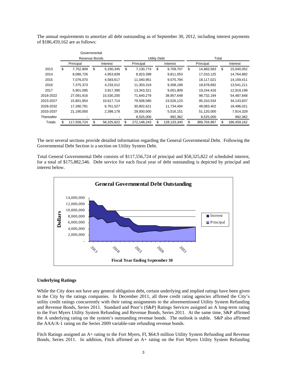|            | Governmental    |                 |                       |             |    |             |                  |                   |
|------------|-----------------|-----------------|-----------------------|-------------|----|-------------|------------------|-------------------|
|            | Revenue Bonds   |                 | Utility Debt<br>Total |             |    |             |                  |                   |
|            | Principal       | Interest        |                       | Principal   |    | Interest    | Principal        | Interest          |
| 2013       | \$<br>7,752,809 | \$<br>5,330,345 | \$                    | 7,130,774   | \$ | 9,709,707   | \$<br>14,883,583 | \$<br>15,040,052  |
| 2014       | 8,086,726       | 4,953,839       |                       | 8,923,399   |    | 9,811,053   | 17,010,125       | 14,764,892        |
| 2015       | 7,076,070       | 4,583,617       |                       | 11,040,951  |    | 9,575,794   | 18,117,021       | 14,159,411        |
| 2016       | 7,375,373       | 4,233,012       |                       | 11,303,319  |    | 9,308,199   | 18,678,692       | 13,541,211        |
| 2017       | 5,901,095       | 3,917,390       |                       | 13.343.321  |    | 9,001,809   | 19,244,416       | 12,919,199        |
| 2018-2022  | 27,091,916      | 15,530,200      |                       | 71,640,278  |    | 38,957,648  | 98,732,194       | 54,487,848        |
| 2023-2027  | 15,801,954      | 10,617,714      |                       | 79,508,580  |    | 23,526,123  | 95,310,534       | 34,143,837        |
| 2028-2032  | 17,280,781      | 6,761,527       |                       | 30,802,621  |    | 11,734,494  | 48,083,402       | 18,496,021        |
| 2033-2037  | 21,190,000      | 2,398,178       |                       | 29,930,000  |    | 5,516,151   | 51,120,000       | 7,914,329         |
| Thereafter |                 |                 |                       | 8,525,000   |    | 992,362     | 8,525,000        | 992,362           |
| Totals     | 117,556,724     | 58,325,822      |                       | 272,148,243 |    | 128,133,340 | 389,704,967      | \$<br>186,459,162 |

The annual requirements to amortize all debt outstanding as of September 30, 2012, including interest payments of \$186,459,162 are as follows:

The next several sections provide detailed information regarding the General Governmental Debt. Following the Governmental Debt Section is a section on Utility System Debt.

Total General Governmental Debt consists of \$117,556,724 of principal and \$58,325,822 of scheduled interest, for a total of \$175,882,546. Debt service for each fiscal year of debt outstanding is depicted by principal and interest below.



#### **Underlying Ratings**

While the City does not have any general obligation debt, certain underlying and implied ratings have been given to the City by the ratings companies. In December 2011, all three credit rating agencies affirmed the City's utility credit ratings concurrently with their rating assignments to the aforementioned Utility System Refunding and Revenue Bonds, Series 2011. Standard and Poor's (S&P) Ratings Services assigned an A long-term rating to the Fort Myers Utility System Refunding and Revenue Bonds, Series 2011. At the same time, S&P affirmed the A underlying rating on the system's outstanding revenue bonds. The outlook is stable. S&P also affirmed the AAA/A-1 rating on the Series 2009 variable-rate refunding revenue bonds.

Fitch Ratings assigned an A+ rating to the Fort Myers, Fl, \$64.9 million Utility System Refunding and Revenue Bonds, Series 2011. In addition, Fitch affirmed an A+ rating on the Fort Myers Utility System Refunding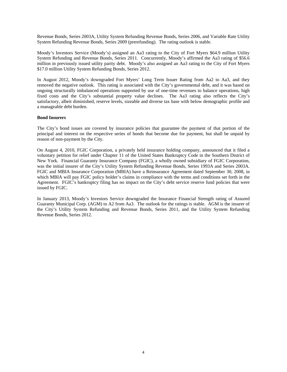Revenue Bonds, Series 2003A, Utility System Refunding Revenue Bonds, Series 2006, and Variable Rate Utility System Refunding Revenue Bonds, Series 2009 (prerefunding). The rating outlook is stable.

Moody's Investors Service (Moody's) assigned an Aa3 rating to the City of Fort Myers \$64.9 million Utility System Refunding and Revenue Bonds, Series 2011. Concurrently, Moody's affirmed the Aa3 rating of \$56.6 million in previously issued utility parity debt. Moody's also assigned an Aa3 rating to the City of Fort Myers \$17.0 million Utility System Refunding Bonds, Series 2012.

In August 2012, Moody's downgraded Fort Myers' Long Term Issuer Rating from Aa2 to Aa3, and they removed the negative outlook. This rating is associated with the City's governmental debt, and it was based on ongoing structurally imbalanced operations supported by use of one-time revenues to balance operations, high fixed costs and the City's substantial property value declines. The Aa3 rating also reflects the City's satisfactory, albeit diminished, reserve levels, sizeable and diverse tax base with below demographic profile and a manageable debt burden.

#### **Bond Insurers**

The City's bond issues are covered by insurance policies that guarantee the payment of that portion of the principal and interest on the respective series of bonds that become due for payment, but shall be unpaid by reason of non-payment by the City.

On August 4, 2010, FGIC Corporation, a privately held insurance holding company, announced that it filed a voluntary petition for relief under Chapter 11 of the United States Bankruptcy Code in the Southern District of New York. Financial Guaranty Insurance Company (FGIC), a wholly owned subsidiary of FGIC Corporation, was the initial insurer of the City's Utility System Refunding Revenue Bonds, Series 1993A and Series 2003A. FGIC and MBIA Insurance Corporation (MBIA) have a Reinsurance Agreement dated September 30, 2008, in which MBIA will pay FGIC policy holder's claims in compliance with the terms and conditions set forth in the Agreement. FGIC's bankruptcy filing has no impact on the City's debt service reserve fund policies that were issued by FGIC.

In January 2013, Moody's Investors Service downgraded the Insurance Financial Strength rating of Assured Guaranty Municipal Corp. (AGM) to A2 from Aa3. The outlook for the ratings is stable. AGM is the insurer of the City's Utility System Refunding and Revenue Bonds, Series 2011, and the Utility System Refunding Revenue Bonds, Series 2012.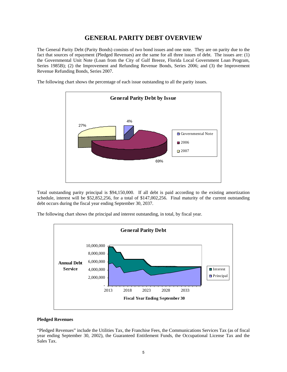# **GENERAL PARITY DEBT OVERVIEW**

The General Parity Debt (Parity Bonds) consists of two bond issues and one note. They are on parity due to the fact that sources of repayment (Pledged Revenues) are the same for all three issues of debt. The issues are: (1) the Governmental Unit Note (Loan from the City of Gulf Breeze, Florida Local Government Loan Program, Series 1985B); (2) the Improvement and Refunding Revenue Bonds, Series 2006; and (3) the Improvement Revenue Refunding Bonds, Series 2007.

The following chart shows the percentage of each issue outstanding to all the parity issues.



Total outstanding parity principal is \$94,150,000. If all debt is paid according to the existing amortization schedule, interest will be \$52,852,256, for a total of \$147,002,256. Final maturity of the current outstanding debt occurs during the fiscal year ending September 30, 2037.

The following chart shows the principal and interest outstanding, in total, by fiscal year.



#### **Pledged Revenues**

"Pledged Revenues" include the Utilities Tax, the Franchise Fees, the Communications Services Tax (as of fiscal year ending September 30, 2002), the Guaranteed Entitlement Funds, the Occupational License Tax and the Sales Tax.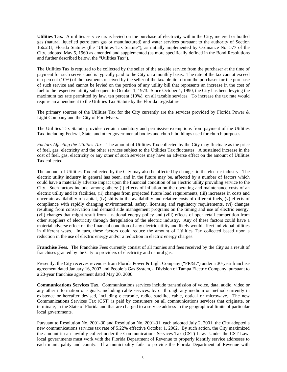**Utilities Tax.** A utilities service tax is levied on the purchase of electricity within the City, metered or bottled gas (natural liquefied petroleum gas or manufactured) and water services pursuant to the authority of Section 166.231, Florida Statutes (the "Utilities Tax Statute"), as initially implemented by Ordinance No. 577 of the City, adopted May 5, 1960 as amended and supplemented (as more specifically defined in the Bond Resolutions and further described below, the "Utilities Tax").

The Utilities Tax is required to be collected by the seller of the taxable service from the purchaser at the time of payment for such service and is typically paid to the City on a monthly basis. The rate of the tax cannot exceed ten percent (10%) of the payments received by the seller of the taxable item from the purchaser for the purchase of such service and cannot be levied on the portion of any utility bill that represents an increase in the cost of fuel to the respective utility subsequent to October 1, 1973. Since October 1, 1990, the City has been levying the maximum tax rate permitted by law, ten percent (10%), on all taxable services. To increase the tax rate would require an amendment to the Utilities Tax Statute by the Florida Legislature.

The primary sources of the Utilities Tax for the City currently are the services provided by Florida Power & Light Company and the City of Fort Myers.

The Utilities Tax Statute provides certain mandatory and permissive exemptions from payment of the Utilities Tax, including Federal, State, and other governmental bodies and church buildings used for church purposes.

*Factors Affecting the Utilities Tax* – The amount of Utilities Tax collected by the City may fluctuate as the price of fuel, gas, electricity and the other services subject to the Utilities Tax fluctuates. A sustained increase in the cost of fuel, gas, electricity or any other of such services may have an adverse effect on the amount of Utilities Tax collected.

The amount of Utilities Tax collected by the City may also be affected by changes in the electric industry. The electric utility industry in general has been, and in the future may be, affected by a number of factors which could have a materially adverse impact upon the financial condition of an electric utility providing service to the City. Such factors include, among others: (i) effects of inflation on the operating and maintenance costs of an electric utility and its facilities, (ii) changes from projected future load requirements, (iii) increases in costs and uncertain availability of capital, (iv) shifts in the availability and relative costs of different fuels, (v) effects of compliance with rapidly changing environmental, safety, licensing and regulatory requirements, (vi) changes resulting from conservation and demand side management programs on the timing and use of electric energy, (vii) changes that might result from a national energy policy and (viii) effects of open retail competition from other suppliers of electricity through deregulation of the electric industry. Any of these factors could have a material adverse effect on the financial condition of any electric utility and likely would affect individual utilities in different ways. In turn, these factors could reduce the amount of Utilities Tax collected based upon a reduction in the use of electric energy and/or a reduction in electric energy charges.

**Franchise Fees.** The Franchise Fees currently consist of all monies and fees received by the City as a result of franchises granted by the City to providers of electricity and natural gas.

Presently, the City receives revenues from Florida Power & Light Company ("FP&L") under a 30-year franchise agreement dated January 16, 2007 and People's Gas System, a Division of Tampa Electric Company, pursuant to a 20-year franchise agreement dated May 20, 2000.

**Communications Services Tax.** Communications services include transmission of voice, data, audio, video or any other information or signals, including cable services, by or through any medium or method currently in existence or hereafter devised, including electronic, radio, satellite, cable, optical or microwave. The new Communications Services Tax (CST) is paid by consumers on all communications services that originate, or terminate, in the State of Florida and that are charged to a service address in the geographical limits of particular local governments.

Pursuant to Resolution No. 2001-30 and Resolution No. 2001-31, each adopted July 2, 2001, the City adopted a new communications services tax rate of 5.22% effective October 1, 2002. By such action, the City maximized the amount it can lawfully collect under the Communications Services Tax (CST) Law. Under the CST Law, local governments must work with the Florida Department of Revenue to properly identify service addresses to each municipality and county. If a municipality fails to provide the Florida Department of Revenue with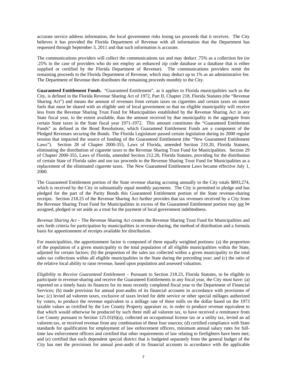accurate service address information, the local government risks losing tax proceeds that it receives. The City believes it has provided the Florida Department of Revenue with all information that the Department has requested through September 3, 2011 and that such information is accurate.

The communications providers will collect the communications tax and may deduct .75% as a collection fee (or .25% in the case of providers who do not employ an enhanced zip code database or a database that is either supplied or certified by the Florida Department of Revenue). The communications providers remit the remaining proceeds to the Florida Department of Revenue, which may deduct up to 1% as an administrative fee. The Department of Revenue then distributes the remaining proceeds monthly to the City.

**Guaranteed Entitlement Funds.** "Guaranteed Entitlement", as it applies to Florida municipalities such as the City, is defined in the Florida Revenue Sharing Act of 1972, Part II, Chapter 218, Florida Statutes (the "Revenue Sharing Act") and means the amount of revenues from certain taxes on cigarettes and certain taxes on motor fuels that must be shared with an eligible unit of local government so that no eligible municipality will receive less from the Revenue Sharing Trust Fund for Municipalities established by the Revenue Sharing Act in any State fiscal year, to the extent available, than the amount received by that municipality in the aggregate from certain State taxes in the State fiscal year 1971-1972. This amount constitutes the "Guaranteed Entitlement Funds" as defined in the Bond Resolutions, which Guaranteed Entitlement Funds are a component of the Pledged Revenues securing the Bonds. The Florida Legislature passed certain legislation during its 2000 regular session that impacted the source of funding of the Guaranteed Entitlement (the "New Guaranteed Entitlement Laws"). Section 28 of Chapter 2000-355, Laws of Florida, amended Section 210.20, Florida Statutes, eliminating the distribution of cigarette taxes to the Revenue Sharing Trust Fund for Municipalities. Section 29 of Chapter 2000-355, Laws of Florida, amended Section 212.20, Florida Statutes, providing for the distribution of certain State of Florida sales and use tax proceeds to the Revenue Sharing Trust Fund for Municipalities as a replacement of the eliminated cigarette taxes. The New Guaranteed Entitlement Laws became effective July 1, 2000.

The Guaranteed Entitlement portion of the State revenue sharing accruing annually to the City totals \$893,274, which is received by the City in substantially equal monthly payments. The City is permitted to pledge and has pledged for the part of the Parity Bonds this Guaranteed Entitlement portion of the State revenue-sharing receipts. Section 218.25 of the Revenue Sharing Act further provides that tax revenues received by a City from the Revenue Sharing Trust Fund for Municipalities in excess of the Guaranteed Entitlement portion may not be assigned, pledged or set aside as a trust for the payment of local government indebtedness.

*Revenue Sharing Act* – The Revenue Sharing Act creates the Revenue Sharing Trust Fund for Municipalities and sets forth criteria for participation by municipalities in revenue-sharing, the method of distribution and a formula basis for apportionment of receipts available for distribution.

For municipalities, the apportionment factor is composed of three equally weighted portions: (a) the proportion of the population of a given municipality to the total population of all eligible municipalities within the State, adjusted for certain factors; (b) the proportion of the sales tax collected within a given municipality to the total sales tax collections within all eligible municipalities in the State during the preceding year; and (c) the ratio of the relative local ability to raise revenue, based upon population and assessed valuation.

*Eligibility to Receive Guaranteed Entitlement* – Pursuant to Section 218.23, Florida Statutes, to be eligible to participate in revenue-sharing and receive the Guaranteed Entitlements in any fiscal year, the City must have: (a) reported on a timely basis its finances for its most recently completed fiscal year to the Department of Financial Services; (b) made provision for annual post-audits of its financial accounts in accordance with provisions of law; (c) levied ad valorem taxes, exclusive of taxes levied for debt service or other special millages authorized by voters, to produce the revenue equivalent to a millage rate of three mills on the dollar based on the 1973 taxable values as certified by the Lee County Property appraiser or, in order to produce revenue equivalent to that which would otherwise be produced by such three mill ad valorem tax, to have received a remittance from Lee County pursuant to Section 125.01(6)(a), collected an occupational license tax or a utility tax, levied an ad valorem tax, or received revenue from any combination of these four sources; (d) certified compliance with State standards for qualification for employment of law enforcement officers, minimum annual salary rates for fulltime law enforcement officers and certified that other requirements of law relating to firefighters have been met; and (e) certified that each dependent special district that is budgeted separately from the general budget of the City has met the provisions for annual post-audit of its financial accounts in accordance with the applicable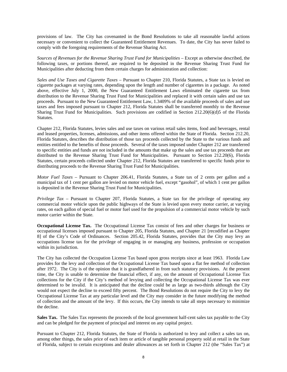provisions of law. The City has covenanted in the Bond Resolutions to take all reasonable lawful actions necessary or convenient to collect the Guaranteed Entitlement Revenues. To date, the City has never failed to comply with the foregoing requirements of the Revenue Sharing Act.

*Sources of Revenues for the Revenue Sharing Trust Fund for Municipalities* – Except as otherwise described, the following taxes, or portions thereof, are required to be deposited in the Revenue Sharing Trust Fund for Municipalities after deducting from them certain charges for administration and collection:

*Sales and Use Taxes and Cigarette Taxes –* Pursuant to Chapter 210, Florida Statutes, a State tax is levied on cigarette packages at varying rates, depending upon the length and number of cigarettes in a package. As noted above, effective July 1, 2000, the New Guaranteed Entitlement Laws eliminated the cigarette tax from distribution to the Revenue Sharing Trust Fund for Municipalities and replaced it with certain sales and use tax proceeds. Pursuant to the New Guaranteed Entitlement Law, 1.3409% of the available proceeds of sales and use taxes and fees imposed pursuant to Chapter 212, Florida Statutes shall be transferred monthly to the Revenue Sharing Trust Fund for Municipalities. Such provisions are codified in Section 212.20(6)(d)5 of the Florida Statutes.

Chapter 212, Florida Statutes, levies sales and use taxes on various retail sales items, food and beverages, rental and leased properties, licenses, admissions, and other items offered within the State of Florida. Section 212.20, Florida Statutes, describes the distribution of those tax proceeds collected by the State to the various funds and entities entitled to the benefits of those proceeds. Several of the taxes imposed under Chapter 212 are transferred to specific entities and funds are not included in the amounts that make up the sales and use tax proceeds that are distributed to the Revenue Sharing Trust Fund for Municipalities. Pursuant to Section 212.20(6), Florida Statutes, certain proceeds collected under Chapter 212, Florida Statutes are transferred to specific funds prior to distributing proceeds to the Revenue Sharing Trust Fund for Municipalities.

*Motor Fuel Taxes –* Pursuant to Chapter 206.41, Florida Statutes, a State tax of 2 cents per gallon and a municipal tax of 1 cent per gallon are levied on motor vehicle fuel, except "gasohol", of which 1 cent per gallon is deposited in the Revenue Sharing Trust Fund for Municipalities.

*Privilege Tax –* Pursuant to Chapter 207, Florida Statutes, a State tax for the privilege of operating any commercial motor vehicle upon the public highways of the State is levied upon every motor carrier, at varying rates, on each gallon of special fuel or motor fuel used for the propulsion of a commercial motor vehicle by such motor carrier within the State.

**Occupational License Tax.** The Occupational License Tax consist of fees and other charges for business or occupational licenses imposed pursuant to Chapter 205, Florida Statutes, and Chapter 21 [recodified as Chapter 8] of the City's Code of Ordinances. Section 205.42, Florida Statutes, provides that the City may levy an occupations license tax for the privilege of engaging in or managing any business, profession or occupation within its jurisdiction.

The City has collected the Occupation License Tax based upon gross receipts since at least 1963. Florida Law provides for the levy and collection of the Occupational License Tax based upon a flat fee method of collection after 1972. The City is of the opinion that it is grandfathered in from such statutory provisions. At the present time, the City is unable to determine the financial effect, if any, on the amount of Occupational License Tax collections for the City if the City's method of levying and collecting the Occupational License Tax was ever determined to be invalid. It is anticipated that the decline could be as large as two-thirds although the City would not expect the decline to exceed fifty percent. The Bond Resolutions do not require the City to levy the Occupational License Tax at any particular level and the City may consider in the future modifying the method of collection and the amount of the levy. If this occurs, the City intends to take all steps necessary to minimize the decline.

**Sales Tax.** The Sales Tax represents the proceeds of the local government half-cent sales tax payable to the City and can be pledged for the payment of principal and interest on any capital project.

Pursuant to Chapter 212, Florida Statutes, the State of Florida is authorized to levy and collect a sales tax on, among other things, the sales price of each item or article of tangible personal property sold at retail in the State of Florida, subject to certain exceptions and dealer allowances as set forth in Chapter 212 (the "Sales Tax") at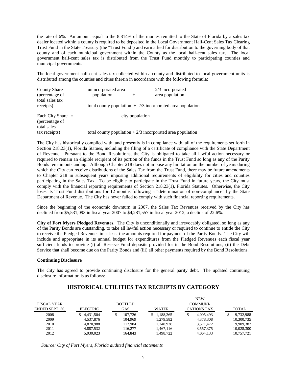the rate of 6%. An amount equal to the 8.814% of the monies remitted to the State of Florida by a sales tax dealer located within a county is required to be deposited in the Local Government Half-Cent Sales Tax Clearing Trust Fund in the State Treasury (the "Trust Fund") and earmarked for distribution to the governing body of that county and of each municipal government within the County as the local half-cent sales tax. The local government half-cent sales tax is distributed from the Trust Fund monthly to participating counties and municipal governments.

The local government half-cent sales tax collected within a county and distributed to local government units is distributed among the counties and cities therein in accordance with the following formula:

| <b>County Share</b><br>(percentage of<br>total sales tax | $=$ | unincorporated area<br>population |                 | $2/3$ incorporated<br>area population                       |
|----------------------------------------------------------|-----|-----------------------------------|-----------------|-------------------------------------------------------------|
| receipts)                                                |     |                                   |                 | total county population $+2/3$ incorporated area population |
| Each City Share $=$                                      |     |                                   | city population |                                                             |
| (percentage of                                           |     |                                   |                 |                                                             |
| total sales                                              |     |                                   |                 |                                                             |
| tax receipts)                                            |     |                                   |                 | total county population $+2/3$ incorporated area population |

The City has historically complied with, and presently is in compliance with, all of the requirements set forth in Section 218.23(1), Florida Statues, including the filing of a certificate of compliance with the State Department of Revenue. Pursuant to the Bond Resolutions, the City is obligated to take all lawful action necessary or required to remain an eligible recipient of its portion of the funds in the Trust Fund so long as any of the Parity Bonds remain outstanding. Although Chapter 218 does not impose any limitation on the number of years during which the City can receive distributions of the Sales Tax from the Trust Fund, there may be future amendments to Chapter 218 in subsequent years imposing additional requirements of eligibility for cities and counties participating in the Sales Tax. To be eligible to participate in the Trust Fund in future years, the City must comply with the financial reporting requirements of Section 218.23(1), Florida Statutes. Otherwise, the City loses its Trust Fund distributions for 12 months following a "determination of non-compliance" by the State Department of Revenue. The City has never failed to comply with such financial reporting requirements.

Since the beginning of the economic downturn in 2007, the Sales Tax Revenues received by the City has declined from \$5,531,093 in fiscal year 2007 to \$4,281,557 in fiscal year 2012, a decline of 22.6%.

**City of Fort Myers Pledged Revenues.** The City is unconditionally and irrevocably obligated, so long as any of the Parity Bonds are outstanding, to take all lawful action necessary or required to continue to entitle the City to receive the Pledged Revenues in at least the amounts required for payment of the Parity Bonds. The City will include and appropriate in its annual budget for expenditures from the Pledged Revenues each fiscal year sufficient funds to provide (i) all Reserve Fund deposits provided for in the Bond Resolutions, (ii) the Debt Service that shall become due on the Parity Bonds and (iii) all other payments required by the Bond Resolutions.

#### **Continuing Disclosure**

The City has agreed to provide continuing disclosure for the general parity debt. The updated continuing disclosure information is as follows:

# **HISTORICAL UTILITIES TAX RECEIPTS BY CATEGORY**

|                    |                 |                |                 | <b>NEW</b>         |              |
|--------------------|-----------------|----------------|-----------------|--------------------|--------------|
| <b>FISCAL YEAR</b> |                 | <b>BOTTLED</b> |                 | COMMUNI-           |              |
| ENDED SEPT. 30.    | <b>ELECTRIC</b> | <b>GAS</b>     | <b>WATER</b>    | <b>CATIONS TAX</b> | <b>TOTAL</b> |
| 2008               | 4.431.504       | 107.726        | 1.188.265<br>S. | 4.005.493          | 9,732,988    |
| 2009               | 4.537.876       | 104.969        | 1,279,582       | 4.378.308          | 10,300,735   |
| 2010               | 4.870.988       | 117.984        | 1.348.938       | 3.571.472          | 9.909.382    |
| 2011               | 4.887.532       | 116,277        | 1.467.116       | 3.557.375          | 10,028,300   |
| 2012               | 5.030.023       | 164.843        | 1,498,722       | 4.064.133          | 10.757.721   |

*Source: City of Fort Myers, Florida audited financial statements*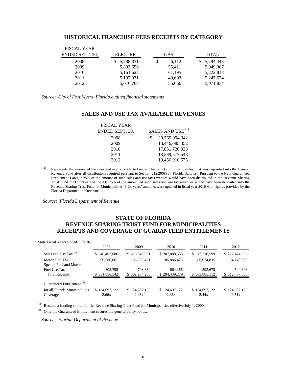### **HISTORICAL FRANCHISE FEES RECEIPTS BY CATEGORY**

| <b>FISCAL YEAR</b><br>ENDED SEPT. 30, | <b>ELECTRIC</b> | <b>GAS</b> | <b>TOTAL</b> |
|---------------------------------------|-----------------|------------|--------------|
| 2008                                  | 5,788,331       | 6,112<br>S | \$5,794,443  |
| 2009                                  | 5,893,656       | 55,411     | 5,949,067    |
| 2010                                  | 5,161,623       | 61,195     | 5,222,818    |
| 2011                                  | 5,197,931       | 49,693     | 5,247,624    |
| 2012                                  | 5,016,768       | 55,066     | 5,071,834    |

*Source: City of Fort Myers, Florida audited financial statements*

# **SALES AND USE TAX AVAILABLE REVENUES**

| <b>FISCAL YEAR</b> |                              |
|--------------------|------------------------------|
| ENDED SEPT. 30.    | SALES AND USE <sup>(1)</sup> |
| 2008               | 20,569,094,342               |
| 2009               | 18,446,085,352               |
| 2010               | 17,851,726,033               |
| 2011               | 18,589,577,548               |
| 2012               | 19,456,910,575               |

<sup>(1)</sup> Represents the amount of the sales and use tax collected under Chapter 212, Florida Statutes, that was deposited into the General Revenue Fund after all distributions required pursuant to Section 212.20(6)(d), Florida Statutes. Pursuant to the New Guaranteed Entitlement Laws, 2.25% of the amount of such sales and use tax revenues would have been distributed to the Revenue Sharing Trust Fund for Counties and the 1.0175% of the amount of such sales and use tax revenues would have been deposited into the Revenue Sharing Trust Fund for Municipalities. Prior years' amounts were updated in fiscal year 2010 with figures provided by the Florida Department of Revenue.

*Source: Florida Department of Revenue* 

# **STATE OF FLORIDA REVENUE SHARING TRUST FUND FOR MUNICIPALITIES RECEIPTS AND COVERAGE OF GUARANTEED ENTITLEMENTS**

| State Fiscal Years Ended June 30, |  |  |  |  |
|-----------------------------------|--|--|--|--|
|-----------------------------------|--|--|--|--|

|                                       | 2008          | 2009          | 2010          | 2011          | 2012          |
|---------------------------------------|---------------|---------------|---------------|---------------|---------------|
| Sales and Use Tax <sup>(1)</sup>      | \$240,467,686 | \$215,543,021 | \$207,888,538 | \$217,216,599 | \$227,474,337 |
| Motor Fuel Tax                        | 90,580,061    | 86,592,431    | 85,886,475    | 86,074,835    | 84,748,397    |
| Special Fuel and Motor                |               |               |               |               |               |
| Fuel Use Tax                          | 808,795       | 798,834       | 664,266       | 593,678       | 544,646       |
| <b>Total Receipts</b>                 | \$331,856,542 | \$302,934,286 | \$294,439,279 | \$303,885,112 | \$312,767,380 |
| Guaranteed Entitlement <sup>(2)</sup> |               |               |               |               |               |
| for all Florida Municipalities        | \$124,697,122 | \$124,697,122 | \$124,697,122 | \$124,697,122 | \$124,697,122 |
| Coverage                              | 2.66x         | 2.43x         | 2.36x         | 2.44x         | 2.51x         |

(1) Became a funding source for the Revenue Sharing Trust Fund for Municipalities effective July 1, 2000.

(2) Only the Guaranteed Entitlement secures the general parity bonds.

 *Source: Florida Department of Revenue*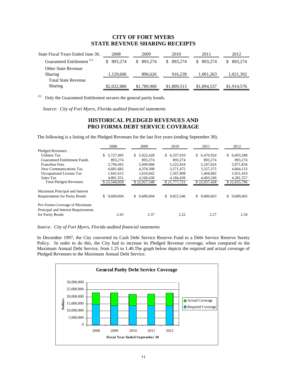# **CITY OF FORT MYERS STATE REVENUE SHARING RECEIPTS**

| State Fiscal Years Ended June 30,     | 2008        | 2009          | 2010        | 2011          | 2012        |
|---------------------------------------|-------------|---------------|-------------|---------------|-------------|
| Guaranteed Entitlement <sup>(1)</sup> | 893.274     | 893.274<br>S. | 893.274     | 893.274<br>S. | 893.274     |
| <b>Other State Revenue</b>            |             |               |             |               |             |
| Sharing                               | 1,129,606   | 896.626       | 916,239     | 1,001,263     | 1,021,302   |
| <b>Total State Revenue</b>            |             |               |             |               |             |
| <b>Sharing</b>                        | \$2,022,880 | \$1,789,900   | \$1,809,513 | \$1,894,537   | \$1,914,576 |
|                                       |             |               |             |               |             |

(1) Only the Guaranteed Entitlement secures the general parity bonds.

*Source: City of Fort Myers, Florida audited financial statements* 

# **HISTORICAL PLEDGED REVENUES AND PRO FORMA DEBT SERVICE COVERAGE**

The following is a listing of the Pledged Revenues for the last five years (ending September 30).

|                                                                      | 2008             | 2009            | 2010             | 2011            | 2012             |
|----------------------------------------------------------------------|------------------|-----------------|------------------|-----------------|------------------|
| Pledged Revenues:                                                    |                  |                 |                  |                 |                  |
| <b>Utilities Tax</b>                                                 | \$.<br>5.727.495 | \$5.922.428     | \$.<br>6.337.910 | \$ 6,470,924    | 6,693,588<br>\$. |
| <b>Guaranteed Entitlement Funds</b>                                  | 893.274          | 893,274         | 893.274          | 893.274         | 893,274          |
| <b>Franchise Fees</b>                                                | 5,794,443        | 5.949.066       | 5,222,818        | 5.247.624       | 5,071,834        |
| New Communications Tax                                               | 4.681.682        | 4.378.308       | 3.571.472        | 3.557.375       | 4.064.133        |
| Occupational License Tax                                             | 1,641,613        | 1,616,042       | 1,567,808        | 1.464.682       | 1,651,410        |
| Sales Tax                                                            | 4.801.551        | 4.168.430       | 4.184.439        | 4.403.549       | 4,281,557        |
| <b>Total Pledged Revenues</b>                                        | \$23,540,058     | \$22,927,548    | \$21,777,721     | \$22,037,428    | \$22,655,796     |
| Maximum Principal and Interest                                       |                  |                 |                  |                 |                  |
| <b>Requirements for Parity Bonds</b>                                 | 9,689,604<br>S.  | 9,689,604<br>S. | 9,822,546<br>\$. | 9,689,603<br>\$ | 9,689,603<br>S.  |
| Pro Forma Coverage of Maximum<br>Principal and Interest Requirements |                  |                 |                  |                 |                  |
| for Parity Bonds                                                     | 2.43             | 2.37            | 2.22             | 2.27            | 2.34             |

*Source: City of Fort Myers, Florida audited financial statements* 

In December 1997, the City converted its Cash Debt Service Reserve Fund to a Debt Service Reserve Surety Policy. In order to do this, the City had to increase its Pledged Revenue coverage, when compared to the Maximum Annual Debt Service, from 1.25 to 1.40.The graph below depicts the required and actual coverage of Pledged Revenues to the Maximum Annual Debt Service.

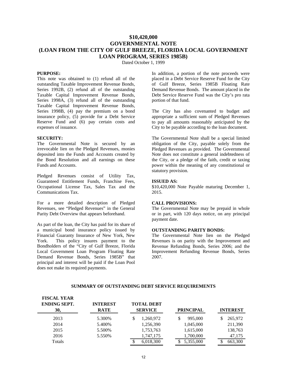# **\$10,420,000 GOVERNMENTAL NOTE (LOAN FROM THE CITY OF GULF BREEZE, FLORIDA LOCAL GOVERNMENT LOAN PROGRAM, SERIES 1985B)**

Dated October 1, 1999

#### **PURPOSE:**

This note was obtained to (1) refund all of the outstanding Taxable Improvement Revenue Bonds, Series 1992B, (2) refund all of the outstanding Taxable Capital Improvement Revenue Bonds, Series 1998A, (3) refund all of the outstanding Taxable Capital Improvement Revenue Bonds, Series 1998B, (4) pay the premium on a bond insurance policy, (5) provide for a Debt Service Reserve Fund and (6) pay certain costs and expenses of issuance.

#### **SECURITY:**

**FISCAL VEAR** 

The Governmental Note is secured by an irrevocable lien on the Pledged Revenues, monies deposited into the Funds and Accounts created by the Bond Resolution and all earnings on these Funds and Accounts.

Pledged Revenues consist of Utility Tax, Guaranteed Entitlement Funds, Franchise Fees, Occupational License Tax, Sales Tax and the Communications Tax.

For a more detailed description of Pledged Revenues, see "Pledged Revenues" in the General Parity Debt Overview that appears beforehand.

As part of the loan, the City has paid for its share of a municipal bond insurance policy issued by Financial Guaranty Insurance of New York, New York. This policy insures payment to the Bondholders of the "City of Gulf Breeze, Florida Local Government Loan Program Floating Rate Demand Revenue Bonds, Series 1985B" that principal and interest will be paid if the Loan Pool does not make its required payments.

In addition, a portion of the note proceeds were placed in a Debt Service Reserve Fund for the City of Gulf Breeze, Series 1985B Floating Rate Demand Revenue Bonds. The amount placed in the Debt Service Reserve Fund was the City's pro rata portion of that fund.

The City has also covenanted to budget and appropriate a sufficient sum of Pledged Revenues to pay all amounts reasonably anticipated by the City to be payable according to the loan document.

The Governmental Note shall be a special limited obligation of the City, payable solely from the Pledged Revenues as provided. The Governmental Note does not constitute a general indebtedness of the City, or a pledge of the faith, credit or taxing power within the meaning of any constitutional or statutory provision.

#### **ISSUED AS:**

\$10,420,000 Note Payable maturing December 1, 2015.

#### **CALL PROVISIONS:**

The Governmental Note may be prepaid in whole or in part, with 120 days notice, on any principal payment date.

#### **OUTSTANDING PARITY BONDS:**

The Governmental Note lien on the Pledged Revenues is on parity with the Improvement and Revenue Refunding Bonds, Series 2006; and the Improvement Refunding Revenue Bonds, Series 2007.

| FIƏCAL TEAR<br><b>ENDING SEPT.</b><br>30, | <b>INTEREST</b><br><b>RATE</b> | <b>TOTAL DEBT</b><br><b>SERVICE</b> | <b>PRINCIPAL</b> | <b>INTEREST</b> |
|-------------------------------------------|--------------------------------|-------------------------------------|------------------|-----------------|
| 2013                                      | 5.300%                         | 1,260,972                           | 995,000          | 265,972         |
| 2014                                      | 5.400%                         | 1,256,390                           | 1,045,000        | 211,390         |
| 2015                                      | 5.500%                         | 1,753,763                           | 1,615,000        | 138,763         |
| 2016                                      | 5.550%                         | 1,747,175                           | 1,700,000        | 47,175          |
| Totals                                    |                                | 6,018,300                           | 5,355,000        | 663,300         |

#### **SUMMARY OF OUTSTANDING DEBT SERVICE REQUIREMENTS**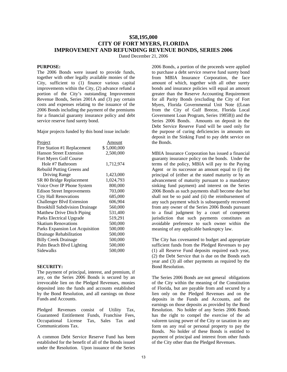# **\$58,195,000 CITY OF FORT MYERS, FLORIDA IMPROVEMENT AND REFUNDING REVENUE BONDS, SERIES 2006**

Dated December 21, 2006

#### **PURPOSE:**

The 2006 Bonds were issued to provide funds, together with other legally available monies of the City, sufficient to (1) finance various capital improvements within the City, (2) advance refund a portion of the City's outstanding Improvement Revenue Bonds, Series 2001A and (3) pay certain costs and expenses relating to the issuance of the 2006 Bonds including the payment of the premiums for a financial guaranty insurance policy and debt service reserve fund surety bond.

Major projects funded by this bond issue include:

| <b>Project</b>                        | Amount      |
|---------------------------------------|-------------|
| Fire Station #1 Replacement           | \$5,000,000 |
| <b>Hanson Street Extension</b>        | 2,500,000   |
| Fort Myers Golf Course                |             |
| Hole #7 Bathroom                      | 1,712,974   |
| Rebuild Putting Greens and            |             |
| Driving Range                         | 1,423,000   |
| SR 80 Bridge Replacement              | 1,024,793   |
| Voice Over IP Phone System            | 800,000     |
| <b>Edison Street Improvements</b>     | 703,000     |
| <b>City Hall Renovations</b>          | 685,000     |
| <b>Challenger Blvd Extension</b>      | 606,904     |
| <b>Brookhill Subdivision Drainage</b> | 560,000     |
| Matthew Drive Ditch Piping            | 531,400     |
| Parks Electrical Upgrade              | 519,291     |
| <b>Skatium Renovations</b>            | 500,000     |
| Parks Expansion Lot Acquisition       | 500,000     |
| Drainage Rehabilitation               | 500,000     |
| <b>Billy Creek Drainage</b>           | 500,000     |
| Palm Beach Blvd Lighting              | 500,000     |
| Sidewalks                             | 500,000     |

#### **SECURITY:**

The payment of principal, interest, and premium, if any, on the Series 2006 Bonds is secured by an irrevocable lien on the Pledged Revenues, monies deposited into the funds and accounts established by the Bond Resolution, and all earnings on those Funds and Accounts.

Pledged Revenues consist of Utility Tax, Guaranteed Entitlement Funds, Franchise Fees, Occupational License Tax, Sales Tax and Communications Tax.

A common Debt Service Reserve Fund has been established for the benefit of all of the Bonds issued under the Resolution. Upon issuance of the Series

2006 Bonds, a portion of the proceeds were applied to purchase a debt service reserve fund surety bond from MBIA Insurance Corporation, the face amount of which, together with all other surety bonds and insurance policies will equal an amount greater than the Reserve Accounting Requirement for all Parity Bonds (excluding the City of Fort Myers, Florida Governmental Unit Note ((Loan from the City of Gulf Breeze, Florida Local Government Loan Program, Series 1985B)) and the Series 2006 Bonds. Amounts on deposit in the Debt Service Reserve Fund will be used only for the purpose of curing deficiencies in amounts on deposit in the Sinking Fund to pay debt service on the Bonds.

MBIA Insurance Corporation has issued a financial guaranty insurance policy on the bonds. Under the terms of the policy, MBIA will pay to the Paying Agent or its successor an amount equal to (i) the principal of (either at the stated maturity or by an advancement of maturity pursuant to a mandatory sinking fund payment) and interest on the Series 2006 Bonds as such payments shall become due but shall not be so paid and (ii) the reimbursement of any such payment which is subsequently recovered from any owner of the Series 2006 Bonds pursuant to a final judgment by a court of competent jurisdiction that such payments constitutes an avoidable preference to such owner within the meaning of any applicable bankruptcy law.

The City has covenanted to budget and appropriate sufficient funds from the Pledged Revenues to pay (1) all Reserve Fund deposits required each year, (2) the Debt Service that is due on the Bonds each year and (3) all other payments as required by the Bond Resolution.

The Series 2006 Bonds are not general obligations of the City within the meaning of the Constitution of Florida, but are payable from and secured by a lien only on the Pledged Revenues and on the deposits in the Funds and Accounts, and the earnings on those deposits as provided by the Bond Resolution. No holder of any Series 2006 Bonds has the right to compel the exercise of the ad valorem taxing power of the City or taxation in any form on any real or personal property to pay the Bonds. No holder of these Bonds is entitled to payment of principal and interest from other funds of the City other than the Pledged Revenues.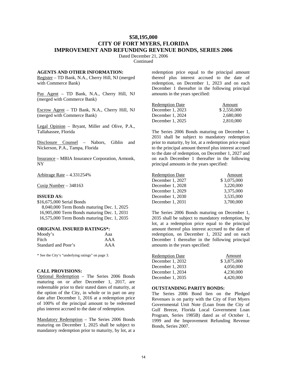# **\$58,195,000 CITY OF FORT MYERS, FLORIDA IMPROVEMENT AND REFUNDING REVENUE BONDS, SERIES 2006**

Dated December 21, 2006

**Continued** 

#### **AGENTS AND OTHER INFORMATION:**

Register – TD Bank, N.A., Cherry Hill, NJ (merged with Commerce Bank)

Pay Agent – TD Bank, N.A., Cherry Hill, NJ (merged with Commerce Bank)

Escrow Agent – TD Bank, N.A., Cherry Hill, NJ (merged with Commerce Bank)

Legal Opinion – Bryant, Miller and Olive, P.A., Tallahassee, Florida

Disclosure Counsel – Nabors, Giblin and Nickerson, P.A., Tampa, Florida

Insurance – MBIA Insurance Corporation, Armonk, NY

Arbitrage Rate – 4.331254%

Cusip Number – 348163

#### **ISSUED AS:**

\$16,675,000 Serial Bonds 8,040,000 Term Bonds maturing Dec. 1, 2025 16,905,000 Term Bonds maturing Dec. 1, 2031 16,575,000 Term Bonds maturing Dec. 1, 2035

#### **ORIGINAL INSURED RATINGS\*:**

| Moody's             | Aaa |
|---------------------|-----|
| Fitch               | AAA |
| Standard and Poor's | AAA |

\* See the City's "underlying ratings" on page 3.

#### **CALL PROVISIONS:**

Optional Redemption – The Series 2006 Bonds maturing on or after December 1, 2017, are redeemable prior to their stated dates of maturity, at the option of the City, in whole or in part on any date after December 1, 2016 at a redemption price of 100% of the principal amount to be redeemed plus interest accrued to the date of redemption.

Mandatory Redemption – The Series 2006 Bonds maturing on December 1, 2025 shall be subject to mandatory redemption prior to maturity, by lot, at a redemption price equal to the principal amount thereof plus interest accrued to the date of redemption, on December 1, 2023 and on each December 1 thereafter in the following principal amounts in the years specified:

| <b>Redemption Date</b> | Amount      |
|------------------------|-------------|
| December 1, 2023       | \$2,550,000 |
| December 1. 2024       | 2.680,000   |
| December 1, 2025       | 2.810,000   |

The Series 2006 Bonds maturing on December 1, 2031 shall be subject to mandatory redemption prior to maturity, by lot, at a redemption price equal to the principal amount thereof plus interest accrued to the date of redemption, on December 1, 2027 and on each December 1 thereafter in the following principal amounts in the years specified:

| <b>Redemption Date</b> | Amount      |
|------------------------|-------------|
| December 1, 2027       | \$3,075,000 |
| December 1, 2028       | 3,220,000   |
| December 1. 2029       | 3,375,000   |
| December 1, 2030       | 3.535,000   |
| December 1, 2031       | 3,700,000   |

The Series 2006 Bonds maturing on December 1, 2035 shall be subject to mandatory redemption, by lot, at a redemption price equal to the principal amount thereof plus interest accrued to the date of redemption, on December 1, 2032 and on each December 1 thereafter in the following principal amounts in the years specified:

| Amount      |
|-------------|
| \$3,875,000 |
| 4.050.000   |
| 4.230,000   |
| 4.420,000   |
|             |

#### **OUTSTANDING PARITY BONDS:**

The Series 2006 Bond lien on the Pledged Revenues is on parity with the City of Fort Myers Governmental Unit Note (Loan from the City of Gulf Breeze, Florida Local Government Loan Program, Series 1985B) dated as of October 1, 1999 and the Improvement Refunding Revenue Bonds, Series 2007.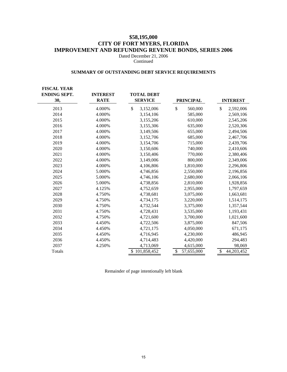# **\$58,195,000 CITY OF FORT MYERS, FLORIDA IMPROVEMENT AND REFUNDING REVENUE BONDS, SERIES 2006**

Dated December 21, 2006 Continued

# **SUMMARY OF OUTSTANDING DEBT SERVICE REQUIREMENTS**

| <b>FISCAL YEAR</b><br><b>ENDING SEPT.</b><br>30, | <b>INTEREST</b><br><b>RATE</b> | <b>TOTAL DEBT</b><br><b>SERVICE</b> | <b>PRINCIPAL</b> | <b>INTEREST</b>  |
|--------------------------------------------------|--------------------------------|-------------------------------------|------------------|------------------|
| 2013                                             | 4.000%                         | \$<br>3,152,006                     | \$<br>560,000    | \$<br>2,592,006  |
| 2014                                             | 4.000%                         | 3,154,106                           | 585,000          | 2,569,106        |
| 2015                                             | 4.000%                         | 3,155,206                           | 610,000          | 2,545,206        |
| 2016                                             | 4.000%                         | 3,155,306                           | 635,000          | 2,520,306        |
| 2017                                             | 4.000%                         | 3,149,506                           | 655,000          | 2,494,506        |
| 2018                                             | 4.000%                         | 3,152,706                           | 685,000          | 2,467,706        |
| 2019                                             | 4.000%                         | 3,154,706                           | 715,000          | 2,439,706        |
| 2020                                             | 4.000%                         | 3,150,606                           | 740,000          | 2,410,606        |
| 2021                                             | 4.000%                         | 3,150,406                           | 770,000          | 2,380,406        |
| 2022                                             | 4.000%                         | 3,149,006                           | 800,000          | 2,349,006        |
| 2023                                             | 4.000%                         | 4,106,806                           | 1,810,000        | 2,296,806        |
| 2024                                             | 5.000%                         | 4,746,856                           | 2,550,000        | 2,196,856        |
| 2025                                             | 5.000%                         | 4,746,106                           | 2,680,000        | 2,066,106        |
| 2026                                             | 5.000%                         | 4,738,856                           | 2,810,000        | 1,928,856        |
| 2027                                             | 4.125%                         | 4,752,659                           | 2,955,000        | 1,797,659        |
| 2028                                             | 4.750%                         | 4,738,681                           | 3,075,000        | 1,663,681        |
| 2029                                             | 4.750%                         | 4,734,175                           | 3,220,000        | 1,514,175        |
| 2030                                             | 4.750%                         | 4,732,544                           | 3,375,000        | 1,357,544        |
| 2031                                             | 4.750%                         | 4,728,431                           | 3,535,000        | 1,193,431        |
| 2032                                             | 4.750%                         | 4,721,600                           | 3,700,000        | 1,021,600        |
| 2033                                             | 4.450%                         | 4,722,506                           | 3,875,000        | 847,506          |
| 2034                                             | 4.450%                         | 4,721,175                           | 4,050,000        | 671,175          |
| 2035                                             | 4.450%                         | 4,716,945                           | 4,230,000        | 486,945          |
| 2036                                             | 4.450%                         | 4,714,483                           | 4,420,000        | 294,483          |
| 2037                                             | 4.250%                         | 4,713,069                           | 4,615,000        | 98,069           |
| Totals                                           |                                | \$101,858,452                       | \$<br>57,655,000 | \$<br>44,203,452 |

Remainder of page intentionally left blank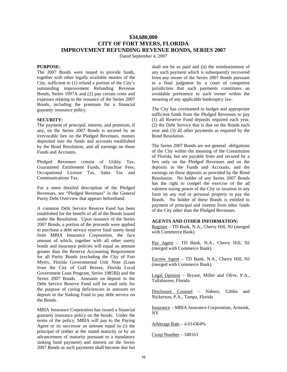# **\$34,680,000 CITY OF FORT MYERS, FLORIDA IMPROVEMENT REFUNDING REVENUE BONDS, SERIES 2007**

Dated September 4, 2007

#### **PURPOSE:**

The 2007 Bonds were issued to provide funds, together with other legally available monies of the City, sufficient to (1) refund a portion of the City's outstanding improvement Refunding Revenue Bonds, Series 1997A and (2) pay certain costs and expenses relating to the issuance of the Series 2007 Bonds, including the premium for a financial guaranty insurance policy.

#### **SECURITY:**

The payment of principal, interest, and premium, if any, on the Series 2007 Bonds is secured by an irrevocable lien on the Pledged Revenues, monies deposited into the funds and accounts established by the Bond Resolution, and all earnings on those Funds and Accounts.

Pledged Revenues consist of Utility Tax, Guaranteed Entitlement Funds, Franchise Fees, Occupational License Tax, Sales Tax and Communications Tax.

For a more detailed description of the Pledged Revenues, see "Pledged Revenues" in the General Parity Debt Overview that appears beforehand.

A common Debt Service Reserve Fund has been established for the benefit of all of the Bonds issued under the Resolution. Upon issuance of the Series 2007 Bonds, a portion of the proceeds were applied to purchase a debt service reserve fund surety bond from MBIA Insurance Corporation, the face amount of which, together with all other surety bonds and insurance policies will equal an amount greater than the Reserve Accounting Requirement for all Parity Bonds (excluding the City of Fort Myers, Florida Governmental Unit Note (Loan from the City of Gulf Breeze, Florida Local Government Loan Program, Series 1985B)) and the Series 2007 Bonds. Amounts on deposit in the Debt Service Reserve Fund will be used only for the purpose of curing deficiencies in amounts on deposit in the Sinking Fund to pay debt service on the Bonds.

MBIA Insurance Corporation has issued a financial guaranty insurance policy on the bonds. Under the terms of the policy, MBIA will pay to the Paying Agent or its successor an amount equal to (i) the principal of (either at the stated maturity or by an advancement of maturity pursuant to a mandatory sinking fund payment) and interest on the Series 2007 Bonds as such payments shall become due but

shall not be so paid and (ii) the reimbursement of any such payment which is subsequently recovered from any owner of the Series 2007 Bonds pursuant to a final judgment by a court of competent jurisdiction that such payments constitutes an avoidable preference to such owner within the meaning of any applicable bankruptcy law.

The City has covenanted to budget and appropriate sufficient funds from the Pledged Revenues to pay (1) all Reserve Fund deposits required each year, (2) the Debt Service that is due on the Bonds each year and (3) all other payments as required by the Bond Resolution.

The Series 2007 Bonds are not general obligations of the City within the meaning of the Constitution of Florida, but are payable from and secured by a lien only on the Pledged Revenues and on the deposits in the Funds and Accounts, and the earnings on those deposits as provided by the Bond Resolution. No holder of any Series 2007 Bonds has the right to compel the exercise of the ad valorem taxing power of the City or taxation in any form on any real or personal property to pay the Bonds. No holder of these Bonds is entitled to payment of principal and interest from other funds of the City other than the Pledged Revenues.

#### **AGENTS AND OTHER INFORMATION:**

Register – TD Bank, N.A., Cherry Hill, NJ (merged with Commerce Bank)

Pay Agent - TD Bank, N.A., Cherry Hill, NJ (merged with Commerce Bank)

Escrow Agent – TD Bank, N.A., Cherry Hill, NJ (merged with Commerce Bank)

Legal Opinion – Bryant, Miller and Olive, P.A., Tallahassee, Florida

Disclosure Counsel – Nabors, Giblin and Nickerson, P.A., Tampa, Florida

Insurance – MBIA Insurance Corporation, Armonk, NY

Arbitrage Rate – 4.014364%

Cusip Number – 348163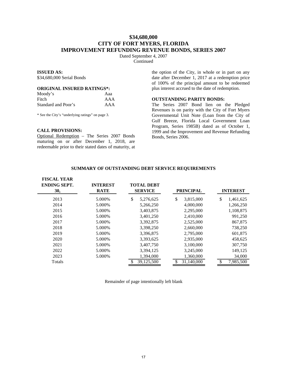# **\$34,680,000 CITY OF FORT MYERS, FLORIDA IMPROVEMENT REFUNDING REVENUE BONDS, SERIES 2007**

Dated September 4, 2007 Continued

#### **ISSUED AS:**

\$34,680,000 Serial Bonds

#### **ORIGINAL INSURED RATINGS\*:**

| Moody's             | Aaa |
|---------------------|-----|
| Fitch               | AAA |
| Standard and Poor's | AAA |

\* See the City's "underlying ratings" on page 3.

#### **CALL PROVISIONS:**

Optional Redemption – The Series 2007 Bonds maturing on or after December 1, 2018, are redeemable prior to their stated dates of maturity, at

the option of the City, in whole or in part on any date after December 1, 2017 at a redemption price of 100% of the principal amount to be redeemed plus interest accrued to the date of redemption.

#### **OUTSTANDING PARITY BONDS:**

The Series 2007 Bond lien on the Pledged Revenues is on parity with the City of Fort Myers Governmental Unit Note (Loan from the City of Gulf Breeze, Florida Local Government Loan Program, Series 1985B) dated as of October 1, 1999 and the Improvement and Revenue Refunding Bonds, Series 2006.

#### **FISCAL YEAR ENDING SEPT. 30, INTEREST RATE TOTAL DEBT SERVICE PRINCIPAL INTEREST** 2013 5.000% \$ 5,276,625 \$ 3,815,000 \$ 1,461,625 2014 5.000% 5,266,250 4,000,000 1,266,250 2015 5.000% 3,403,875 2,295,000 1,108,875 2016 5.000% 3,401,250 2,410,000 991,250 2017 5.000% 3,392,875 2,525,000 867,875 2018 5.000% 3,398,250 2,660,000 738,250 2019 5.000% 3,396,875 2,795,000 601,875 2020 5.000% 3,393,625 2,935,000 458,625 2021 5.000% 3,407,750 3,100,000 307,750 2022 5.000% 3,394,125 3,245,000 149,125 2023 5.000% 1,394,000 1,360,000 34,000 Totals  $\overline{\text{5} \quad 39,125,500}$   $\overline{\text{5} \quad 31,140,000}$   $\overline{\text{5} \quad 7,985,500}$

#### **SUMMARY OF OUTSTANDING DEBT SERVICE REQUIREMENTS**

Remainder of page intentionally left blank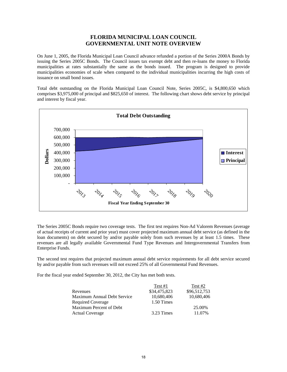# **FLORIDA MUNICIPAL LOAN COUNCIL GOVERNMENTAL UNIT NOTE OVERVIEW**

On June 1, 2005, the Florida Municipal Loan Council advance refunded a portion of the Series 2000A Bonds by issuing the Series 2005C Bonds. The Council issues tax exempt debt and then re-loans the money to Florida municipalities at rates substantially the same as the bonds issued. The program is designed to provide municipalities economies of scale when compared to the individual municipalities incurring the high costs of issuance on small bond issues.

Total debt outstanding on the Florida Municipal Loan Council Note, Series 2005C, is \$4,800,650 which comprises \$3,975,000 of principal and \$825,650 of interest. The following chart shows debt service by principal and interest by fiscal year.



The Series 2005C Bonds require two coverage tests. The first test requires Non-Ad Valorem Revenues (average of actual receipts of current and prior year) must cover projected maximum annual debt service (as defined in the loan documents) on debt secured by and/or payable solely from such revenues by at least 1.5 times. These revenues are all legally available Governmental Fund Type Revenues and Intergovernmental Transfers from Enterprise Funds.

The second test requires that projected maximum annual debt service requirements for all debt service secured by and/or payable from such revenues will not exceed 25% of all Governmental Fund Revenues.

For the fiscal year ended September 30, 2012, the City has met both tests.

|                             | Test $#1$    | Test #2      |
|-----------------------------|--------------|--------------|
| Revenues                    | \$34,475,823 | \$96,512,753 |
| Maximum Annual Debt Service | 10,680,406   | 10,680,406   |
| <b>Required Coverage</b>    | 1.50 Times   |              |
| Maximum Percent of Debt     |              | 25.00%       |
| <b>Actual Coverage</b>      | 3.23 Times   | 11.07%       |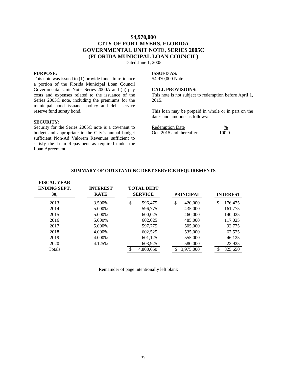# **\$4,970,000 CITY OF FORT MYERS, FLORIDA GOVERNMENTAL UNIT NOTE, SERIES 2005C (FLORIDA MUNICIPAL LOAN COUNCIL)**

Dated June 1, 2005

#### **PURPOSE:**

This note was issued to (1) provide funds to refinance a portion of the Florida Municipal Loan Council Governmental Unit Note, Series 2000A and (ii) pay costs and expenses related to the issuance of the Series 2005C note, including the premiums for the municipal bond issuance policy and debt service reserve fund surety bond.

#### **SECURITY:**

Security for the Series 2005C note is a covenant to budget and appropriate in the City's annual budget sufficient Non-Ad Valorem Revenues sufficient to satisfy the Loan Repayment as required under the Loan Agreement.

#### **ISSUED AS:**

\$4,970,000 Note

#### **CALL PROVISIONS:**

This note is not subject to redemption before April 1, 2015.

This loan may be prepaid in whole or in part on the dates and amounts as follows:

| Redemption Date          | $\%$  |
|--------------------------|-------|
| Oct. 2015 and thereafter | 100.0 |

| <b>FISCAL YEAR</b><br><b>ENDING SEPT.</b><br>30, | <b>INTEREST</b><br><b>RATE</b> | <b>TOTAL DEBT</b><br><b>SERVICE</b> | <b>PRINCIPAL</b> | <b>INTEREST</b> |
|--------------------------------------------------|--------------------------------|-------------------------------------|------------------|-----------------|
| 2013                                             | 3.500\%                        | \$<br>596,475                       | \$<br>420,000    | 176,475<br>S    |
| 2014                                             | 5.000\%                        | 596,775                             | 435,000          | 161,775         |
| 2015                                             | 5.000\%                        | 600,025                             | 460,000          | 140,025         |
| 2016                                             | 5.000\%                        | 602,025                             | 485,000          | 117,025         |
| 2017                                             | 5.000\%                        | 597,775                             | 505,000          | 92,775          |
| 2018                                             | 4.000%                         | 602,525                             | 535,000          | 67,525          |
| 2019                                             | 4.000%                         | 601,125                             | 555,000          | 46,125          |
| 2020                                             | 4.125%                         | 603,925                             | 580,000          | 23,925          |

### **SUMMARY OF OUTSTANDING DEBT SERVICE REQUIREMENTS**

Remainder of page intentionally left blank

Totals \$ 4,800,650 \$ 3,975,000 \$ 825,650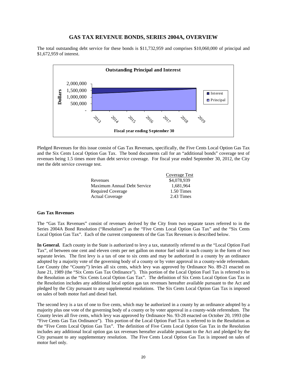### **GAS TAX REVENUE BONDS, SERIES 2004A, OVERVIEW**

The total outstanding debt service for these bonds is \$11,732,959 and comprises \$10,060,000 of principal and \$1,672,959 of interest.



Pledged Revenues for this issue consist of Gas Tax Revenues, specifically, the Five Cents Local Option Gas Tax and the Six Cents Local Option Gas Tax. The bond documents call for an "additional bonds" coverage test of revenues being 1.5 times more than debt service coverage. For fiscal year ended September 30, 2012, the City met the debt service coverage test.

|                             | Coverage Test |
|-----------------------------|---------------|
| Revenues                    | \$4,078,939   |
| Maximum Annual Debt Service | 1,681,964     |
| Required Coverage           | 1.50 Times    |
| <b>Actual Coverage</b>      | 2.43 Times    |

#### **Gas Tax Revenues**

The "Gas Tax Revenues" consist of revenues derived by the City from two separate taxes referred to in the Series 2004A Bond Resolution ("Resolution") as the "Five Cents Local Option Gas Tax" and the "Six Cents Local Option Gas Tax". Each of the current components of the Gas Tax Revenues is described below.

**In General.** Each county in the State is authorized to levy a tax, statutorily referred to as the "Local Option Fuel Tax", of between one cent and eleven cents per net gallon on motor fuel sold in such county in the form of two separate levies. The first levy is a tax of one to six cents and may be authorized in a county by an ordinance adopted by a majority vote of the governing body of a county or by voter approval in a county-wide referendum. Lee County (the "County") levies all six cents, which levy was approved by Ordinance No. 89-21 enacted on June 21, 1989 (the "Six Cents Gas Tax Ordinance"). This portion of the Local Option Fuel Tax is referred to in the Resolution as the "Six Cents Local Option Gas Tax". The definition of Six Cents Local Option Gas Tax in the Resolution includes any additional local option gas tax revenues hereafter available pursuant to the Act and pledged by the City pursuant to any supplemental resolutions. The Six Cents Local Option Gas Tax is imposed on sales of both motor fuel and diesel fuel.

The second levy is a tax of one to five cents, which may be authorized in a county by an ordinance adopted by a majority plus one vote of the governing body of a county or by voter approval in a county-wide referendum. The County levies all five cents, which levy was approved by Ordinance No. 93-28 enacted on October 20, 1993 (the "Five Cents Gas Tax Ordinance"). This portion of the Local Option Fuel Tax is referred to in the Resolution as the "Five Cents Local Option Gas Tax". The definition of Five Cents Local Option Gas Tax in the Resolution includes any additional local option gas tax revenues hereafter available pursuant to the Act and pledged by the City pursuant to any supplementary resolution. The Five Cents Local Option Gas Tax is imposed on sales of motor fuel only.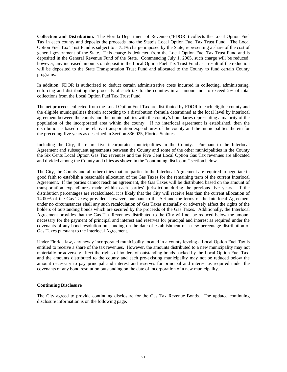**Collection and Distribution.** The Florida Department of Revenue ("FDOR") collects the Local Option Fuel Tax in each county and deposits the proceeds into the State's Local Option Fuel Tax Trust Fund. The Local Option Fuel Tax Trust Fund is subject to a 7.3% charge imposed by the State, representing a share of the cost of general government of the State. This charge is deducted from the Local Option Fuel Tax Trust Fund and is deposited in the General Revenue Fund of the State. Commencing July 1, 2005, such charge will be reduced; however, any increased amounts on deposit in the Local Option Fuel Tax Trust Fund as a result of the reduction will be deposited to the State Transportation Trust Fund and allocated to the County to fund certain County programs.

In addition, FDOR is authorized to deduct certain administrative costs incurred in collecting, administering, enforcing and distributing the proceeds of such tax to the counties in an amount not to exceed 2% of total collections from the Local Option Fuel Tax Trust Fund.

The net proceeds collected from the Local Option Fuel Tax are distributed by FDOR to each eligible county and the eligible municipalities therein according to a distribution formula determined at the local level by interlocal agreement between the county and the municipalities with the county's boundaries representing a majority of the population of the incorporated area within the county. If no interlocal agreement is established, then the distribution is based on the relative transportation expenditures of the county and the municipalities therein for the preceding five years as described in Section 336.025, Florida Statutes.

Including the City, there are five incorporated municipalities in the County. Pursuant to the Interlocal Agreement and subsequent agreements between the County and some of the other municipalities in the County the Six Cents Local Option Gas Tax revenues and the Five Cent Local Option Gas Tax revenues are allocated and divided among the County and cities as shown in the "continuing disclosure" section below.

The City, the County and all other cities that are parties to the Interlocal Agreement are required to negotiate in good faith to establish a reasonable allocation of the Gas Taxes for the remaining term of the current Interlocal Agreement. If the parties cannot reach an agreement, the Gas Taxes will be distributed based on the amount of transportation expenditures made within each parties' jurisdiction during the previous five years. If the distribution percentages are recalculated, it is likely that the City will receive less than the current allocation of 14.00% of the Gas Taxes; provided, however, pursuant to the Act and the terms of the Interlocal Agreement under no circumstances shall any such recalculation of Gas Taxes materially or adversely affect the rights of the holders of outstanding bonds which are secured by the proceeds of the Gas Taxes. Additionally, the Interlocal Agreement provides that the Gas Tax Revenues distributed to the City will not be reduced below the amount necessary for the payment of principal and interest and reserves for principal and interest as required under the covenants of any bond resolution outstanding on the date of establishment of a new percentage distribution of Gas Taxes pursuant to the Interlocal Agreement.

Under Florida law, any newly incorporated municipality located in a county levying a Local Option Fuel Tax is entitled to receive a share of the tax revenues. However, the amounts distributed to a new municipality may not materially or adversely affect the rights of holders of outstanding bonds backed by the Local Option Fuel Tax, and the amounts distributed to the county and each pre-existing municipality may not be reduced below the amount necessary to pay principal and interest and reserves for principal and interest as required under the covenants of any bond resolution outstanding on the date of incorporation of a new municipality.

#### **Continuing Disclosure**

The City agreed to provide continuing disclosure for the Gas Tax Revenue Bonds. The updated continuing disclosure information is on the following page.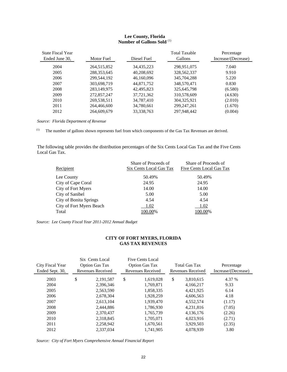## **Lee County, Florida Number of Gallons Sold** (1)

| <b>State Fiscal Year</b> |               |             | <b>Total Taxable</b> | Percentage          |
|--------------------------|---------------|-------------|----------------------|---------------------|
| Ended June 30,           | Motor Fuel    | Diesel Fuel | Gallons              | Increase/(Decrease) |
| 2004                     | 264,515,852   | 34,435,223  | 298,951,075          | 7.040               |
| 2005                     | 288, 353, 645 | 40,208,692  | 328, 562, 337        | 9.910               |
| 2006                     | 299,544,192   | 46,160,096  | 345,704,288          | 5.220               |
| 2007                     | 303,698,719   | 44,871,752  | 348,570,471          | 0.830               |
| 2008                     | 283,149,975   | 42,495,823  | 325,645,798          | (6.580)             |
| 2009                     | 272,857,247   | 37,721,362  | 310,578,609          | (4.630)             |
| 2010                     | 269,538,511   | 34,787,410  | 304, 325, 921        | (2.010)             |
| 2011                     | 264,466,600   | 34,780,661  | 299, 247, 261        | (1.670)             |
| 2012                     | 264,609,679   | 33,338,763  | 297,948,442          | (0.004)             |

*Source: Florida Department of Revenue* 

(1) The number of gallons shown represents fuel from which components of the Gas Tax Revenues are derived.

The following table provides the distribution percentages of the Six Cents Local Gas Tax and the Five Cents Local Gas Tax.

|                               | Share of Proceeds of    | Share of Proceeds of     |
|-------------------------------|-------------------------|--------------------------|
| Recipient                     | Six Cents Local Gas Tax | Five Cents Local Gas Tax |
| Lee County                    | 50.49%                  | 50.49%                   |
| City of Cape Coral            | 24.95                   | 24.95                    |
| City of Fort Myers            | 14.00                   | 14.00                    |
| City of Sanibel               | 5.00                    | 5.00                     |
| <b>City of Bonita Springs</b> | 4.54                    | 4.54                     |
| City of Fort Myers Beach      | 1.02                    | 1.02                     |
| Total                         | 100.00%                 | 100.00%                  |

*Source: Lee County Fiscal Year 2011-2012 Annual Budget* 

## **CITY OF FORT MYERS, FLORIDA GAS TAX REVENUES**

| City Fiscal Year<br>Ended Sept. 30, | Six Cents Local<br><b>Option Gas Tax</b><br>Revenues Received | Five Cents Local<br><b>Option Gas Tax</b><br>Revenues Received | Total Gas Tax<br>Revenues Received | Percentage<br>Increase/(Decrease) |
|-------------------------------------|---------------------------------------------------------------|----------------------------------------------------------------|------------------------------------|-----------------------------------|
| 2003                                | \$<br>2, 191, 587                                             | \$<br>1.619.028                                                | \$<br>3,810,615                    | 4.37 %                            |
| 2004                                | 2,396,346                                                     | 1,769,871                                                      | 4,166,217                          | 9.33                              |
| 2005                                | 2.563.590                                                     | 1,858,335                                                      | 4,421,925                          | 6.14                              |
| 2006                                | 2,678,304                                                     | 1,928,259                                                      | 4,606,563                          | 4.18                              |
| 2007                                | 2,613,104                                                     | 1,939,470                                                      | 4,552,574                          | (1.17)                            |
| 2008                                | 2.444.886                                                     | 1,786,930                                                      | 4,231,816                          | (7.05)                            |
| 2009                                | 2.370.437                                                     | 1,765,739                                                      | 4,136,176                          | (2.26)                            |
| 2010                                | 2,318,845                                                     | 1,705,071                                                      | 4,023,916                          | (2.71)                            |
| 2011                                | 2,258,942                                                     | 1,670,561                                                      | 3,929,503                          | (2.35)                            |
| 2012                                | 2,337,034                                                     | 1,741,905                                                      | 4,078,939                          | 3.80                              |

*Source: City of Fort Myers Comprehensive Annual Financial Report*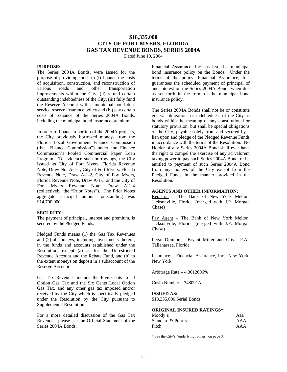# **\$18,335,000 CITY OF FORT MYERS, FLORIDA GAS TAX REVENUE BONDS, SERIES 2004A**

Dated June 10, 2004

## **PURPOSE:**

The Series 2004A Bonds, were issued for the purpose of providing funds to (i) finance the costs of acquisition, construction, and reconstruction of various roads and other transportation improvements within the City, (ii) refund certain outstanding indebtedness of the City, (iii) fully fund the Reserve Account with a municipal bond debt service reserve insurance policy and (iv) pay certain costs of issuance of the Series 2004A Bonds, including the municipal bond insurance premium.

In order to finance a portion of the 2004A projects, the City previously borrowed moneys from the Florida Local Government Finance Commission (the "Finance Commission") under the Finance Commission's Pooled Commercial Paper Loan Program. To evidence such borrowings, the City issued its City of Fort Myers, Florida Revenue Note, Draw No. A-1-1, City of Fort Myers, Florida Revenue Note, Draw A-1-2, City of Fort Myers, Florida Revenue Note, Draw A-1-3 and the City of Fort Myers Revenue Note, Draw A-1-4 (collectively, the "Prior Notes"). The Prior Notes aggregate principal amount outstanding was \$14,700,000.

## **SECURITY:**

The payment of principal, interest and premium, is secured by the Pledged Funds.

Pledged Funds means (1) the Gas Tax Revenues and (2) all moneys, including investments thereof, in the funds and accounts established under the Resolution, except (a) as for the Unrestricted Revenue Account and the Rebate Fund, and (b) to the extent moneys on deposit in a subaccount of the Reserve Account.

Gas Tax Revenues include the Five Cents Local Option Gas Tax and the Six Cents Local Option Gas Tax, and any other gas tax imposed and/or received by the City which is specifically pledged under the Resolution by the City pursuant to Supplemental Resolution.

For a more detailed discussion of the Gas Tax Revenues, please see the Official Statement of the Series 2004A Bonds.

Financial Assurance, Inc has issued a municipal bond insurance policy on the Bonds. Under the terms of the policy, Financial Assurance, Inc. guarantees the scheduled payment of principal of and interest on the Series 2004A Bonds when due as set forth in the form of the municipal bond insurance policy.

The Series 2004A Bonds shall not be or constitute general obligations or indebtedness of the City as bonds within the meaning of any constitutional or statutory provision, but shall be special obligations of the City, payable solely from and secured by a lien upon and pledge of the Pledged Revenue Funds in accordance with the terms of the Resolution. No Holder of any Series 2004A Bond shall ever have the right to compel the exercise of any ad valorem taxing power to pay such Series 2004A Bond, or be entitled to payment of such Series 2004A Bond from any moneys of the City except from the Pledged Funds in the manner provided in the Resolution.

#### **AGENTS AND OTHER INFORMATION:**

Registrar – The Bank of New York Mellon, Jacksonville, Florida (merged with J.P. Morgan Chase)

Pay Agent – The Bank of New York Mellon, Jacksonville, Florida (merged with J.P. Morgan Chase)

Legal Opinion – Bryant Miller and Olive, P.A., Tallahassee, Florida

Insurance – Financial Assurance, Inc., New York, New York

Arbitrage Rate – 4.3612606%

Cusip Number – 348091A

## **ISSUED AS:**

\$18,335,000 Serial Bonds

## **ORIGINAL INSURED RATINGS\*:**

| Moody's           | Aaa |
|-------------------|-----|
| Standard & Poor's | AAA |
| Fitch             | AAA |

\* See the City's "underlying ratings" on page 3.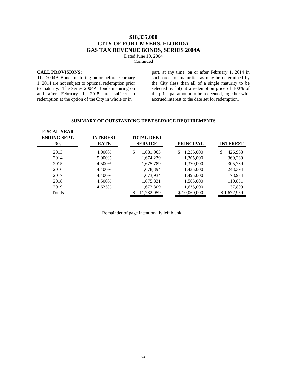# **\$18,335,000 CITY OF FORT MYERS, FLORIDA GAS TAX REVENUE BONDS, SERIES 2004A**

Dated June 10, 2004 Continued

## **CALL PROVISIONS:**

The 2004A Bonds maturing on or before February 1, 2014 are not subject to optional redemption prior to maturity. The Series 2004A Bonds maturing on and after February 1, 2015 are subject to redemption at the option of the City in whole or in

part, at any time, on or after February 1, 2014 in such order of maturities as may be determined by the City (less than all of a single maturity to be selected by lot) at a redemption price of 100% of the principal amount to be redeemed, together with accrued interest to the date set for redemption.

#### **SUMMARY OF OUTSTANDING DEBT SERVICE REQUIREMENTS**

| <b>FISCAL YEAR</b><br><b>ENDING SEPT.</b><br>30, | <b>INTEREST</b><br><b>RATE</b> | <b>TOTAL DEBT</b><br><b>SERVICE</b> | <b>PRINCIPAL</b> | <b>INTEREST</b> |
|--------------------------------------------------|--------------------------------|-------------------------------------|------------------|-----------------|
| 2013                                             | 4.000%                         | \$<br>1,681,963                     | 1,255,000<br>S   | \$<br>426,963   |
| 2014                                             | 5.000\%                        | 1,674,239                           | 1,305,000        | 369,239         |
| 2015                                             | 4.500%                         | 1,675,789                           | 1,370,000        | 305,789         |
| 2016                                             | 4.400%                         | 1,678,394                           | 1,435,000        | 243,394         |
| 2017                                             | 4.400%                         | 1,673,934                           | 1,495,000        | 178,934         |
| 2018                                             | 4.500%                         | 1,675,831                           | 1,565,000        | 110,831         |
| 2019                                             | 4.625%                         | 1,672,809                           | 1,635,000        | 37,809          |
| Totals                                           |                                | 11,732,959                          | \$10,060,000     | \$1,672,959     |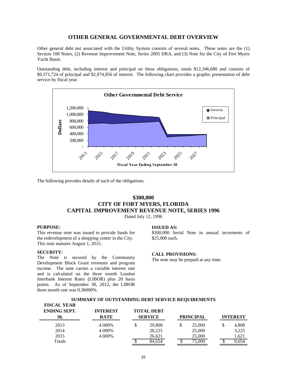## **OTHER GENERAL GOVERNMENTAL DEBT OVERVIEW**

Other general debt not associated with the Utility System consists of several notes. These notes are the (1) Section 108 Notes, (2) Revenue Improvement Note, Series 2005 DRA, and (3) Note for the City of Fort Myers Yacht Basin.

Outstanding debt, including interest and principal on these obligations, totals \$12,346,680 and consists of \$9,371,724 of principal and \$2,974,956 of interest. The following chart provides a graphic presentation of debt service by fiscal year.



The following provides details of each of the obligations.

# **\$300,000 CITY OF FORT MYERS, FLORIDA CAPITAL IMPROVEMENT REVENUE NOTE, SERIES 1996**

Dated July 12, 1996

## **PURPOSE:**

This revenue note was issued to provide funds for the redevelopment of a shopping center in the City. This note matures August 1, 2015.

## **SECURITY:**

The Note is secured by the Community Development Block Grant revenues and program income. The note carries a variable interest rate and is calculated on the three month London Interbank Interest Rates (LIBOR) plus 20 basis points. As of September 30, 2012, the LIBOR three month rate was 0.36000%.

#### **ISSUED AS:**

\$300,000 Serial Note in annual increments of \$25,000 each.

#### **CALL PROVISIONS:**

The note may be prepaid at any time.

| FISCAL YEAR<br><b>ENDING SEPT.</b><br>30, | <b>INTEREST</b><br><b>RATE</b> | <b>TOTAL DEBT</b><br><b>SERVICE</b> | <b>PRINCIPAL</b> | <b>INTEREST</b> |
|-------------------------------------------|--------------------------------|-------------------------------------|------------------|-----------------|
| 2013                                      | 4.000%                         | 29,808                              | 25,000           | 4,808           |
| 2014                                      | 4.000%                         | 28,225                              | 25,000           | 3,225           |
| 2015                                      | 4.000%                         | 26.621                              | 25,000           | 1,621           |
| Totals                                    |                                | 84.654                              | 75,000           | 9,654           |

#### **SUMMARY OF OUTSTANDING DEBT SERVICE REQUIREMENTS FISCAL YEAR**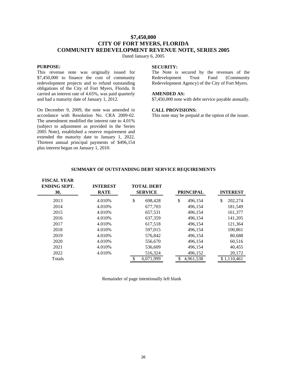# **\$7,450,000 CITY OF FORT MYERS, FLORIDA COMMUNITY REDEVELOPMENT REVENUE NOTE, SERIES 2005**

Dated January 6, 2005

## **PURPOSE:**

This revenue note was originally issued for \$7,450,000 to finance the cost of community redevelopment projects and to refund outstanding obligations of the City of Fort Myers, Florida. It carried an interest rate of 4.65%, was paid quarterly and had a maturity date of January 1, 2012.

On December 9, 2009, the note was amended in accordance with Resolution No. CRA 2009-02. The amendment modified the interest rate to 4.01% (subject to adjustment as provided in the Series 2005 Note), established a reserve requirement and extended the maturity date to January 1, 2022. Thirteen annual principal payments of \$496,154 plus interest began on January 1, 2010.

## **SECURITY:**

The Note is secured by the revenues of the Redevelopment Trust Fund (Community Redevelopment Agency) of the City of Fort Myers.

## **AMENDED AS:**

\$7,450,000 note with debt service payable annually.

#### **CALL PROVISIONS:**

This note may be prepaid at the option of the issuer.

| \$<br>\$.<br>2013<br>4.010%<br>202,274<br>698,428<br>\$.<br>496,154<br>2014<br>4.010\%<br>677,703<br>181,549<br>496,154 | <b>INTEREST</b> |
|-------------------------------------------------------------------------------------------------------------------------|-----------------|
|                                                                                                                         |                 |
|                                                                                                                         |                 |
| 2015<br>4.010%<br>657,531<br>496,154<br>161,377                                                                         |                 |
| 2016<br>141,205<br>4.010\%<br>637,359<br>496,154                                                                        |                 |
| 2017<br>4.010%<br>617,518<br>121,364<br>496,154                                                                         |                 |
| 2018<br>4.010\%<br>597,015<br>100,861<br>496,154                                                                        |                 |
| 2019<br>4.010\%<br>80,688<br>576,842<br>496,154                                                                         |                 |
| 2020<br>4.010\%<br>556,670<br>496,154<br>60,516                                                                         |                 |
| 2021<br>4.010\%<br>40,455<br>536,609<br>496,154                                                                         |                 |
| 2022<br>20,172<br>4.010\%<br>516,324<br>496,152                                                                         |                 |
| 6.071.999<br>\$1,110,461<br>4,961,538<br><b>Totals</b>                                                                  |                 |

#### **SUMMARY OF OUTSTANDING DEBT SERVICE REQUIREMENTS**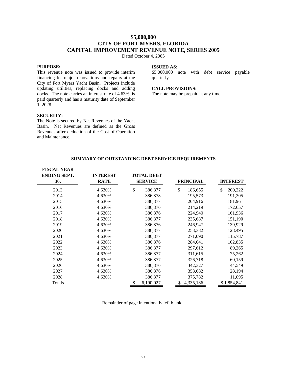# **\$5,000,000 CITY OF FORT MYERS, FLORIDA CAPITAL IMPROVEMENT REVENUE NOTE, SERIES 2005**

Dated October 4, 2005

## **PURPOSE:**

This revenue note was issued to provide interim financing for major renovations and repairs at the City of Fort Myers Yacht Basin. Projects include updating utilities, replacing docks and adding docks. The note carries an interest rate of 4.63%, is paid quarterly and has a maturity date of September 1, 2028.

## **ISSUED AS:**

\$5,000,000 note with debt service payable quarterly.

## **CALL PROVISIONS:**

The note may be prepaid at any time.

## **SECURITY:**

The Note is secured by Net Revenues of the Yacht Basin. Net Revenues are defined as the Gross Revenues after deduction of the Cost of Operation and Maintenance.

| SUMMARY OF OUTSTANDING DEBT SERVICE REQUIREMENTS |  |  |
|--------------------------------------------------|--|--|
|--------------------------------------------------|--|--|

| <b>FISCAL YEAR</b><br><b>ENDING SEPT.</b><br>30, | <b>INTEREST</b><br><b>RATE</b> | <b>TOTAL DEBT</b><br><b>SERVICE</b> | <b>PRINCIPAL</b> | <b>INTEREST</b> |
|--------------------------------------------------|--------------------------------|-------------------------------------|------------------|-----------------|
| 2013                                             | 4.630%                         | \$<br>386,877                       | \$<br>186,655    | \$<br>200,222   |
| 2014                                             | 4.630%                         | 386,878                             | 195,573          | 191,305         |
| 2015                                             | 4.630%                         | 386,877                             | 204,916          | 181,961         |
| 2016                                             | 4.630%                         | 386,876                             | 214,219          | 172,657         |
| 2017                                             | 4.630%                         | 386,876                             | 224,940          | 161,936         |
| 2018                                             | 4.630%                         | 386,877                             | 235,687          | 151,190         |
| 2019                                             | 4.630%                         | 386,876                             | 246,947          | 139,929         |
| 2020                                             | 4.630%                         | 386,877                             | 258,382          | 128,495         |
| 2021                                             | 4.630%                         | 386,877                             | 271,090          | 115,787         |
| 2022                                             | 4.630%                         | 386,876                             | 284,041          | 102,835         |
| 2023                                             | 4.630%                         | 386,877                             | 297,612          | 89,265          |
| 2024                                             | 4.630%                         | 386,877                             | 311,615          | 75,262          |
| 2025                                             | 4.630%                         | 386,877                             | 326,718          | 60,159          |
| 2026                                             | 4.630%                         | 386,876                             | 342,327          | 44,549          |
| 2027                                             | 4.630%                         | 386,876                             | 358,682          | 28,194          |
| 2028                                             | 4.630%                         | 386,877                             | 375,782          | 11,095          |
| Totals                                           |                                | \$<br>6,190,027                     | \$<br>4,335,186  | \$1,854,841     |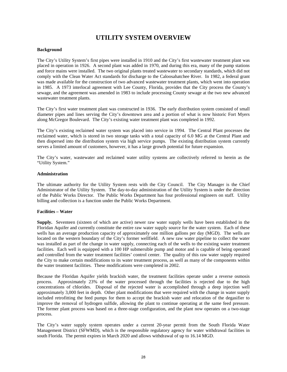# **UTILITY SYSTEM OVERVIEW**

## **Background**

The City's Utility System's first pipes were installed in 1910 and the City's first wastewater treatment plant was placed in operation in 1926. A second plant was added in 1970, and during this era, many of the pump stations and force mains were installed. The two original plants treated wastewater to secondary standards, which did not comply with the Clean Water Act standards for discharge to the Caloosahatchee River. In 1982, a federal grant was made available for the construction of two advanced wastewater treatment plants, which went into operation in 1985. A 1973 interlocal agreement with Lee County, Florida, provides that the City process the County's sewage, and the agreement was amended in 1983 to include processing County sewage at the two new advanced wastewater treatment plants.

The City's first water treatment plant was constructed in 1936. The early distribution system consisted of small diameter pipes and lines serving the City's downtown area and a portion of what is now historic Fort Myers along McGregor Boulevard. The City's existing water treatment plant was completed in 1992.

The City's existing reclaimed water system was placed into service in 1994. The Central Plant processes the reclaimed water, which is stored in two storage tanks with a total capacity of 6.0 MG at the Central Plant and then dispersed into the distribution system via high service pumps. The existing distribution system currently serves a limited amount of customers, however, it has a large growth potential for future expansion.

The City's water, wastewater and reclaimed water utility systems are collectively referred to herein as the "Utility System."

## **Administration**

The ultimate authority for the Utility System rests with the City Council. The City Manager is the Chief Administrator of the Utility System. The day-to-day administration of the Utility System is under the direction of the Public Works Director. The Public Works Department has four professional engineers on staff. Utility billing and collection is a function under the Public Works Department.

## **Facilities – Water**

**Supply.** Seventeen (sixteen of which are active) newer raw water supply wells have been established in the Floridan Aquifer and currently constitute the entire raw water supply source for the water system. Each of these wells has an average production capacity of approximately one million gallons per day (MGD). The wells are located on the western boundary of the City's former wellfield. A new raw water pipeline to collect the water was installed as part of the change in water supply, connecting each of the wells to the existing water treatment facilities. Each well is equipped with a 100 HP submersible pump and motor and is capable of being operated and controlled from the water treatment facilities' control center. The quality of this raw water supply required the City to make certain modifications to its water treatment process, as well as many of the components within the water treatment facilities. These modifications were completed in 2002.

Because the Floridan Aquifer yields brackish water, the treatment facilities operate under a reverse osmosis process. Approximately 23% of the water processed through the facilities is rejected due to the high concentrations of chlorides. Disposal of the rejected water is accomplished through a deep injection well approximately 3,000 feet in depth. Other plant modifications that were required with the change in water supply included retrofitting the feed pumps for them to accept the brackish water and relocation of the degasifier to improve the removal of hydrogen sulfide, allowing the plant to continue operating at the same feed pressure. The former plant process was based on a three-stage configuration, and the plant now operates on a two-stage process.

The City's water supply system operates under a current 20-year permit from the South Florida Water Management District (SFWMD), which is the responsible regulatory agency for water withdrawal facilities in south Florida. The permit expires in March 2020 and allows withdrawal of up to 16.14 MGD.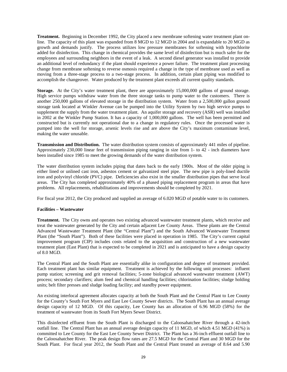**Treatment.** Beginning in December 1992, the City placed a new membrane softening water treatment plant online. The capacity of this plant was expanded from 8 MGD to 12 MGD in 2004 and is expandable to 20 MGD as growth and demands justify. The process utilizes low pressure membranes for softening with hypochlorite added for disinfection. This change in chemical provides the same level of disinfection but is much safer for the employees and surrounding neighbors in the event of a leak. A second diesel generator was installed to provide an additional level of redundancy if the plant should experience a power failure. The treatment plant processing change from membrane softening to reverse osmosis required a change in the type of membrane used as well as moving from a three-stage process to a two-stage process. In addition, certain plant piping was modified to accomplish the changeover. Water produced by the treatment plant exceeds all current quality standards.

**Storage.** At the City's water treatment plant, there are approximately 15,000,000 gallons of ground storage. High service pumps withdraw water from the three storage tanks to pump water to the customers. There is another 250,000 gallons of elevated storage in the distribution system. Water from a 2,500,000 gallon ground storage tank located at Winkler Avenue can be pumped into the Utility System by two high service pumps to supplement the supply from the water treatment plant. An aquifer storage and recovery (ASR) well was installed in 2002 at the Winkler Pump Station. It has a capacity of 1,000,000 gallons. The well has been permitted and constructed but is currently not operational due to a change in regulatory rules. Once the processed water is pumped into the well for storage, arsenic levels rise and are above the City's maximum contaminate level, making the water unusable.

**Transmission and Distribution.** The water distribution system consists of approximately 441 miles of pipeline. Approximately 230,000 linear feet of transmission piping ranging in size from 1- to 42 - inch diameters have been installed since 1985 to meet the growing demands of the water distribution system.

The water distribution system includes piping that dates back to the early 1900s. Most of the older piping is either lined or unlined cast iron, asbestos cement or galvanized steel pipe. The new pipe is poly-lined ductile iron and polyvinyl chloride (PVC) pipe. Deficiencies also exist in the smaller distribution pipes that serve local areas. The City has completed approximately 40% of a phased piping replacement program in areas that have problems. All replacements, rehabilitations and improvements should be completed by 2021.

For fiscal year 2012, the City produced and supplied an average of 6.020 MGD of potable water to its customers.

## **Facilities – Wastewater**

**Treatment.** The City owns and operates two existing advanced wastewater treatment plants, which receive and treat the wastewater generated by the City and certain adjacent Lee County Areas. These plants are the Central Advanced Wastewater Treatment Plant (the "Central Plant") and the South Advanced Wastewater Treatment Plant (the "South Plant"). Both of these facilities were placed in operation in 1985. The City's current capital improvement program (CIP) includes costs related to the acquisition and construction of a new wastewater treatment plant (East Plant) that is expected to be completed in 2021 and is anticipated to have a design capacity of 8.0 MGD.

The Central Plant and the South Plant are essentially alike in configuration and degree of treatment provided. Each treatment plant has similar equipment. Treatment is achieved by the following unit processes: influent pump station; screening and grit removal facilities; 5-zone biological advanced wastewater treatment (AWT) process; secondary clarifiers; alum feed and chemical handling facilities; chlorination facilities; sludge holding units; belt filter presses and sludge loading facility; and standby power equipment.

An existing interlocal agreement allocates capacity at both the South Plant and the Central Plant to Lee County for the County's South Fort Myers and East Lee County Sewer districts. The South Plant has an annual average design capacity of 12 MGD. Of this capacity, Lee County has an allocation of 6.96 MGD (58%) for the treatment of wastewater from its South Fort Myers Sewer District.

This disinfected effluent from the South Plant is discharged to the Caloosahatchee River through a 42-inch outfall line. The Central Plant has an annual average design capacity of 11 MGD, of which 4.51 MGD (41%) is committed to Lee County for the East Lee County Sewer District. The Plant has a 36-inch effluent outfall line to the Caloosahatchee River. The peak design flow rates are 27.5 MGD for the Central Plant and 30 MGD for the South Plant. For fiscal year 2012, the South Plant and the Central Plant treated an average of 8.64 and 5.90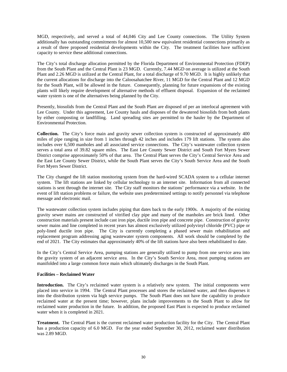MGD, respectively, and served a total of 44,046 City and Lee County connections. The Utility System additionally has outstanding commitments for almost 10,500 new equivalent residential connections primarily as a result of three proposed residential developments within the City. The treatment facilities have sufficient capacity to service these additional connections.

The City's total discharge allocation permitted by the Florida Department of Environmental Protection (FDEP) from the South Plant and the Central Plant is 23 MGD. Currently, 7.44 MGD on average is utilized at the South Plant and 2.26 MGD is utilized at the Central Plant, for a total discharge of 9.70 MGD. It is highly unlikely that the current allocations for discharge into the Caloosahatchee River, 11 MGD for the Central Plant and 12 MGD for the South Plant, will be allowed in the future. Consequently, planning for future expansions of the existing plants will likely require development of alternative methods of effluent disposal. Expansion of the reclaimed water system is one of the alternatives being planned by the City.

Presently, biosolids from the Central Plant and the South Plant are disposed of per an interlocal agreement with Lee County. Under this agreement, Lee County hauls and disposes of the dewatered biosolids from both plants by either composting or landfilling. Land spreading sites are permitted to the hauler by the Department of Environmental Protection.

**Collection.** The City's force main and gravity sewer collection system is constructed of approximately 400 miles of pipe ranging in size from 1 inches through 42 inches and includes 179 lift stations. The system also includes over 6,500 manholes and all associated service connections. The City's wastewater collection system serves a total area of 39.82 square miles. The East Lee County Sewer District and South Fort Myers Sewer District comprise approximately 50% of that area. The Central Plant serves the City's Central Service Area and the East Lee County Sewer District, while the South Plant serves the City's South Service Area and the South Fort Myers Sewer District.

The City changed the lift station monitoring system from the hard-wired SCADA system to a cellular internet system. The lift stations are linked by cellular technology to an internet site. Information from all connected stations is sent through the internet site. The City staff monitors the stations' performance via a website. In the event of lift station problems or failure, the website uses predetermined settings to notify personnel via telephone message and electronic mail.

The wastewater collection system includes piping that dates back to the early 1900s. A majority of the existing gravity sewer mains are constructed of vitrified clay pipe and many of the manholes are brick lined. Other construction materials present include cast iron pipe, ductile iron pipe and concrete pipe. Construction of gravity sewer mains and line completed in recent years has almost exclusively utilized polyvinyl chloride (PVC) pipe or poly-lined ductile iron pipe. The City is currently completing a phased sewer main rehabilitation and replacement program addressing aging wastewater system components. All work should be completed by the end of 2021. The City estimates that approximately 40% of the lift stations have also been rehabilitated to date.

In the City's Central Service Area, pumping stations are generally utilized to pump from one service area into the gravity system of an adjacent service area. In the City's South Service Area, most pumping stations are manifolded into a large common force main which ultimately discharges in the South Plant.

## **Facilities – Reclaimed Water**

Introduction. The City's reclaimed water system is a relatively new system. The initial components were placed into service in 1994. The Central Plant processes and stores the reclaimed water, and then disperses it into the distribution system via high service pumps. The South Plant does not have the capability to produce reclaimed water at the present time; however, plans include improvements to the South Plant to allow for reclaimed water production in the future. In addition, the proposed East Plant is expected to produce reclaimed water when it is completed in 2021.

**Treatment.** The Central Plant is the current reclaimed water production facility for the City. The Central Plant has a production capacity of 6.0 MGD. For the year ended September 30, 2012, reclaimed water distribution was 2.89 MGD.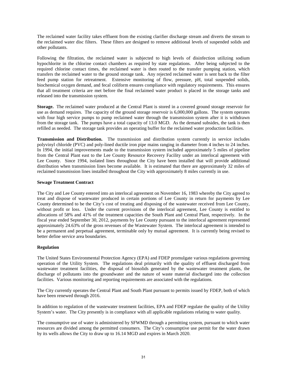The reclaimed water facility takes effluent from the existing clarifier discharge stream and diverts the stream to the reclaimed water disc filters. These filters are designed to remove additional levels of suspended solids and other pollutants.

Following the filtration, the reclaimed water is subjected to high levels of disinfection utilizing sodium hypochlorite in the chlorine contact chambers as required by state regulations. After being subjected to the required chlorine contact times, the reclaimed water is then routed to the transfer pumping station, which transfers the reclaimed water to the ground storage tank. Any rejected reclaimed water is sent back to the filter feed pump station for retreatment. Extensive monitoring of flow, pressure, pH, total suspended solids, biochemical oxygen demand, and fecal coliform ensures compliance with regulatory requirements. This ensures that all treatment criteria are met before the final reclaimed water product is placed in the storage tanks and released into the transmission system.

**Storage.** The reclaimed water produced at the Central Plant is stored in a covered ground storage reservoir for use as demand requires. The capacity of the ground storage reservoir is 6,000,000 gallons. The system operates with four high service pumps to pump reclaimed water through the transmission system after it is withdrawn from the storage tank. The pumps have a total capacity of 13.0 MGD. As the demand subsides, the tank is then refilled as needed. The storage tank provides an operating buffer for the reclaimed water production facilities.

**Transmission and Distribution.** The transmission and distribution system currently in service includes polyvinyl chloride (PVC) and poly-lined ductile iron pipe mains ranging in diameter from 4 inches to 24 inches. In 1994, the initial improvements made to the transmission system included approximately 5 miles of pipeline from the Central Plant east to the Lee County Resource Recovery Facility under an interlocal agreement with Lee County. Since 1994, isolated lines throughout the City have been installed that will provide additional distribution when transmission lines become available. It is estimated that there are approximately 32 miles of reclaimed transmission lines installed throughout the City with approximately 8 miles currently in use.

## **Sewage Treatment Contract**

The City and Lee County entered into an interlocal agreement on November 16, 1983 whereby the City agreed to treat and dispose of wastewater produced in certain portions of Lee County in return for payments by Lee County determined to be the City's cost of treating and disposing of the wastewater received from Lee County, without profit or loss. Under the current provisions of the interlocal agreement, Lee County is entitled to allocations of 58% and 41% of the treatment capacities the South Plant and Central Plant, respectively. In the fiscal year ended September 30, 2012, payments by Lee County pursuant to the interlocal agreement represented approximately 24.63% of the gross revenues of the Wastewater System. The interlocal agreement is intended to be a permanent and perpetual agreement, terminable only by mutual agreement. It is currently being revised to better define service area boundaries.

## **Regulation**

The United States Environmental Protection Agency (EPA) and FDEP promulgate various regulations governing operation of the Utility System. The regulations deal primarily with the quality of effluent discharged from wastewater treatment facilities, the disposal of biosolids generated by the wastewater treatment plants, the discharge of pollutants into the groundwater and the nature of waste material discharged into the collection facilities. Various monitoring and reporting requirements are associated with the regulations.

The City currently operates the Central Plant and South Plant pursuant to permits issued by FDEP, both of which have been renewed through 2016.

In addition to regulation of the wastewater treatment facilities, EPA and FDEP regulate the quality of the Utility System's water. The City presently is in compliance with all applicable regulations relating to water quality.

The consumptive use of water is administered by SFWMD through a permitting system, pursuant to which water resources are divided among the permitted consumers. The City's consumptive use permit for the water drawn by its wells allows the City to draw up to 16.14 MGD and expires in March 2020.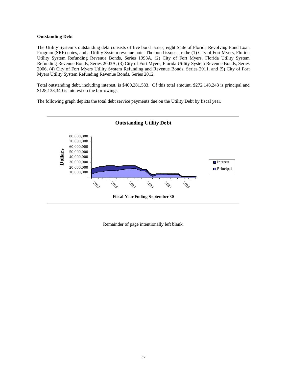## **Outstanding Debt**

The Utility System's outstanding debt consists of five bond issues, eight State of Florida Revolving Fund Loan Program (SRF) notes, and a Utility System revenue note. The bond issues are the (1) City of Fort Myers, Florida Utility System Refunding Revenue Bonds, Series 1993A, (2) City of Fort Myers, Florida Utility System Refunding Revenue Bonds, Series 2003A, (3) City of Fort Myers, Florida Utility System Revenue Bonds, Series 2006, (4) City of Fort Myers Utility System Refunding and Revenue Bonds, Series 2011, and (5) City of Fort Myers Utility System Refunding Revenue Bonds, Series 2012.

Total outstanding debt, including interest, is \$400,281,583. Of this total amount, \$272,148,243 is principal and \$128,133,340 is interest on the borrowings.

The following graph depicts the total debt service payments due on the Utility Debt by fiscal year.

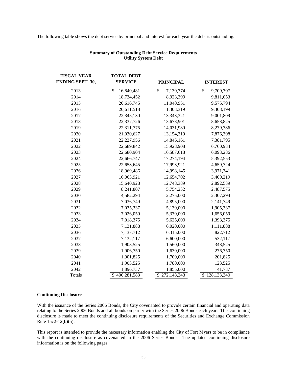The following table shows the debt service by principal and interest for each year the debt is outstanding.

**TOTAL DEBT** 

| TIOCAL TEAN<br><b>ENDING SEPT. 30,</b> | TATIN DED I<br><b>SERVICE</b> | <b>PRINCIPAL</b> | <b>INTEREST</b> |
|----------------------------------------|-------------------------------|------------------|-----------------|
| 2013                                   | \$<br>16,840,481              | \$<br>7,130,774  | \$<br>9,709,707 |
| 2014                                   | 18,734,452                    | 8,923,399        | 9,811,053       |
| 2015                                   | 20,616,745                    | 11,040,951       | 9,575,794       |
| 2016                                   | 20,611,518                    | 11,303,319       | 9,308,199       |
| 2017                                   | 22,345,130                    | 13,343,321       | 9,001,809       |
| 2018                                   | 22,337,726                    | 13,678,901       | 8,658,825       |
| 2019                                   | 22,311,775                    | 14,031,989       | 8,279,786       |
| 2020                                   | 21,030,627                    | 13,154,319       | 7,876,308       |
| 2021                                   | 22,227,956                    | 14,846,161       | 7,381,795       |
| 2022                                   | 22,689,842                    | 15,928,908       | 6,760,934       |
| 2023                                   | 22,680,904                    | 16,587,618       | 6,093,286       |
| 2024                                   | 22,666,747                    | 17,274,194       | 5,392,553       |
| 2025                                   | 22,653,645                    | 17,993,921       | 4,659,724       |
| 2026                                   | 18,969,486                    | 14,998,145       | 3,971,341       |
| 2027                                   | 16,063,921                    | 12,654,702       | 3,409,219       |
| 2028                                   | 15,640,928                    | 12,748,389       | 2,892,539       |
| 2029                                   | 8,241,807                     | 5,754,232        | 2,487,575       |
| 2030                                   | 4,582,294                     | 2,275,000        | 2,307,294       |
| 2031                                   | 7,036,749                     | 4,895,000        | 2,141,749       |
| 2032                                   | 7,035,337                     | 5,130,000        | 1,905,337       |
| 2033                                   | 7,026,059                     | 5,370,000        | 1,656,059       |
| 2034                                   | 7,018,375                     | 5,625,000        | 1,393,375       |
| 2035                                   | 7,131,888                     | 6,020,000        | 1,111,888       |
| 2036                                   | 7,137,712                     | 6,315,000        | 822,712         |
| 2037                                   | 7,132,117                     | 6,600,000        | 532,117         |
| 2038                                   | 1,908,525                     | 1,560,000        | 348,525         |
| 2039                                   | 1,906,750                     | 1,630,000        | 276,750         |
| 2040                                   | 1,901,825                     | 1,700,000        | 201,825         |
| 2041                                   | 1,903,525                     | 1,780,000        | 123,525         |
| 2042                                   | 1,896,737                     | 1,855,000        | 41,737          |
| Totals                                 | \$400,281,583                 | \$272,148,243    | \$128,133,340   |

## **Summary of Outstanding Debt Service Requirements Utility System Debt**

## **Continuing Disclosure**

**FISCAL YEAR** 

With the issuance of the Series 2006 Bonds, the City covenanted to provide certain financial and operating data relating to the Series 2006 Bonds and all bonds on parity with the Series 2006 Bonds each year. This continuing disclosure is made to meet the continuing disclosure requirements of the Securities and Exchange Commission Rule 15c2-12(b)(5).

This report is intended to provide the necessary information enabling the City of Fort Myers to be in compliance with the continuing disclosure as covenanted in the 2006 Series Bonds. The updated continuing disclosure information is on the following pages.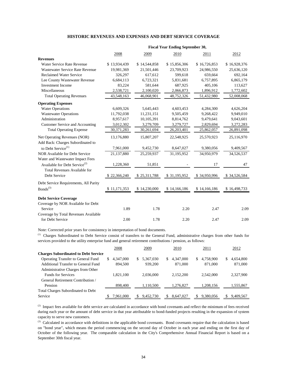## **HISTORIC REVENUES AND EXPENSES AND DEBT SERVICE COVERAGE**

|                                           | <b>Fiscal Year Ending September 30,</b> |              |              |              |              |  |  |
|-------------------------------------------|-----------------------------------------|--------------|--------------|--------------|--------------|--|--|
|                                           | 2008                                    | 2009         | 2010         | 2011         | 2012         |  |  |
| <b>Revenues</b>                           |                                         |              |              |              |              |  |  |
| Water Service Rate Revenue                | \$13,934,439                            | \$14,544,858 | \$15,856,306 | \$16,726,853 | \$16,928,376 |  |  |
| Wastewater Service Rate Revenue           | 19,981,369                              | 21,501,446   | 23,709,923   | 24,986,550   | 25,636,120   |  |  |
| <b>Reclaimed Water Service</b>            | 326,297                                 | 617,612      | 599,618      | 659,664      | 692,164      |  |  |
| Lee County Wastewater Revenue             | 6,684,113                               | 6,723,321    | 5,831,681    | 6,757,895    | 6,865,179    |  |  |
| <b>Investment Income</b>                  | 83,224                                  | 581,644      | 687,925      | 405,106      | 113,627      |  |  |
| Miscellaneous                             | 2,538,721                               | 2,100,020    | 2,066,873    | 1,896,912    | 1,772,602    |  |  |
| <b>Total Operating Revenues</b>           | 43,548,163                              | 46,068,901   | 48,752,326   | 51,432,980   | 52,008,068   |  |  |
| <b>Operating Expenses</b>                 |                                         |              |              |              |              |  |  |
| <b>Water Operations</b>                   | 6,609,326                               | 5,645,443    | 4,603,453    | 4,284,300    | 4,626,204    |  |  |
| <b>Wastewater Operations</b>              | 11,792,038                              | 11,231,151   | 9,505,459    | 9,268,422    | 9,949,010    |  |  |
| Administration                            | 8,957,617                               | 10,105,391   | 8,814,762    | 9,479,641    | 9,043,601    |  |  |
| Customer Service and Accounting           | 3,012,302                               | 3,279,709    | 3,279,727    | 2,829,694    | 3,272,283    |  |  |
| <b>Total Operating Expense</b>            | 30,371,283                              | 30,261,694   | 26,203,401   | 25,862,057   | 26,891,098   |  |  |
| Net Operating Revenues (NOR)              | 13,176,880                              | 15,807,207   | 22,548,925   | 25,570,923   | 25,116,970   |  |  |
| Add Back: Charges Subordinated to         |                                         |              |              |              |              |  |  |
| to Debt Service <sup>(1)</sup>            | 7,961,000                               | 9,452,730    | 8,647,027    | 9,380,056    | 9,409,567    |  |  |
| NOR Available for Debt Service            | 21,137,880                              | 25,259,937   | 31,195,952   | 34,950,979   | 34,526,537   |  |  |
| Water and Wastewater Impact Fees          |                                         |              |              |              |              |  |  |
| Available for Debt Service <sup>(2)</sup> | 1,228,360                               | 51,851       |              | 17           | 47           |  |  |
| <b>Total Revenues Available for</b>       |                                         |              |              |              |              |  |  |
| Debt Service                              | \$22,366,240                            | \$25,311,788 | \$31,195,952 | \$34,950,996 | \$34,526,584 |  |  |
| Debt Service Requirements, All Parity     |                                         |              |              |              |              |  |  |
| $\mathrm{Bonds}^{(3)}$                    | \$11,171,353                            | \$14,230,000 | \$14,166,186 | \$14,166,186 | \$16,498,733 |  |  |
| <b>Debt Service Coverage</b>              |                                         |              |              |              |              |  |  |
| Coverage by NOR Available for Debt        |                                         |              |              |              |              |  |  |
| Service                                   | 1.89                                    | 1.78         | 2.20         | 2.47         | 2.09         |  |  |
| Coverage by Total Revenues Available      |                                         |              |              |              |              |  |  |
| for Debt Service                          | 2.00                                    | 1.78         | 2.20         | 2.47         | 2.09         |  |  |

Note: Corrected prior years for consistency in interpretation of bond documents.

(1) Charges Subordinated to Debt Service consist of transfers to the General Fund, administrative charges from other funds for services provided to the utility enterprise fund and general retirement contributions / pension, as follows:

|                                             | 2008            | 2009            | 2010            | 2011            | 2012            |
|---------------------------------------------|-----------------|-----------------|-----------------|-----------------|-----------------|
| <b>Charges Subordinated to Debt Service</b> |                 |                 |                 |                 |                 |
| <b>Operating Transfer to General Fund</b>   | 4,347,000<br>S. | 5,367,030<br>S. | 4.347,000<br>S. | 4,758,900<br>S. | \$<br>4,654,800 |
| Additional Transfer to General Fund         | 894,500         | 939,200         | 871,000         | 871,000         | 871,000         |
| Administrative Charges from Other           |                 |                 |                 |                 |                 |
| <b>Funds for Services</b>                   | 1.821.100       | 2.036.000       | 2.152.200       | 2.542,000       | 2,327,900       |
| General Retirement Contribution /           |                 |                 |                 |                 |                 |
| Pension                                     | 898,400         | 1,110,500       | 1.276.827       | 1,208,156       | 1,555,867       |
| <b>Total Charges Subordinated to Debt</b>   |                 |                 |                 |                 |                 |
| Service                                     | 7,961,000       | 9,452,730       | 8,647,027       | 9,380,056       | 9,409,567       |

 $^{(2)}$  Impact fees available for debt service are calculated in accordance with bond covenants and reflect the minimum of fees received during each year or the amount of debt service in that year attributable to bond-funded projects resulting in the expansion of system capacity to serve new customers.

(3) Calculated in accordance with definitions in the applicable bond covenants. Bond covenants require that the calculation is based on "bond year", which means the period commencing on the second day of October in each year and ending on the first day of October of the following year. The comparable calculation in the City's Comprehensive Annual Financial Report is based on a September 30th fiscal year.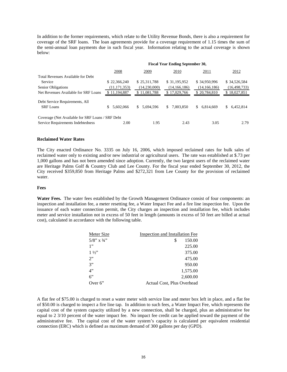In addition to the former requirements, which relate to the Utility Revenue Bonds, there is also a requirement for coverage of the SRF loans. The loan agreements provide for a coverage requirement of 1.15 times the sum of the semi-annual loan payments due in such fiscal year. Information relating to the actual coverage is shown below:

|                                                  | <b>Fiscal Year Ending September 30,</b> |                 |                 |                 |                 |
|--------------------------------------------------|-----------------------------------------|-----------------|-----------------|-----------------|-----------------|
|                                                  | 2008                                    | 2009            | 2010            | 2011            | 2012            |
| Total Revenues Available for Debt                |                                         |                 |                 |                 |                 |
| Service                                          | \$22,366,240                            | \$25,311,788    | \$31,195,952    | \$34,950,996    | \$34,526,584    |
| Senior Obligations                               | (11, 171, 353)                          | (14,230,000)    | (14, 166, 186)  | (14, 166, 186)  | (16, 498, 733)  |
| Net Revenues Available for SRF Loans             | \$11,194,887                            | \$11,081,788    | \$17,029,766    | \$20,784,810    | \$18,027,851    |
| Debt Service Requirements, All                   |                                         |                 |                 |                 |                 |
| <b>SRF</b> Loans                                 | 5.602.066                               | 5.694.596<br>S. | 7,003,850<br>S. | S.<br>6.814.669 | 6.452.814<br>S. |
| Coverage (Net Available for SRF Loans / SRF Debt |                                         |                 |                 |                 |                 |
| Service Requirements Indebtedness                | 2.00                                    | 1.95            | 2.43            | 3.05            | 2.79            |

## **Reclaimed Water Rates**

The City enacted Ordinance No. 3335 on July 16, 2006, which imposed reclaimed rates for bulk sales of reclaimed water only to existing and/or new industrial or agricultural users. The rate was established at \$.73 per 1,000 gallons and has not been amended since adoption. Currently, the two largest users of the reclaimed water are Heritage Palms Golf & Country Club and Lee County. For the fiscal year ended September 30, 2012, the City received \$359,850 from Heritage Palms and \$272,321 from Lee County for the provision of reclaimed water.

#### **Fees**

**Water Fees.** The water fees established by the Growth Management Ordinance consist of four components: an inspection and installation fee, a meter resetting fee, a Water Impact Fee and a fire line inspection fee. Upon the issuance of each water connection permit, the City charges an inspection and installation fee, which includes meter and service installation not in excess of 50 feet in length (amounts in excess of 50 feet are billed at actual cost), calculated in accordance with the following table.

| Inspection and Installation Fee |
|---------------------------------|
| \$<br>150.00                    |
| 225.00                          |
| 375.00                          |
| 475.00                          |
| 950.00                          |
| 1,575.00                        |
| 2,600.00                        |
| Actual Cost, Plus Overhead      |
|                                 |

A flat fee of \$75.00 is charged to reset a water meter with service line and meter box left in place, and a flat fee of \$50.00 is charged to inspect a fire line tap. In addition to such fees, a Water Impact Fee, which represents the capital cost of the system capacity utilized by a new connection, shall be charged, plus an administrative fee equal to 2 3/10 percent of the water impact fee. No impact fee credit can be applied toward the payment of the administrative fee. The capital cost of the water system's capacity is calculated per equivalent residential connection (ERC) which is defined as maximum demand of 300 gallons per day (GPD).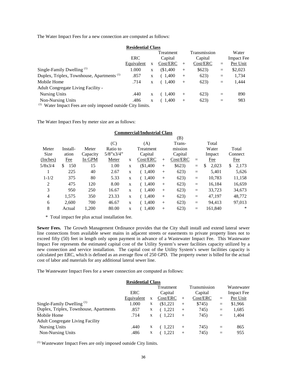The Water Impact Fees for a new connection are computed as follows:

| <b>Residential Class</b>                                       |            |   |                      |        |              |     |                   |
|----------------------------------------------------------------|------------|---|----------------------|--------|--------------|-----|-------------------|
|                                                                |            |   | Treatment            |        | Transmission |     | Water             |
|                                                                | ERC        |   | Capital              |        | Capital      |     | <b>Impact Fee</b> |
|                                                                | Equivalent | X | Cost/ERC             | $^{+}$ | Cost/ERC     | $=$ | Per Unit          |
| Single-Family Dwelling <sup>(1)</sup>                          | 1.000      | X | \$1,400              | $+$    | \$623)       | $=$ | \$2,023           |
| Duplex, Triplex, Townhouse, Apartments <sup>(1)</sup>          | .857       | X | (1,400)              | $+$    | 623)         | $=$ | 1,734             |
| Mobile Home                                                    | .714       | X | (1,400)              | $+$    | 623)         | $=$ | 1,444             |
| Adult Congregate Living Facility -                             |            |   |                      |        |              |     |                   |
| <b>Nursing Units</b>                                           | .440       | X | $\left(1.400\right)$ | $+$    | 623)         | $=$ | 890               |
| <b>Non-Nursing Units</b>                                       | .486       | X | (1,400)              | $^{+}$ | 623)         | $=$ | 983               |
| (1)<br>Water Impact Fees are only imposed outside City limits. |            |   |                      |        |              |     |                   |

The Water Impact Fees by meter size are as follows:

| <b>Commercial/Industrial Class</b> |           |          |                  |   |            |        |          |                   |             |             |
|------------------------------------|-----------|----------|------------------|---|------------|--------|----------|-------------------|-------------|-------------|
|                                    |           |          |                  |   |            |        | (B)      |                   |             |             |
|                                    |           |          | (C)              |   | (A)        |        | Trans-   |                   | Total       |             |
| Meter                              | Install-  | Meter    | Ratio to         |   | Treatment  |        | mission  |                   | Water       | Total       |
| <b>Size</b>                        | ation     | Capacity | $5/8$ "x $3/4$ " |   | Capital    |        | Capital  |                   | Impact      | Connect     |
| (Inches)                           | Fee       | In GPM   | Meter            | X | Cost/ERC   | $^{+}$ | Cost/ERC | $\qquad \qquad =$ | <b>Fee</b>  | Fee         |
| 5/8x3/4                            | 150<br>\$ | 15       | 1.00             | X | $(\$1,400$ | $^{+}$ | \$623)   | $=$               | \$<br>2,023 | \$<br>2,173 |
| 1                                  | 225       | 40       | 2.67             | X | (1,400)    | $+$    | 623)     | $=$               | 5,401       | 5,626       |
| $1 - 1/2$                          | 375       | 80       | 5.33             | X | (1,400)    | $+$    | 623)     | $=$               | 10,783      | 11,158      |
| $\overline{2}$                     | 475       | 120      | 8.00             | X | (1,400)    | $+$    | 623)     | $=$               | 16,184      | 16,659      |
| 3                                  | 950       | 250      | 16.67            | X | (1,400)    | $^{+}$ | 623)     | $\equiv$          | 33,723      | 34,673      |
| 4                                  | 1.575     | 350      | 23.33            | X | (1,400)    | $^{+}$ | 623)     | $=$               | 47,197      | 48.772      |
| 6                                  | 2.600     | 700      | 46.67            | X | 1,400      | $^{+}$ | 623)     | $=$               | 94.413      | 97,013      |
| 8                                  | Actual    | 1,200    | 80.00            | X | 1.400      | $^{+}$ | 623)     | $=$               | 161.840     | ∗           |
|                                    |           |          |                  |   |            |        |          |                   |             |             |

\* Total impact fee plus actual installation fee.

**Sewer Fees.** The Growth Management Ordinance provides that the City shall install and extend lateral sewer line connections from available sewer mains in adjacent streets or easements to private property lines not to exceed fifty (50) feet in length only upon payment in advance of a Wastewater Impact Fee. This Wastewater Impact Fee represents the estimated capital cost of the Utility System's sewer facilities capacity utilized by a new connection and service installation. The capital cost of the Utility System's sewer facilities capacity is calculated per ERC, which is defined as an average flow of 250 GPD. The property owner is billed for the actual cost of labor and materials for any additional lateral sewer line.

The Wastewater Impact Fees for a sewer connection are computed as follows:

| <b>Residential Class</b>                |            |   |           |        |              |          |                   |
|-----------------------------------------|------------|---|-----------|--------|--------------|----------|-------------------|
|                                         |            |   | Treatment |        | Transmission |          | Wastewater        |
|                                         | ERC        |   | Capital   |        | Capital      |          | <b>Impact Fee</b> |
|                                         | Equivalent | X | Cost/ERC  |        | Cost/ERC     | $\equiv$ | Per Unit          |
| Single-Family Dwelling <sup>(1)</sup>   | 1.000      | X | \$1,221   | $^{+}$ | \$745)       | $=$      | \$1,966           |
| Duplex, Triplex, Townhouse, Apartments  | .857       | X | 1,221     | $^{+}$ | 745)         | $\equiv$ | 1,685             |
| Mobile Home                             | .714       | X | 1,221     | $+$    | 745)         | $\equiv$ | 1,404             |
| <b>Adult Congregate Living Facility</b> |            |   |           |        |              |          |                   |
| <b>Nursing Units</b>                    | .440       | X | 1.221     | $^{+}$ | 745)         | $\equiv$ | 865               |
| Non-Nursing Units                       | .486       | X | 1.221     | $^{+}$ | 745)         | $=$      | 955               |

(1) Wastewater Impact Fees are only imposed outside City limits.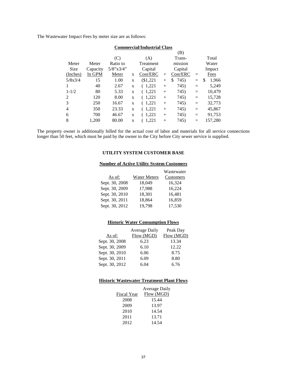The Wastewater Impact Fees by meter size are as follows:

| Commercial/muustrial Class |          |                  |   |                    |        |            |     |             |  |
|----------------------------|----------|------------------|---|--------------------|--------|------------|-----|-------------|--|
|                            |          |                  |   |                    |        | (B)        |     |             |  |
|                            |          | (C)              |   | (A)                |        | Trans-     |     | Total       |  |
| Meter                      | Meter    | Ratio to         |   | Treatment          |        | mission    |     | Water       |  |
| Size                       | Capacity | $5/8$ "x $3/4$ " |   | Capital<br>Capital |        |            |     | Impact      |  |
| (Inches)                   | In GPM   | Meter            | X | Cost/ERC           | $^{+}$ | Cost/ERC   | $=$ | Fees        |  |
| 5/8x3/4                    | 15       | 1.00             | X | $(\$1,221$         | $^{+}$ | 745)<br>\$ | $=$ | 1,966<br>\$ |  |
| 1                          | 40       | 2.67             | X | 1,221              | $^{+}$ | 745)       | $=$ | 5,249       |  |
| $1 - 1/2$                  | 80       | 5.33             | X | 1,221              | $^{+}$ | 745)       | $=$ | 10,479      |  |
| 2                          | 120      | 8.00             | X | (1,221)            | $^{+}$ | 745)       | $=$ | 15,728      |  |
| 3                          | 250      | 16.67            | X | (1,221)            | $^{+}$ | 745)       | $=$ | 32,773      |  |
| 4                          | 350      | 23.33            | X | 1.221              | $^{+}$ | 745)       | $=$ | 45,867      |  |
| 6                          | 700      | 46.67            | X | 1,221              | $^{+}$ | 745)       | $=$ | 91,753      |  |
| 8                          | 1.200    | 80.00            | X | 1.221              | $^{+}$ | 745)       | $=$ | 157,280     |  |
|                            |          |                  |   |                    |        |            |     |             |  |

# **Commercial/Industrial Class**

The property owner is additionally billed for the actual cost of labor and materials for all service connections longer than 50 feet, which must be paid by the owner to the City before City sewer service is supplied.

## **UTILITY SYSTEM CUSTOMER BASE**

## **Number of Active Utility System Customers**

|                |                     | Wastewater |
|----------------|---------------------|------------|
| As of:         | <b>Water Meters</b> | Customers  |
| Sept. 30, 2008 | 18,049              | 16,324     |
| Sept. 30, 2009 | 17,988              | 16,224     |
| Sept. 30, 2010 | 18,301              | 16,481     |
| Sept. 30, 2011 | 18,864              | 16,859     |
| Sept. 30, 2012 | 19,798              | 17,530     |

## **Historic Water Consumption Flows**

|                | <b>Average Daily</b> | Peak Day   |
|----------------|----------------------|------------|
| As of:         | Flow (MGD)           | Flow (MGD) |
| Sept. 30, 2008 | 6.23                 | 13.34      |
| Sept. 30, 2009 | 6.10                 | 12.22      |
| Sept. 30, 2010 | 6.06                 | 8.75       |
| Sept. 30, 2011 | 6.09                 | 8.80       |
| Sept. 30, 2012 | 6.04                 | 6.76       |

## **Historic Wastewater Treatment Plant Flows**

|                    | <b>Average Daily</b> |
|--------------------|----------------------|
| <b>Fiscal Year</b> | Flow (MGD)           |
| 2008               | 15.44                |
| 2009               | 13.97                |
| 2010               | 14.54                |
| 2011               | 13.71                |
| 2012               | 14.54                |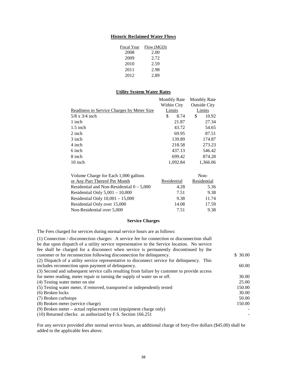## **Historic Reclaimed Water Flows**

| <b>Fiscal Year</b> | Flow (MGD) |
|--------------------|------------|
| 2008               | 2.00       |
| 2009               | 2.72       |
| 2010               | 2.59       |
| 2011               | 2.98       |
| 2012               | 2.89       |

## **Utility System Water Rates**

|                                            | <b>Monthly Rate</b> |          | <b>Monthly Rate</b> |          |
|--------------------------------------------|---------------------|----------|---------------------|----------|
|                                            | Within City         |          | <b>Outside City</b> |          |
| Readiness to Service Charges by Meter Size | Limits              |          |                     | Limits   |
| $5/8 \times 3/4$ inch                      | \$                  | 8.74     | \$                  | 10.92    |
| 1 inch                                     |                     | 21.87    |                     | 27.34    |
| $1.5$ inch                                 |                     | 43.72    |                     | 54.65    |
| 2 inch                                     |                     | 69.95    |                     | 87.51    |
| 3 inch                                     |                     | 139.89   |                     | 174.87   |
| 4 inch                                     |                     | 218.58   |                     | 273.23   |
| 6 inch                                     |                     | 437.13   |                     | 546.42   |
| 8 inch                                     |                     | 699.42   |                     | 874.28   |
| 10 inch                                    |                     | 1.092.84 |                     | 1,366.06 |

| Volume Charge for Each 1,000 gallons        |             | Non-        |
|---------------------------------------------|-------------|-------------|
| or Any Part Thereof Per Month               | Residential | Residential |
| Residential and Non-Residential $0 - 5,000$ | 4.28        | 5.36        |
| Residential Only $5,001 - 10,000$           | 7.51        | 9.38        |
| Residential Only $10,001 - 15,000$          | 9.38        | 11.74       |
| Residential Only over 15,000                | 14.08       | 17.59       |
| Non-Residential over 5,000                  | 7.51        | 9.38        |

## **Service Charges**

The Fees charged for services during normal service hours are as follows:

| (1) Connection / disconnection charges: A service fee for connection or disconnection shall  |         |
|----------------------------------------------------------------------------------------------|---------|
| be due upon dispatch of a utility service representative to the Service location. No service |         |
| fee shall be charged for a disconnect when service is permanently discontinued by the        |         |
| customer or for reconnection following disconnection for delinquency.                        | \$30.00 |
| (2) Dispatch of a utility service representative to disconnect service for delinquency. This |         |
| includes reconnection upon payment of delinquency.                                           | 60.00   |
| (3) Second and subsequent service calls resulting from failure by customer to provide access |         |
| for meter reading, meter repair or turning the supply of water on or off.                    | 30.00   |
| (4) Testing water meter on site                                                              | 25.00   |
| (5) Testing water meter, if removed, transported or independently tested                     | 150.00  |
| (6) Broken locks                                                                             | 30.00   |
| (7) Broken curbstops                                                                         | 50.00   |
| (8) Broken meter (service charge)                                                            | 150.00  |
| $(9)$ Broken meter – actual replacement cost (equipment charge only)                         |         |
| (10) Returned checks: as authorized by F.S. Section 166.251                                  |         |

For any service provided after normal service hours, an additional charge of forty-five dollars (\$45.00) shall be added to the applicable fees above.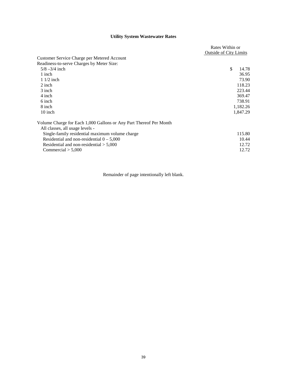# **Utility System Wastewater Rates**

|                                                                    | Rates Within or               |          |
|--------------------------------------------------------------------|-------------------------------|----------|
|                                                                    | <b>Outside of City Limits</b> |          |
| Customer Service Charge per Metered Account                        |                               |          |
| Readiness-to-serve Charges by Meter Size:                          |                               |          |
| $5/8 - 3/4$ inch                                                   | \$                            | 14.78    |
| 1 inch                                                             |                               | 36.95    |
| $11/2$ inch                                                        |                               | 73.90    |
| $2$ inch                                                           |                               | 118.23   |
| 3 inch                                                             |                               | 223.44   |
| 4 inch                                                             |                               | 369.47   |
| 6 inch                                                             |                               | 738.91   |
| 8 inch                                                             |                               | 1,182.26 |
| 10 inch                                                            |                               | 1,847.29 |
| Volume Charge for Each 1,000 Gallons or Any Part Thereof Per Month |                               |          |
| All classes, all usage levels -                                    |                               |          |
| Single-family residential maximum volume charge                    |                               | 115.80   |
| Residential and non-residential $0 - 5,000$                        |                               | 10.44    |
| Residential and non-residential $> 5,000$                          |                               | 12.72    |
| $\text{Commercial} > 5,000$                                        |                               | 12.72    |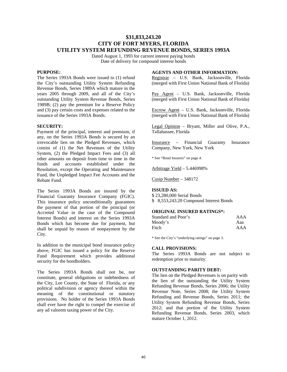## **\$31,833,243.20 CITY OF FORT MYERS, FLORIDA UTILITY SYSTEM REFUNDING REVENUE BONDS, SERIES 1993A**

Dated August 1, 1993 for current interest paying bonds Date of delivery for compound interest bonds

## **PURPOSE:**

The Series 1993A Bonds were issued to (1) refund the City's outstanding Utility System Refunding Revenue Bonds, Series 1989A which mature in the years 2005 through 2009, and all of the City's outstanding Utility System Revenue Bonds, Series 1989B; (2) pay the premium for a Reserve Policy and (3) pay certain costs and expenses related to the issuance of the Series 1993A Bonds.

## **SECURITY:**

Payment of the principal, interest and premium, if any, on the Series 1993A Bonds is secured by an irrevocable lien on the Pledged Revenues, which consist of (1) the Net Revenues of the Utility System, (2) the Pledged Impact Fees and (3) all other amounts on deposit from time to time in the funds and accounts established under the Resolution, except the Operating and Maintenance Fund, the Unpledged Impact Fee Accounts and the Rebate Fund.

The Series 1993A Bonds are insured by the Financial Guaranty Insurance Company (FGIC). This insurance policy unconditionally guarantees the payment of that portion of the principal (or Accreted Value in the case of the Compound Interest Bonds) and interest on the Series 1993A Bonds which has become due for payment, but shall be unpaid by reason of nonpayment by the City.

In addition to the municipal bond insurance policy above, FGIC has issued a policy for the Reserve Fund Requirement which provides additional security for the bondholders.

The Series 1993A Bonds shall not be, nor constitute, general obligations or indebtedness of the City, Lee County, the State of Florida, or any political subdivision or agency thereof within the meaning of the constitutional or statutory provisions. No holder of the Series 1993A Bonds shall ever have the right to compel the exercise of any ad valorem taxing power of the City.

## **AGENTS AND OTHER INFORMATION:**

Registrar – U.S. Bank, Jacksonville, Florida (merged with First Union National Bank of Florida)

Pay Agent – U.S. Bank, Jacksonville, Florida (merged with First Union National Bank of Florida)

Escrow Agent – U.S. Bank, Jacksonville, Florida (merged with First Union National Bank of Florida)

Legal Opinion – Bryant, Miller and Olive, P.A., Tallahassee, Florida

Insurance – Financial Guaranty Insurance Company, New York, New York

\* See "Bond Insurers" on page 4.

Arbitrage Yield – 5.446998%

Cusip Number – 348172

#### **ISSUED AS:**

\$ 23,280,000 Serial Bonds \$ 8,553,243.20 Compound Interest Bonds

## **ORIGINAL INSURED RATINGS\*:**

| Standard and Poor's | AAA |
|---------------------|-----|
| Moody's             | Aaa |
| Fitch               | AAA |

\* See the City's "underlying ratings" on page 3.

## **CALL PROVISIONS:**

The Series 1993A Bonds are not subject to redemption prior to maturity.

## **OUTSTANDING PARITY DEBT:**

The lien on the Pledged Revenues is on parity with the lien of the outstanding the Utility System Refunding Revenue Bonds, Series 2006; the Utility Revenue Note, Series 2008; the Utility System Refunding and Revenue Bonds, Series 2011; the Utility System Refunding Revenue Bonds, Series 2012; and that portion of the Utility System Refunding Revenue Bonds, Series 2003, which mature October 1, 2012.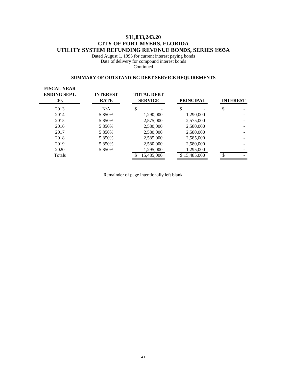# **\$31,833,243.20 CITY OF FORT MYERS, FLORIDA UTILITY SYSTEM REFUNDING REVENUE BONDS, SERIES 1993A**

Dated August 1, 1993 for current interest paying bonds Date of delivery for compound interest bonds **Continued** 

## **SUMMARY OF OUTSTANDING DEBT SERVICE REQUIREMENTS**

| <b>FISCAL YEAR</b><br><b>ENDING SEPT.</b><br>30, | <b>INTEREST</b><br><b>RATE</b> | <b>TOTAL DEBT</b><br><b>SERVICE</b> | <b>PRINCIPAL</b> | <b>INTEREST</b> |
|--------------------------------------------------|--------------------------------|-------------------------------------|------------------|-----------------|
| 2013                                             | N/A                            | \$                                  | \$               | \$              |
| 2014                                             | 5.850%                         | 1,290,000                           | 1,290,000        |                 |
| 2015                                             | 5.850%                         | 2,575,000                           | 2,575,000        |                 |
| 2016                                             | 5.850%                         | 2,580,000                           | 2,580,000        |                 |
| 2017                                             | 5.850%                         | 2,580,000                           | 2,580,000        |                 |
| 2018                                             | 5.850%                         | 2,585,000                           | 2,585,000        |                 |
| 2019                                             | 5.850%                         | 2,580,000                           | 2,580,000        |                 |
| 2020                                             | 5.850%                         | 1,295,000                           | 1,295,000        |                 |
| Totals                                           |                                | 15,485,000                          | \$15,485,000     |                 |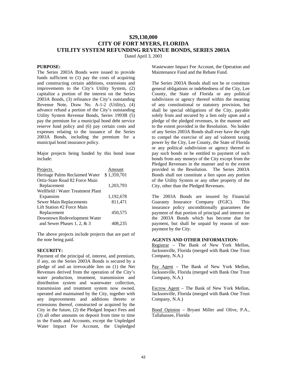# **\$29,130,000 CITY OF FORT MYERS, FLORIDA UTILITY SYSTEM REFUNDING REVENUE BONDS, SERIES 2003A**

Dated April 3, 2003

## **PURPOSE:**

The Series 2003A Bonds were issued to provide funds sufficient to (1) pay the costs of acquiring and constructing certain additions, extensions and improvements to the City's Utility System, (2) capitalize a portion of the interest on the Series 2003A Bonds, (3) refinance the City's outstanding Revenue Note, Draw No. A-1-2 (Utility), (4) advance refund a portion of the City's outstanding Utility System Revenue Bonds, Series 1993B (5) pay the premium for a municipal bond debt service reserve fund policy and (6) pay certain costs and expenses relating to the issuance of the Series 2003A Bonds, including the premium for a municipal bond insurance policy.

Major projects being funded by this bond issue include:

| Projects                          | Amount      |
|-----------------------------------|-------------|
| Heritage Palms Reclaimed Water    | \$1,359,701 |
| Ortiz-State Road 82 Force Main    |             |
| Replacement                       | 1,203,793   |
| Wellfield / Water Treatment Plant |             |
| Expansion                         | 1,192,678   |
| Sewer Main Replacements           | 811,471     |
| Lift Station #2 Force Main        |             |
| Replacement                       | 450.575     |
| Downtown Redevelopment Water      |             |
| and Sewer Phases 1, 2, $& 3$      | 408.235     |

The above projects include projects that are part of the note being paid.

## **SECURITY:**

Payment of the principal of, interest, and premium, if any, on the Series 2003A Bonds is secured by a pledge of and an irrevocable lien on (1) the Net Revenues derived from the operation of the City's water production, treatment, transmission and distribution system and wastewater collection, transmission and treatment system now owned, operated and maintained by the City, together with any improvements and additions thereto or extensions thereof, constructed or acquired by the City in the future, (2) the Pledged Impact Fees and (3) all other amounts on deposit from time to time in the Funds and Accounts, except the Unpledged Water Impact Fee Account, the Unpledged

Wastewater Impact Fee Account, the Operation and Maintenance Fund and the Rebate Fund.

The Series 2003A Bonds shall not be or constitute general obligations or indebtedness of the City, Lee County, the State of Florida or any political subdivision or agency thereof within the meaning of any constitutional or statutory provision, but shall be special obligations of the City, payable solely from and secured by a lien only upon and a pledge of the pledged revenues, in the manner and to the extent provided in the Resolution. No holder of any Series 2003A Bonds shall ever have the right to compel the exercise of any ad valorem taxing power by the City, Lee County, the State of Florida or any political subdivision or agency thereof to pay such bonds or be entitled to payment of such bonds from any moneys of the City except from the Pledged Revenues in the manner and to the extent provided in the Resolution. The Series 2003A Bonds shall not constitute a lien upon any portion of the Utility System or any other property of the City, other than the Pledged Revenues.

The 2003A Bonds are insured by Financial Guaranty Insurance Company (FGIC). This insurance policy unconditionally guarantees the payment of that portion of principal and interest on the 2003A Bonds which has become due for payment, but shall be unpaid by reason of nonpayment by the City.

## **AGENTS AND OTHER INFORMATION:**

Registrar – The Bank of New York Mellon, Jacksonville, Florida (merged with Bank One Trust Company, N.A.)

Pay Agent – The Bank of New York Mellon, Jacksonville, Florida (merged with Bank One Trust Company, N.A.)

Escrow Agent – The Bank of New York Mellon, Jacksonville, Florida (merged with Bank One Trust Company, N.A.)

Bond Opinion – Bryant Miller and Olive, P.A., Tallahassee, Florida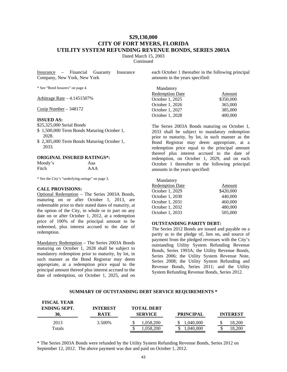# **\$29,130,000 CITY OF FORT MYERS, FLORIDA UTILITY SYSTEM REFUNDING REVENUE BONDS, SERIES 2003A**

Dated March 15, 2003

**Continued** 

Insurance – Financial Guaranty Insurance Company, New York, New York

\* See "Bond Insurers" on page 4.

Arbitrage Rate – 4.1451507%

Cusip Number – 348172

## **ISSUED AS:**

\$25,325,000 Serial Bonds

- \$ 1,500,000 Term Bonds Maturing October 1, 2028.
- \$ 2,305,000 Term Bonds Maturing October 1, 2033.

## **ORIGINAL INSURED RATINGS\*:**

| Moody's | Aaa |
|---------|-----|
| Fitch   | AAA |

\* See the City's "underlying ratings" on page 3.

## **CALL PROVISIONS:**

Optional Redemption – The Series 2003A Bonds, maturing on or after October 1, 2013, are redeemable prior to their stated dates of maturity, at the option of the City, in whole or in part on any date on or after October 1, 2012, at a redemption price of 100% of the principal amount to be redeemed, plus interest accrued to the date of redemption.

Mandatory Redemption - The Series 2003A Bonds maturing on October 1, 2028 shall be subject to mandatory redemption prior to maturity, by lot, in such manner as the Bond Registrar may deem appropriate, at a redemption price equal to the principal amount thereof plus interest accrued to the date of redemption, on October 1, 2025, and on

each October 1 thereafter in the following principal amounts in the years specified:

| Amount    |
|-----------|
|           |
| \$350,000 |
| 365,000   |
| 385,000   |
| 400,000   |
|           |

The Series 2003A Bonds maturing on October 1, 2033 shall be subject to mandatory redemption prior to maturity, by lot, in such manner as the Bond Registrar may deem appropriate, at a redemption price equal to the principal amount thereof plus interest accrued to the date of redemption, on October 1, 2029, and on each October 1 thereafter in the following principal amounts in the years specified:

| Amount    |
|-----------|
| \$420,000 |
| 440,000   |
| 460,000   |
| 480,000   |
| 505,000   |
|           |

## **OUTSTANDING PARITY DEBT:**

The Series 2012 Bonds are issued and payable on a parity as to the pledge of, lien on, and source of payment from the pledged revenues with the City's outstanding Utility System Refunding Revenue Bonds, Series 1993A; the Utility Revenue Bonds, Series 2006; the Utility System Revenue Note, Series 2008; the Utility System Refunding and Revenue Bonds, Series 2011; and the Utility System Refunding Revenue Bonds, Series 2012.

#### **SUMMARY OF OUTSTANDING DEBT SERVICE REQUIREMENTS \***

| <b>FISCAL YEAR</b><br><b>ENDING SEPT.</b><br>30. | <b>INTEREST</b><br><b>RATE</b> | <b>TOTAL DEBT</b><br><b>SERVICE</b> | <b>PRINCIPAL</b>       | <b>INTEREST</b> |
|--------------------------------------------------|--------------------------------|-------------------------------------|------------------------|-----------------|
| 2013<br>Totals                                   | 3.500\%                        | .058,200<br>.058.200                | 1,040,000<br>1.040.000 | 18.200          |

\* The Series 2003A Bonds were refunded by the Utility System Refunding Revenue Bonds, Series 2012 on September 12, 2012. The above payment was due and paid on October 1, 2012.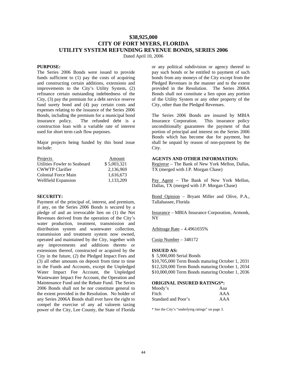# **\$38,925,000 CITY OF FORT MYERS, FLORIDA UTILITY SYSTEM REFUNDING REVENUE BONDS, SERIES 2006**

Dated April 10, 2006

## **PURPOSE:**

The Series 2006 Bonds were issued to provide funds sufficient to (1) pay the costs of acquiring and constructing certain additions, extensions and improvements to the City's Utility System, (2) refinance certain outstanding indebtedness of the City, (3) pay the premium for a debt service reserve fund surety bond and (4) pay certain costs and expenses relating to the issuance of the Series 2006 Bonds, including the premium for a municipal bond insurance policy. The refunded debt is a construction loan with a variable rate of interest used for short term cash flow purposes.

Major projects being funded by this bond issue include:

| Projects                     | Amount      |
|------------------------------|-------------|
| Utilities Fowler to Seaboard | \$5,003,321 |
| <b>CWWTP Clarifier</b>       | 2,136,969   |
| Colonial Force Main          | 1,616,673   |
| Wellfield Expansion          | 1.133.209   |

## **SECURITY:**

Payment of the principal of, interest, and premium, if any, on the Series 2006 Bonds is secured by a pledge of and an irrevocable lien on (1) the Net Revenues derived from the operation of the City's water production, treatment, transmission and distribution system and wastewater collection, transmission and treatment system now owned, operated and maintained by the City, together with any improvements and additions thereto or extensions thereof, constructed or acquired by the City in the future, (2) the Pledged Impact Fees and (3) all other amounts on deposit from time to time in the Funds and Accounts, except the Unpledged Water Impact Fee Account, the Unpledged Wastewater Impact Fee Account, the Operation and Maintenance Fund and the Rebate Fund. The Series 2006 Bonds shall not be nor constitute general to the extent provided in the Resolution. No holder of any Series 2006A Bonds shall ever have the right to compel the exercise of any ad valorem taxing power of the City, Lee County, the State of Florida

or any political subdivision or agency thereof to pay such bonds or be entitled to payment of such bonds from any moneys of the City except from the Pledged Revenues in the manner and to the extent provided in the Resolution. The Series 2006A Bonds shall not constitute a lien upon any portion of the Utility System or any other property of the City, other than the Pledged Revenues.

The Series 2006 Bonds are insured by MBIA Insurance Corporation. This insurance policy unconditionally guarantees the payment of that portion of principal and interest on the Series 2006 Bonds which has become due for payment, but shall be unpaid by reason of non-payment by the City.

## **AGENTS AND OTHER INFORMATION:**

Registrar – The Bank of New York Mellon, Dallas, TX (merged with J.P. Morgan Chase)

Pay Agent – The Bank of New York Mellon, Dallas, TX (merged with J.P. Morgan Chase)

Bond Opinion – Bryant Miller and Olive, P.A., Tallahassee, Florida

Insurance – MBIA Insurance Corporation, Armonk, NY

Arbitrage Rate – 4.4961035%

Cusip Number – 348172

## **ISSUED AS:**

\$ 5,900,000 Serial Bonds \$10,705,000 Term Bonds maturing October 1, 2031 \$12,320,000 Term Bonds maturing October 1, 2034 \$10,000,000 Term Bonds maturing October 1, 2036

## **ORIGINAL INSURED RATINGS\*:**

| Moody's             | Aaa |
|---------------------|-----|
| Fitch               | AAA |
| Standard and Poor's | AAA |

\* See the City's "underlying ratings" on page 3.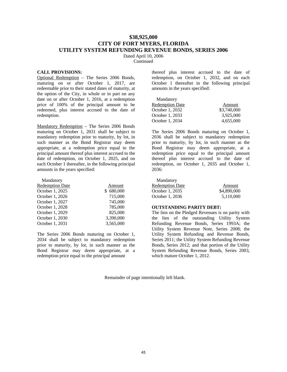# **\$38,925,000 CITY OF FORT MYERS, FLORIDA UTILITY SYSTEM REFUNDING REVENUE BONDS, SERIES 2006**

Dated April 10, 2006

Continued

#### **CALL PROVISIONS:**

Optional Redemption – The Series 2006 Bonds, maturing on or after October 1, 2017, are redeemable prior to their stated dates of maturity, at the option of the City, in whole or in part on any date on or after October 1, 2016, at a redemption price of 100% of the principal amount to be redeemed, plus interest accrued to the date of redemption.

Mandatory Redemption - The Series 2006 Bonds maturing on October 1, 2031 shall be subject to mandatory redemption prior to maturity, by lot, in such manner as the Bond Registrar may deem appropriate, at a redemption price equal to the principal amount thereof plus interest accrued to the date of redemption, on October 1, 2025, and on each October 1 thereafter, in the following principal amounts in the years specified:

| Mandatory              |               |
|------------------------|---------------|
| <b>Redemption Date</b> | Amount        |
| October 1, 2025        | 680,000<br>\$ |
| October 1, 2026        | 715,000       |
| October 1, 2027        | 745,000       |
| October 1, 2028        | 785,000       |
| October 1, 2029        | 825,000       |
| October 1, 2030        | 3,390,000     |
| October 1, 2031        | 3,565,000     |

The Series 2006 Bonds maturing on October 1, 2034 shall be subject to mandatory redemption prior to maturity, by lot, in such manner as the Bond Registrar may deem appropriate, at a redemption price equal to the principal amount

thereof plus interest accrued to the date of redemption, on October 1, 2032, and on each October 1 thereafter in the following principal amounts in the years specified:

| Mandatory              |             |
|------------------------|-------------|
| <b>Redemption Date</b> | Amount      |
| October 1, 2032        | \$3,740,000 |
| October 1, 2033        | 3.925,000   |
| October 1, 2034        | 4,655,000   |

The Series 2006 Bonds maturing on October 1, 2036 shall be subject to mandatory redemption prior to maturity, by lot, in such manner as the Bond Registrar may deem appropriate, at a redemption price equal to the principal amount thereof plus interest accrued to the date of redemption, on October 1, 2035 and October 1, 2036:

| Mandatory              |             |
|------------------------|-------------|
| <b>Redemption Date</b> | Amount      |
| October 1, 2035        | \$4,890,000 |
| October 1, 2036        | 5,110,000   |

## **OUTSTANDING PARITY DEBT:**

The lien on the Pledged Revenues is on parity with the lien of the outstanding Utility System Refunding Revenue Bonds, Series 1993A; the Utility System Revenue Note, Series 2008; the Utility System Refunding and Revenue Bonds, Series 2011; the Utility System Refunding Revenue Bonds, Series 2012; and that portion of the Utility System Refunding Revenue Bonds, Series 2003, which mature October 1, 2012.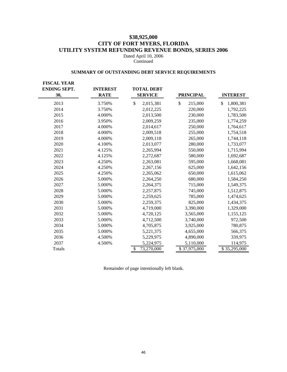# **\$38,925,000 CITY OF FORT MYERS, FLORIDA UTILITY SYSTEM REFUNDING REVENUE BONDS, SERIES 2006**

Dated April 10, 2006 Continued

## **SUMMARY OF OUTSTANDING DEBT SERVICE REQUIREMENTS**

| <b>FISCAL YEAR</b><br><b>ENDING SEPT.</b><br>30, | <b>INTEREST</b><br><b>RATE</b> | <b>TOTAL DEBT</b><br><b>SERVICE</b> | <b>PRINCIPAL</b> | <b>INTEREST</b> |
|--------------------------------------------------|--------------------------------|-------------------------------------|------------------|-----------------|
| 2013                                             | 3.750%                         | \$<br>2,015,381                     | \$<br>215,000    | \$<br>1,800,381 |
| 2014                                             | 3.750%                         | 2,012,225                           | 220,000          | 1,792,225       |
| 2015                                             | 4.000%                         | 2,013,500                           | 230,000          | 1,783,500       |
| 2016                                             | 3.950%                         | 2,009,259                           | 235,000          | 1,774,259       |
| 2017                                             | 4.000%                         | 2,014,617                           | 250,000          | 1,764,617       |
| 2018                                             | 4.000%                         | 2,009,518                           | 255,000          | 1,754,518       |
| 2019                                             | 4.000%                         | 2,009,118                           | 265,000          | 1,744,118       |
| 2020                                             | 4.100%                         | 2,013,077                           | 280,000          | 1,733,077       |
| 2021                                             | 4.125%                         | 2,265,994                           | 550,000          | 1,715,994       |
| 2022                                             | 4.125%                         | 2,272,687                           | 580,000          | 1,692,687       |
| 2023                                             | 4.250%                         | 2,263,081                           | 595,000          | 1,668,081       |
| 2024                                             | 4.250%                         | 2,267,156                           | 625,000          | 1,642,156       |
| 2025                                             | 4.250%                         | 2,265,062                           | 650,000          | 1,615,062       |
| 2026                                             | 5.000%                         | 2,264,250                           | 680,000          | 1,584,250       |
| 2027                                             | 5.000%                         | 2,264,375                           | 715,000          | 1,549,375       |
| 2028                                             | 5.000%                         | 2,257,875                           | 745,000          | 1,512,875       |
| 2029                                             | 5.000%                         | 2,259,625                           | 785,000          | 1,474,625       |
| 2030                                             | 5.000%                         | 2,259,375                           | 825,000          | 1,434,375       |
| 2031                                             | 5.000%                         | 4,719,000                           | 3,390,000        | 1,329,000       |
| 2032                                             | 5.000%                         | 4,720,125                           | 3,565,000        | 1,155,125       |
| 2033                                             | 5.000%                         | 4,712,500                           | 3,740,000        | 972,500         |
| 2034                                             | 5.000%                         | 4,705,875                           | 3,925,000        | 780,875         |
| 2035                                             | 5.000%                         | 5,221,375                           | 4,655,000        | 566,375         |
| 2036                                             | 4.500%                         | 5,229,975                           | 4,890,000        | 339,975         |
| 2037                                             | 4.500%                         | 5,224,975                           | 5,110,000        | 114,975         |
| <b>Totals</b>                                    |                                | \$<br>73,270,000                    | \$37,975,000     | \$35,295,000    |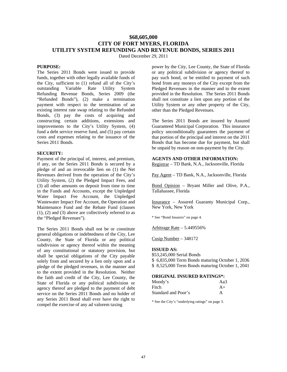# **\$68,605,000 CITY OF FORT MYERS, FLORIDA UTILITY SYSTEM REFUNDING AND REVENUE BONDS, SERIES 2011**

Dated December 29, 2011

## **PURPOSE:**

The Series 2011 Bonds were issued to provide funds, together with other legally available funds of the City, sufficient to (1) refund all of the City's outstanding Variable Rate Utility System Refunding Revenue Bonds, Series 2009 (the "Refunded Bonds"), (2) make a termination payment with respect to the termination of an existing interest rate swap relating to the Refunded Bonds, (3) pay the costs of acquiring and constructing certain additions, extensions and improvements to the City's Utility System, (4) fund a debt service reserve fund, and (5) pay certain costs and expenses relating to the issuance of the Series 2011 Bonds.

## **SECURITY:**

Payment of the principal of, interest, and premium, if any, on the Series 2011 Bonds is secured by a pledge of and an irrevocable lien on (1) the Net Revenues derived from the operation of the City's Utility System, (2) the Pledged Impact Fees, and (3) all other amounts on deposit from time to time in the Funds and Accounts, except the Unpledged Water Impact Fee Account, the Unpledged Wastewater Impact Fee Account, the Operation and Maintenance Fund and the Rebate Fund (clauses (1), (2) and (3) above are collectively referred to as the "Pledged Revenues").

The Series 2011 Bonds shall not be or constitute general obligations or indebtedness of the City, Lee County, the State of Florida or any political subdivision or agency thereof within the meaning of any constitutional or statutory provision, but shall be special obligations of the City payable solely from and secured by a lien only upon and a pledge of the pledged revenues, in the manner and to the extent provided in the Resolution. Neither the faith and credit of the City, Lee County, the State of Florida or any political subdivision or agency thereof are pledged to the payment of debt service on the Series 2011 Bonds and no holder of any Series 2011 Bond shall ever have the right to compel the exercise of any ad valorem taxing

power by the City, Lee County, the State of Florida or any political subdivision or agency thereof to pay such bond, or be entitled to payment of such bond from any moneys of the City except from the Pledged Revenues in the manner and to the extent provided in the Resolution. The Series 2011 Bonds shall not constitute a lien upon any portion of the Utility System or any other property of the City, other than the Pledged Revenues.

The Series 2011 Bonds are insured by Assured Guaranteed Municipal Corporation. This insurance policy unconditionally guarantees the payment of that portion of the principal and interest on the 2011 Bonds that has become due for payment, but shall be unpaid by reason on non-payment by the City.

## **AGENTS AND OTHER INFORMATION:**

Registrar – TD Bank, N.A., Jacksonville, Florida

Pay Agent – TD Bank, N.A., Jacksonville, Florida

Bond Opinion – Bryant Miller and Olive, P.A., Tallahassee, Florida

Insurance – Assured Guaranty Municipal Corp., New York, New York

\* See "Bond Insurers" on page 4.

Arbitrage Rate – 5.449556%

Cusip Number – 348172

#### **ISSUED AS:**

\$53,245,000 Serial Bonds \$ 6,835,000 Term Bonds maturing October 1, 2036 \$ 8,525,000 Term Bonds maturing October 1, 2041

#### **ORIGINAL INSURED RATINGS\*:**

| Moody's             | Aa3  |
|---------------------|------|
| Fitch               | $A+$ |
| Standard and Poor's | А    |

\* See the City's "underlying ratings" on page 3.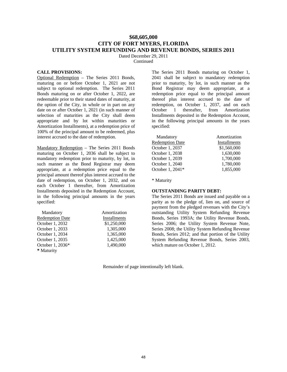# **\$68,605,000 CITY OF FORT MYERS, FLORIDA UTILITY SYSTEM REFUNDING AND REVENUE BONDS, SERIES 2011**

Dated December 29, 2011

**Continued** 

## **CALL PROVISIONS:**

Optional Redemption – The Series 2011 Bonds, maturing on or before October 1, 2021 are not subject to optional redemption. The Series 2011 Bonds maturing on or after October 1, 2022, are redeemable prior to their stated dates of maturity, at the option of the City, in whole or in part on any date on or after October 1, 2021 (in such manner of selection of maturities as the City shall deem appropriate and by lot within maturities or Amortization Installments), at a redemption price of 100% of the principal amount to be redeemed, plus interest accrued to the date of redemption.

Mandatory Redemption – The Series 2011 Bonds maturing on October 1, 2036 shall be subject to mandatory redemption prior to maturity, by lot, in such manner as the Bond Registrar may deem appropriate, at a redemption price equal to the principal amount thereof plus interest accrued to the date of redemption, on October 1, 2032, and on each October 1 thereafter, from Amortization Installments deposited in the Redemption Account, in the following principal amounts in the years specified:

 Mandatory Amortization Redemption Date Installments October 1, 2032 \$1,250,000 October 1, 2033 1,305,000 October 1, 2034 1,365,000 October 1, 2035 1,425,000 October 1, 2036\* 1,490,000 **\*** Maturity

The Series 2011 Bonds maturing on October 1, 2041 shall be subject to mandatory redemption prior to maturity, by lot, in such manner as the Bond Registrar may deem appropriate, at a redemption price equal to the principal amount thereof plus interest accrued to the date of redemption, on October 1, 2037, and on each October 1 thereafter, from Amortization Installments deposited in the Redemption Account, in the following principal amounts in the years specified:

| Mandatory              | Amortization |
|------------------------|--------------|
| <b>Redemption Date</b> | Installments |
| October 1, 2037        | \$1,560,000  |
| October 1, 2038        | 1.630.000    |
| October 1, 2039        | 1,700,000    |
| October 1, 2040        | 1,780,000    |
| October 1, 2041*       | 1,855,000    |

\* Maturity

## **OUTSTANDING PARITY DEBT:**

The Series 2011 Bonds are issued and payable on a parity as to the pledge of, lien on, and source of payment from the pledged revenues with the City's outstanding Utility System Refunding Revenue Bonds, Series 1993A; the Utility Revenue Bonds, Series 2006; the Utility System Revenue Note, Series 2008; the Utility System Refunding Revenue Bonds, Series 2012; and that portion of the Utility System Refunding Revenue Bonds, Series 2003, which mature on October 1, 2012.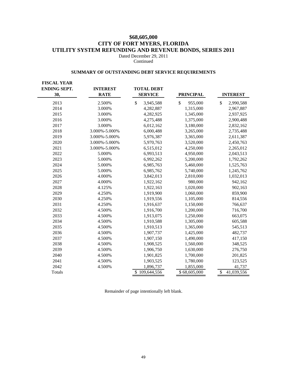# **\$68,605,000 CITY OF FORT MYERS, FLORIDA UTILITY SYSTEM REFUNDING AND REVENUE BONDS, SERIES 2011**

Dated December 29, 2011 Continued

## **SUMMARY OF OUTSTANDING DEBT SERVICE REQUIREMENTS**

| <b>FISCAL YEAR</b><br><b>ENDING SEPT.</b><br>30, | <b>INTEREST</b><br><b>RATE</b> | <b>TOTAL DEBT</b><br><b>SERVICE</b>    | <b>PRINCIPAL</b> | <b>INTEREST</b>  |
|--------------------------------------------------|--------------------------------|----------------------------------------|------------------|------------------|
| 2013                                             | 2.500%                         | $\boldsymbol{\mathsf{S}}$<br>3,945,588 | \$<br>955,000    | \$<br>2,990,588  |
| 2014                                             | 3.000%                         | 4,282,887                              | 1,315,000        | 2,967,887        |
| 2015                                             | 3.000%                         | 4,282,925                              | 1,345,000        | 2,937,925        |
| 2016                                             | 3.000%                         | 4,275,488                              | 1,375,000        | 2,900,488        |
| 2017                                             | 3.000%                         | 6,012,162                              | 3,180,000        | 2,832,162        |
| 2018                                             | 3.000%-5.000%                  | 6,000,488                              | 3,265,000        | 2,735,488        |
| 2019                                             | 3.000%-5.000%                  | 5,976,387                              | 3,365,000        | 2,611,387        |
| 2020                                             | 3.000%-5.000%                  | 5,970,763                              | 3,520,000        | 2,450,763        |
| 2021                                             | 3.000%-5.000%                  | 6,515,012                              | 4,250,000        | 2,265,012        |
| 2022                                             | 5.000%                         | 6,993,513                              | 4,950,000        | 2,043,513        |
| 2023                                             | 5.000%                         | 6,992,262                              | 5,200,000        | 1,792,262        |
| 2024                                             | 5.000%                         | 6,985,763                              | 5,460,000        | 1,525,763        |
| 2025                                             | 5.000%                         | 6,985,762                              | 5,740,000        | 1,245,762        |
| 2026                                             | 4.000%                         | 3,842,013                              | 2,810,000        | 1,032,013        |
| 2027                                             | 4.000%                         | 1,922,162                              | 980,000          | 942,162          |
| 2028                                             | 4.125%                         | 1,922,163                              | 1,020,000        | 902,163          |
| 2029                                             | 4.250%                         | 1,919,900                              | 1,060,000        | 859,900          |
| 2030                                             | 4.250%                         | 1,919,556                              | 1,105,000        | 814,556          |
| 2031                                             | 4.250%                         | 1,916,637                              | 1,150,000        | 766,637          |
| 2032                                             | 4.500%                         | 1,916,700                              | 1,200,000        | 716,700          |
| 2033                                             | 4.500%                         | 1,913,075                              | 1,250,000        | 663,075          |
| 2034                                             | 4.500%                         | 1,910,588                              | 1,305,000        | 605,588          |
| 2035                                             | 4.500%                         | 1,910,513                              | 1,365,000        | 545,513          |
| 2036                                             | 4.500%                         | 1,907,737                              | 1,425,000        | 482,737          |
| 2037                                             | 4.500%                         | 1,907,150                              | 1,490,000        | 417,150          |
| 2038                                             | 4.500%                         | 1,908,525                              | 1,560,000        | 348,525          |
| 2039                                             | 4.500%                         | 1,906,750                              | 1,630,000        | 276,750          |
| 2040                                             | 4.500%                         | 1,901,825                              | 1,700,000        | 201,825          |
| 2041                                             | 4.500%                         | 1,903,525                              | 1,780,000        | 123,525          |
| 2042                                             | 4.500%                         | 1,896,737                              | 1,855,000        | 41,737           |
| Totals                                           |                                | \$109,644,556                          | \$68,605,000     | 41,039,556<br>\$ |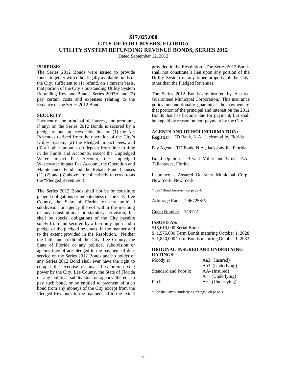# **\$17,025,000 CITY OF FORT MYERS, FLORIDA UTILITY SYSTEM REFUNDING REVENUE BONDS, SERIES 2012**

Dated September 12, 2012

## **PURPOSE:**

The Series 2012 Bonds were issued to provide funds, together with other legally available funds of the City, sufficient to (1) refund, on a current basis, that portion of the City's outstanding Utility System Refunding Revenue Bonds, Series 2003A and (2) pay certain costs and expenses relating to the issuance of the Series 2012 Bonds.

#### **SECURITY:**

Payment of the principal of, interest, and premium, if any, on the Series 2012 Bonds is secured by a pledge of and an irrevocable lien on (1) the Net Revenues derived from the operation of the City's Utility System, (2) the Pledged Impact Fees, and (3) all other amounts on deposit from time to time in the Funds and Accounts, except the Unpledged Water Impact Fee Account, the Unpledged Wastewater Impact Fee Account, the Operation and Maintenance Fund and the Rebate Fund (clauses (1), (2) and (3) above are collectively referred to as the "Pledged Revenues").

The Series 2012 Bonds shall not be or constitute general obligations or indebtedness of the City, Lee County, the State of Florida or any political subdivision or agency thereof within the meaning of any constitutional or statutory provision, but shall be special obligations of the City payable solely from and secured by a lien only upon and a pledge of the pledged revenues, in the manner and to the extent provided in the Resolution. Neither the faith and credit of the City, Lee County, the State of Florida or any political subdivision or agency thereof are pledged to the payment of debt service on the Series 2012 Bonds and no holder of any Series 2012 Bond shall ever have the right to compel the exercise of any ad valorem taxing power by the City, Lee County, the State of Florida or any political subdivision or agency thereof to pay such bond, or be entitled to payment of such bond from any moneys of the City except from the Pledged Revenues in the manner and to the extent

provided in the Resolution. The Series 2012 Bonds shall not constitute a lien upon any portion of the Utility System or any other property of the City, other than the Pledged Revenues.

The Series 2012 Bonds are insured by Assured Guaranteed Municipal Corporation. This insurance policy unconditionally guarantees the payment of that portion of the principal and interest on the 2012 Bonds that has become due for payment, but shall be unpaid by reason on non-payment by the City.

#### **AGENTS AND OTHER INFORMATION:**

Registrar – TD Bank, N.A., Jacksonville, Florida

Pay Agent – TD Bank, N.A., Jacksonville, Florida

Bond Opinion – Bryant Miller and Olive, P.A., Tallahassee, Florida

Insurance – Assured Guaranty Municipal Corp., New York, New York

\* See "Bond Insurers" on page 4.

Arbitrage Rate – 2.467258%

Cusip Number – 348172

## **ISSUED AS:**

\$13,610,000 Serial Bonds \$ 1,575,000 Term Bonds maturing October 1, 2028 \$ 1,840,000 Term Bonds maturing October 1, 2033

#### **ORIGINAL INSURED AND UNDERLYING RATINGS:**

| Moody's:             | Aa3 (Insured)     |
|----------------------|-------------------|
|                      | Aa3 (Underlying)  |
| Standard and Poor's: | AA- (Insured)     |
|                      | (Underlying)<br>A |
| Fitch:               | $A+$ (Underlying) |

\* See the City's "underlying ratings" on page 3.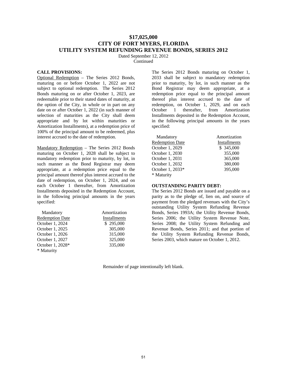# **\$17,025,000 CITY OF FORT MYERS, FLORIDA UTILITY SYSTEM REFUNDING REVENUE BONDS, SERIES 2012**

Dated September 12, 2012

Continued

#### **CALL PROVISIONS:**

Optional Redemption – The Series 2012 Bonds, maturing on or before October 1, 2022 are not subject to optional redemption. The Series 2012 Bonds maturing on or after October 1, 2023, are redeemable prior to their stated dates of maturity, at the option of the City, in whole or in part on any date on or after October 1, 2022 (in such manner of selection of maturities as the City shall deem appropriate and by lot within maturities or Amortization Installments), at a redemption price of 100% of the principal amount to be redeemed, plus interest accrued to the date of redemption.

Mandatory Redemption – The Series 2012 Bonds maturing on October 1, 2028 shall be subject to mandatory redemption prior to maturity, by lot, in such manner as the Bond Registrar may deem appropriate, at a redemption price equal to the principal amount thereof plus interest accrued to the date of redemption, on October 1, 2024, and on each October 1 thereafter, from Amortization Installments deposited in the Redemption Account, in the following principal amounts in the years specified:

| Mandatory              | Amortization |
|------------------------|--------------|
| <b>Redemption Date</b> | Installments |
| October 1, 2024        | \$295,000    |
| October 1, 2025        | 305,000      |
| October 1, 2026        | 315,000      |
| October 1, 2027        | 325,000      |
| October 1, 2028*       | 335,000      |
| * Maturity             |              |

The Series 2012 Bonds maturing on October 1, 2033 shall be subject to mandatory redemption prior to maturity, by lot, in such manner as the Bond Registrar may deem appropriate, at a redemption price equal to the principal amount thereof plus interest accrued to the date of redemption, on October 1, 2029, and on each October 1 thereafter, from Amortization Installments deposited in the Redemption Account, in the following principal amounts in the years specified:

| Mandatory              | Amortization |
|------------------------|--------------|
| <b>Redemption Date</b> | Installments |
| October 1, 2029        | \$345,000    |
| October 1, 2030        | 355,000      |
| October 1, 2031        | 365,000      |
| October 1, 2032        | 380,000      |
| October 1, 2033*       | 395,000      |
| * Maturity             |              |

## **OUTSTANDING PARITY DEBT:**

The Series 2012 Bonds are issued and payable on a parity as to the pledge of, lien on, and source of payment from the pledged revenues with the City's outstanding Utility System Refunding Revenue Bonds, Series 1993A; the Utility Revenue Bonds, Series 2006; the Utility System Revenue Note, Series 2008; the Utility System Refunding and Revenue Bonds, Series 2011; and that portion of the Utility System Refunding Revenue Bonds, Series 2003, which mature on October 1, 2012.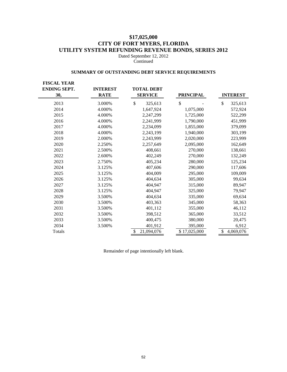# **\$17,025,000 CITY OF FORT MYERS, FLORIDA UTILITY SYSTEM REFUNDING REVENUE BONDS, SERIES 2012**

Dated September 12, 2012 Continued

# **SUMMARY OF OUTSTANDING DEBT SERVICE REQUIREMENTS**

| <b>FISCAL YEAR</b><br><b>ENDING SEPT.</b><br>30, | <b>INTEREST</b><br><b>RATE</b> | <b>TOTAL DEBT</b><br><b>SERVICE</b> | <b>PRINCIPAL</b> | <b>INTEREST</b> |
|--------------------------------------------------|--------------------------------|-------------------------------------|------------------|-----------------|
| 2013                                             | 3.000%                         | \$<br>325,613                       | \$               | \$<br>325,613   |
| 2014                                             | 4.000%                         | 1,647,924                           | 1,075,000        | 572,924         |
| 2015                                             | 4.000%                         | 2,247,299                           | 1,725,000        | 522,299         |
| 2016                                             | 4.000%                         | 2,241,999                           | 1,790,000        | 451,999         |
| 2017                                             | 4.000%                         | 2,234,099                           | 1,855,000        | 379,099         |
| 2018                                             | 4.000%                         | 2,243,199                           | 1,940,000        | 303,199         |
| 2019                                             | 2.000%                         | 2,243,999                           | 2,020,000        | 223,999         |
| 2020                                             | 2.250%                         | 2,257,649                           | 2,095,000        | 162,649         |
| 2021                                             | 2.500%                         | 408,661                             | 270,000          | 138,661         |
| 2022                                             | 2.600%                         | 402,249                             | 270,000          | 132,249         |
| 2023                                             | 2.750%                         | 405,234                             | 280,000          | 125,234         |
| 2024                                             | 3.125%                         | 407,606                             | 290,000          | 117,606         |
| 2025                                             | 3.125%                         | 404,009                             | 295,000          | 109,009         |
| 2026                                             | 3.125%                         | 404,634                             | 305,000          | 99,634          |
| 2027                                             | 3.125%                         | 404,947                             | 315,000          | 89,947          |
| 2028                                             | 3.125%                         | 404.947                             | 325,000          | 79,947          |
| 2029                                             | 3.500%                         | 404,634                             | 335,000          | 69,634          |
| 2030                                             | 3.500%                         | 403,363                             | 345,000          | 58,363          |
| 2031                                             | 3.500%                         | 401,112                             | 355,000          | 46,112          |
| 2032                                             | 3.500%                         | 398,512                             | 365,000          | 33,512          |
| 2033                                             | 3.500%                         | 400,475                             | 380,000          | 20,475          |
| 2034                                             | 3.500%                         | 401,912                             | 395,000          | 6,912           |
| Totals                                           |                                | \$<br>21,094,076                    | \$17,025,000     | \$<br>4,069,076 |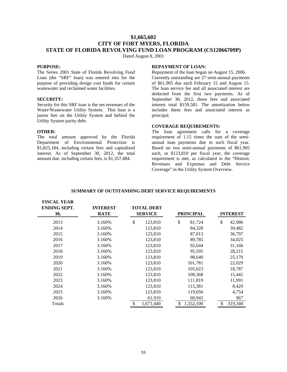# **\$1,665,602 CITY OF FORT MYERS, FLORIDA STATE OF FLORIDA REVOLVING FUND LOAN PROGRAM (CS12066709P)**

Dated August 8, 2001

## **PURPOSE:**

The Series 2001 State of Florida Revolving Fund Loan (the "SRF" loan) was entered into for the purpose of providing design cost funds for certain wastewater and reclaimed water facilities.

#### **SECURITY:**

Security for this SRF loan is the net revenues of the Water/Wastewater Utility System. This loan is a junior lien on the Utility System and behind the Utility System parity debt.

## **OTHER:**

The total amount approved by the Florida Department of Environmental Protection is \$1,825,184, including certain fees and capitalized interest. As of September 30, 2012, the total amount due, including certain fees, is \$1,357,484.

## **REPAYMENT OF LOAN:**

Repayment of the loan began on August 15, 2006. Currently outstanding are 27 semi-annual payments of \$61,905 due each February 15 and August 15. The loan service fee and all associated interest are deducted from the first two payments. As of September 30, 2012, those fees and associated interest total \$159,581. The amortization below includes these fees and associated interest as principal.

## **COVERAGE REQUIREMENTS:**

The loan agreement calls for a coverage requirement of 1.15 times the sum of the semiannual loan payments due in such fiscal year. Based on two semi-annual payments of \$61,905 each, or \$123,810 per fiscal year, the coverage requirement is met, as calculated in the "Historic Revenues and Expenses and Debt Service Coverage" in the Utility System Overview.

| <b>FISCAL YEAR</b><br><b>ENDING SEPT.</b><br>30, | <b>INTEREST</b><br><b>RATE</b> | <b>TOTAL DEBT</b><br><b>SERVICE</b> | <b>PRINCIPAL</b> | <b>INTEREST</b> |
|--------------------------------------------------|--------------------------------|-------------------------------------|------------------|-----------------|
| 2013                                             | 3.160%                         | \$<br>123,810                       | \$<br>81,724     | \$<br>42,086    |
| 2014                                             | 3.160%                         | 123,810                             | 84,328           | 39,482          |
| 2015                                             | 3.160%                         | 123,810                             | 87,013           | 36,797          |
| 2016                                             | 3.160%                         | 123,810                             | 89,785           | 34,025          |
| 2017                                             | 3.160%                         | 123,810                             | 92,644           | 31,166          |
| 2018                                             | 3.160%                         | 123,810                             | 95,595           | 28,215          |
| 2019                                             | 3.160%                         | 123,810                             | 98,640           | 25,170          |
| 2020                                             | 3.160%                         | 123,810                             | 101,781          | 22,029          |
| 2021                                             | 3.160%                         | 123,810                             | 105,023          | 18,787          |
| 2022                                             | 3.160%                         | 123,810                             | 108,368          | 15,442          |
| 2023                                             | 3.160%                         | 123,810                             | 111,819          | 11,991          |
| 2024                                             | 3.160%                         | 123,810                             | 115,381          | 8,429           |
| 2025                                             | 3.160%                         | 123,810                             | 119,056          | 4,754           |
| 2026                                             | 3.160%                         | 61,910                              | 60,943           | 967             |
| Totals                                           |                                | \$<br>1,671,440                     | 1,352,100<br>S   | \$<br>319,340   |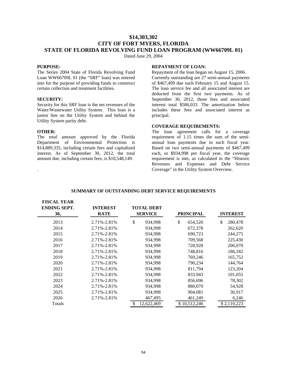# **\$14,303,302 CITY OF FORT MYERS, FLORIDA STATE OF FLORIDA REVOLVING FUND LOAN PROGRAM (WW66709L 01)**

Dated June 29, 2004

## **PURPOSE:**

The Series 2004 State of Florida Revolving Fund Loan WW66709L 01 (the "SRF" loan) was entered into for the purpose of providing funds to construct certain collection and treatment facilities.

#### **SECURITY:**

Security for this SRF loan is the net revenues of the Water/Wastewater Utility System. This loan is a junior lien on the Utility System and behind the Utility System parity debt.

## **OTHER:**

.

The total amount approved by the Florida Department of Environmental Protection is \$14,889,335, including certain fees and capitalized interest. As of September 30, 2012, the total amount due, including certain fees, is \$10,548,149.

## **REPAYMENT OF LOAN:**

Repayment of the loan began on August 15, 2006. Currently outstanding are 27 semi-annual payments of \$467,499 due each February 15 and August 15. The loan service fee and all associated interest are deducted from the first two payments. As of September 30, 2012, those fees and associated interest total \$586,033. The amortization below includes these fees and associated interest as principal.

## **COVERAGE REQUIREMENTS:**

The loan agreement calls for a coverage requirement of 1.15 times the sum of the semiannual loan payments due in such fiscal year. Based on two semi-annual payments of \$467,499 each, or \$934,998 per fiscal year, the coverage requirement is met, as calculated in the "Historic Revenues and Expenses and Debt Service Coverage" in the Utility System Overview.

| <b>FISCAL YEAR</b><br><b>ENDING SEPT.</b><br>30, | <b>INTEREST</b><br><b>RATE</b> | <b>TOTAL DEBT</b><br><b>SERVICE</b> | <b>PRINCIPAL</b> | <b>INTEREST</b> |
|--------------------------------------------------|--------------------------------|-------------------------------------|------------------|-----------------|
| 2013                                             | 2.71%-2.81%                    | \$<br>934,998                       | \$<br>654,520    | \$<br>280,478   |
| 2014                                             | 2.71%-2.81%                    | 934,998                             | 672,378          | 262,620         |
| 2015                                             | 2.71%-2.81%                    | 934,998                             | 690,723          | 244,275         |
| 2016                                             | 2.71%-2.81%                    | 934,998                             | 709,568          | 225,430         |
| 2017                                             | 2.71%-2.81%                    | 934,998                             | 728,928          | 206,070         |
| 2018                                             | 2.71%-2.81%                    | 934,998                             | 748,816          | 186,182         |
| 2019                                             | 2.71%-2.81%                    | 934,998                             | 769,246          | 165,752         |
| 2020                                             | 2.71%-2.81%                    | 934,998                             | 790,234          | 144,764         |
| 2021                                             | 2.71%-2.81%                    | 934,998                             | 811,794          | 123,204         |
| 2022                                             | 2.71%-2.81%                    | 934,998                             | 833,943          | 101,055         |
| 2023                                             | 2.71%-2.81%                    | 934,998                             | 856,696          | 78,302          |
| 2024                                             | 2.71%-2.81%                    | 934,998                             | 880,070          | 54,928          |
| 2025                                             | 2.71%-2.81%                    | 934,998                             | 904,081          | 30,917          |
| 2026                                             | 2.71%-2.81%                    | 467,495                             | 461,249          | 6,246           |
| Totals                                           |                                | \$<br>12,622,469                    | \$10,512,246     | \$2,110,223     |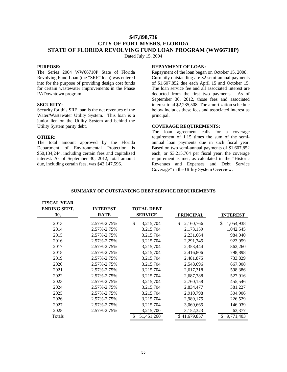# **\$47,898,736 CITY OF FORT MYERS, FLORIDA STATE OF FLORIDA REVOLVING FUND LOAN PROGRAM (WW66710P)**

Dated July 15, 2004

## **PURPOSE:**

The Series 2004 WW66710P State of Florida Revolving Fund Loan (the "SRF" loan) was entered into for the purpose of providing design cost funds for certain wastewater improvements in the Phase IV/Downtown program

## **SECURITY:**

Security for this SRF loan is the net revenues of the Water/Wastewater Utility System. This loan is a junior lien on the Utility System and behind the Utility System parity debt.

## **OTHER:**

The total amount approved by the Florida Department of Environmental Protection is \$50,134,244, including certain fees and capitalized interest. As of September 30, 2012, total amount due, including certain fees, was \$42,147,596.

## **REPAYMENT OF LOAN:**

Repayment of the loan began on October 15, 2008. Currently outstanding are 32 semi-annual payments of \$1,607,852 due each April 15 and October 15. The loan service fee and all associated interest are deducted from the first two payments. As of September 30, 2012, those fees and associated interest total \$2,235,508. The amortization schedule below includes these fees and associated interest as principal.

## **COVERAGE REQUIREMENTS:**

The loan agreement calls for a coverage requirement of 1.15 times the sum of the semiannual loan payments due in such fiscal year. Based on two semi-annual payments of \$1,607,852 each, or \$3,215,704 per fiscal year, the coverage requirement is met, as calculated in the "Historic Revenues and Expenses and Debt Service Coverage" in the Utility System Overview.

| <b>FISCAL YEAR</b><br><b>ENDING SEPT.</b><br>30, | <b>INTEREST</b><br><b>RATE</b> | <b>TOTAL DEBT</b><br><b>SERVICE</b> | <b>PRINCIPAL</b> | <b>INTEREST</b> |
|--------------------------------------------------|--------------------------------|-------------------------------------|------------------|-----------------|
| 2013                                             | 2.57%-2.75%                    | \$<br>3,215,704                     | \$<br>2,160,766  | \$<br>1,054,938 |
| 2014                                             | 2.57%-2.75%                    | 3,215,704                           | 2,173,159        | 1,042,545       |
| 2015                                             | 2.57%-2.75%                    | 3,215,704                           | 2,231,664        | 984,040         |
| 2016                                             | 2.57%-2.75%                    | 3,215,704                           | 2,291,745        | 923,959         |
| 2017                                             | 2.57%-2.75%                    | 3,215,704                           | 2,353,444        | 862,260         |
| 2018                                             | 2.57%-2.75%                    | 3,215,704                           | 2,416,806        | 798,898         |
| 2019                                             | 2.57%-2.75%                    | 3,215,704                           | 2,481,875        | 733,829         |
| 2020                                             | 2.57%-2.75%                    | 3,215,704                           | 2,548,696        | 667,008         |
| 2021                                             | 2.57%-2.75%                    | 3,215,704                           | 2,617,318        | 598,386         |
| 2022                                             | 2.57%-2.75%                    | 3,215,704                           | 2,687,788        | 527,916         |
| 2023                                             | 2.57%-2.75%                    | 3,215,704                           | 2,760,158        | 455,546         |
| 2024                                             | 2.57%-2.75%                    | 3,215,704                           | 2,834,477        | 381,227         |
| 2025                                             | 2.57%-2.75%                    | 3,215,704                           | 2,910,798        | 304,906         |
| 2026                                             | 2.57%-2.75%                    | 3,215,704                           | 2,989,175        | 226,529         |
| 2027                                             | 2.57%-2.75%                    | 3,215,704                           | 3,069,665        | 146,039         |
| 2028                                             | 2.57%-2.75%                    | 3,215,700                           | 3,152,323        | 63,377          |
| Totals                                           |                                | 51,451,260                          | \$41,679,857     | 9,771,403<br>\$ |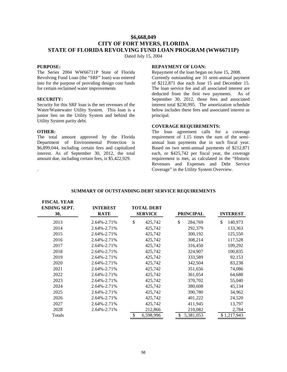# **\$6,668,049 CITY OF FORT MYERS, FLORIDA STATE OF FLORIDA REVOLVING FUND LOAN PROGRAM (WW66711P)**

Dated July 15, 2004

## **PURPOSE:**

The Series 2004 WW66711P State of Florida Revolving Fund Loan (the "SRF" loan) was entered into for the purpose of providing design cost funds for certain reclaimed water improvements

#### **SECURITY:**

Security for this SRF loan is the net revenues of the Water/Wastewater Utility System. This loan is a junior lien on the Utility System and behind the Utility System parity debt.

## **OTHER:**

.

The total amount approved by the Florida Department of Environmental Protection is \$6,899,044, including certain fees and capitalized interest. As of September 30, 2012, the total amount due, including certain fees, is \$5,422,929.

## **REPAYMENT OF LOAN:**

Repayment of the loan began on June 15, 2008. Currently outstanding are 31 semi-annual payment of \$212,871 due each June 15 and December 15. The loan service fee and all associated interest are deducted from the first two payments. As of September 30, 2012, those fees and associated interest total \$230,995. The amortization schedule below includes these fees and associated interest as principal.

## **COVERAGE REQUIREMENTS:**

The loan agreement calls for a coverage requirement of 1.15 times the sum of the semiannual loan payments due in such fiscal year. Based on two semi-annual payments of \$212,871 each, or \$425,742 per fiscal year, the coverage requirement is met, as calculated in the "Historic Revenues and Expenses and Debt Service Coverage" in the Utility System Overview.

| <b>FISCAL YEAR</b>  |                   |                   |                  |                 |
|---------------------|-------------------|-------------------|------------------|-----------------|
| <b>ENDING SEPT.</b> | <b>INTEREST</b>   | <b>TOTAL DEBT</b> |                  |                 |
| 30,                 | <b>RATE</b>       | <b>SERVICE</b>    | <b>PRINCIPAL</b> | <b>INTEREST</b> |
| 2013                | $2.64\% - 2.71\%$ | \$<br>425,742     | \$<br>284,769    | \$<br>140,973   |
| 2014                | 2.64%-2.71%       | 425,742           | 292,379          | 133,363         |
| 2015                | 2.64%-2.71%       | 425,742           | 300,192          | 125,550         |
| 2016                | 2.64%-2.71%       | 425,742           | 308,214          | 117,528         |
| 2017                | 2.64%-2.71%       | 425,742           | 316,450          | 109,292         |
| 2018                | 2.64%-2.71%       | 425,742           | 324,907          | 100,835         |
| 2019                | 2.64%-2.71%       | 425,742           | 333,589          | 92,153          |
| 2020                | 2.64%-2.71%       | 425,742           | 342,504          | 83,238          |
| 2021                | 2.64%-2.71%       | 425,742           | 351,656          | 74,086          |
| 2022                | 2.64%-2.71%       | 425,742           | 361,054          | 64,688          |
| 2023                | 2.64%-2.71%       | 425,742           | 370,702          | 55,040          |
| 2024                | 2.64%-2.71%       | 425,742           | 380,608          | 45,134          |
| 2025                | 2.64%-2.71%       | 425,742           | 390,780          | 34,962          |
| 2026                | $2.64\% - 2.71\%$ | 425,742           | 401,222          | 24,520          |
| 2027                | $2.64\% - 2.71\%$ | 425,742           | 411,945          | 13,797          |
| 2028                | 2.64%-2.71%       | 212,866           | 210,082          | 2,784           |
| Totals              |                   | 6,598,996<br>\$   | 5,381,053        | \$1,217,943     |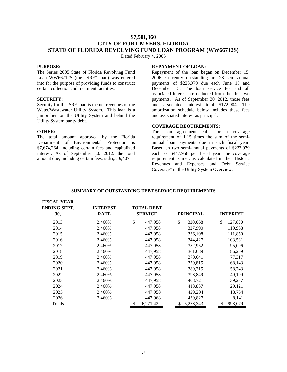# **\$7,501,360 CITY OF FORT MYERS, FLORIDA STATE OF FLORIDA REVOLVING FUND LOAN PROGRAM (WW66712S)**

Dated February 4, 2005

## **PURPOSE:**

The Series 2005 State of Florida Revolving Fund Loan WW66712S (the "SRF" loan) was entered into for the purpose of providing funds to construct certain collection and treatment facilities.

#### **SECURITY:**

Security for this SRF loan is the net revenues of the Water/Wastewater Utility System. This loan is a junior lien on the Utility System and behind the Utility System parity debt.

## **OTHER:**

**FISCAL YEAR** 

The total amount approved by the Florida Department of Environmental Protection is \$7,674,264, including certain fees and capitalized interest. As of September 30, 2012, the total amount due, including certain fees, is \$5,316,407.

## **REPAYMENT OF LOAN:**

Repayment of the loan began on December 15, 2006. Currently outstanding are 28 semi-annual payments of \$223,979 due each June 15 and December 15. The loan service fee and all associated interest are deducted from the first two payments. As of September 30, 2012, those fees and associated interest total \$172,904. The amortization schedule below includes these fees and associated interest as principal.

## **COVERAGE REQUIREMENTS:**

The loan agreement calls for a coverage requirement of 1.15 times the sum of the semiannual loan payments due in such fiscal year. Based on two semi-annual payments of \$223,979 each, or \$447,958 per fiscal year, the coverage requirement is met, as calculated in the "Historic Revenues and Expenses and Debt Service Coverage" in the Utility System Overview.

| TIJUAL TEAN<br><b>ENDING SEPT.</b><br>30, | <b>INTEREST</b><br><b>RATE</b> | <b>TOTAL DEBT</b><br><b>SERVICE</b> | <b>PRINCIPAL</b> | <b>INTEREST</b> |
|-------------------------------------------|--------------------------------|-------------------------------------|------------------|-----------------|
| 2013                                      | 2.460%                         | \$<br>447,958                       | \$<br>320,068    | \$<br>127,890   |
| 2014                                      | 2.460%                         | 447,958                             | 327,990          | 119,968         |
| 2015                                      | 2.460%                         | 447,958                             | 336,108          | 111,850         |
| 2016                                      | 2.460%                         | 447,958                             | 344,427          | 103,531         |
| 2017                                      | 2.460%                         | 447,958                             | 352,952          | 95,006          |
| 2018                                      | 2.460%                         | 447,958                             | 361,689          | 86,269          |
| 2019                                      | 2.460%                         | 447,958                             | 370,641          | 77,317          |
| 2020                                      | 2.460%                         | 447,958                             | 379,815          | 68,143          |
| 2021                                      | 2.460%                         | 447,958                             | 389,215          | 58,743          |
| 2022                                      | 2.460%                         | 447,958                             | 398,849          | 49,109          |
| 2023                                      | 2.460%                         | 447,958                             | 408,721          | 39,237          |
| 2024                                      | 2.460%                         | 447,958                             | 418,837          | 29,121          |
| 2025                                      | 2.460%                         | 447,958                             | 429,204          | 18,754          |
| 2026                                      | 2.460%                         | 447,968                             | 439,827          | 8,141           |
| Totals                                    |                                | 6,271,422<br>\$                     | 5,278,343        | 993,079<br>\$   |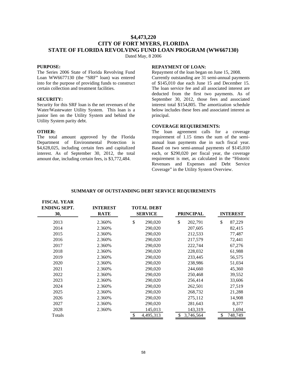### **\$4,473,220 CITY OF FORT MYERS, FLORIDA STATE OF FLORIDA REVOLVING FUND LOAN PROGRAM (WW667130)**

Dated May, 8 2006

#### **PURPOSE:**

The Series 2006 State of Florida Revolving Fund Loan WW6677130 (the "SRF" loan) was entered into for the purpose of providing funds to construct certain collection and treatment facilities.

#### **SECURITY:**

Security for this SRF loan is the net revenues of the Water/Wastewater Utility System. This loan is a junior lien on the Utility System and behind the Utility System parity debt.

#### **OTHER:**

**FISCAL VEAD** 

The total amount approved by the Florida Department of Environmental Protection is \$4,628,025, including certain fees and capitalized interest. As of September 30, 2012, the total amount due, including certain fees, is \$3,772,484.

#### **REPAYMENT OF LOAN:**

Repayment of the loan began on June 15, 2008. Currently outstanding are 31 semi-annual payments of \$145,010 due each June 15 and December 15. The loan service fee and all associated interest are deducted from the first two payments. As of September 30, 2012, those fees and associated interest total \$154,805. The amortization schedule below includes these fees and associated interest as principal.

#### **COVERAGE REQUIREMENTS:**

The loan agreement calls for a coverage requirement of 1.15 times the sum of the semiannual loan payments due in such fiscal year. Based on two semi-annual payments of \$145,010 each, or \$290,020 per fiscal year, the coverage requirement is met, as calculated in the "Historic Revenues and Expenses and Debt Service Coverage" in the Utility System Overview.

| TIJUAL LLAN<br><b>ENDING SEPT.</b><br>30, | <b>INTEREST</b><br><b>RATE</b> | <b>TOTAL DEBT</b><br><b>SERVICE</b> | <b>PRINCIPAL</b> | <b>INTEREST</b> |
|-------------------------------------------|--------------------------------|-------------------------------------|------------------|-----------------|
| 2013                                      | 2.360%                         | \$<br>290,020                       | \$<br>202,791    | \$<br>87,229    |
| 2014                                      | 2.360%                         | 290,020                             | 207,605          | 82,415          |
| 2015                                      | 2.360%                         | 290,020                             | 212,533          | 77,487          |
| 2016                                      | 2.360%                         | 290,020                             | 217,579          | 72,441          |
| 2017                                      | 2.360%                         | 290,020                             | 222,744          | 67,276          |
| 2018                                      | 2.360%                         | 290,020                             | 228,032          | 61,988          |
| 2019                                      | 2.360%                         | 290,020                             | 233,445          | 56,575          |
| 2020                                      | 2.360%                         | 290,020                             | 238,986          | 51,034          |
| 2021                                      | 2.360%                         | 290,020                             | 244,660          | 45,360          |
| 2022                                      | 2.360%                         | 290,020                             | 250,468          | 39,552          |
| 2023                                      | 2.360%                         | 290,020                             | 256,414          | 33,606          |
| 2024                                      | 2.360%                         | 290,020                             | 262,501          | 27,519          |
| 2025                                      | 2.360%                         | 290,020                             | 268,732          | 21,288          |
| 2026                                      | 2.360%                         | 290,020                             | 275,112          | 14,908          |
| 2027                                      | 2.360%                         | 290,020                             | 281,643          | 8,377           |
| 2028                                      | 2.360%                         | 145,013                             | 143,319          | 1,694           |
| Totals                                    |                                | 4,495,313<br>\$                     | 3,746,564        | 748,749<br>S    |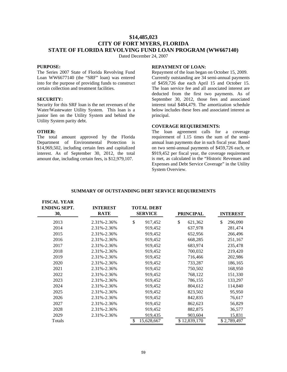### **\$14,485,023 CITY OF FORT MYERS, FLORIDA STATE OF FLORIDA REVOLVING FUND LOAN PROGRAM (WW667140)**

Dated December 24, 2007

#### **PURPOSE:**

The Series 2007 State of Florida Revolving Fund Loan WW6677140 (the "SRF" loan) was entered into for the purpose of providing funds to construct certain collection and treatment facilities.

#### **SECURITY:**

Security for this SRF loan is the net revenues of the Water/Wastewater Utility System. This loan is a junior lien on the Utility System and behind the Utility System parity debt.

#### **OTHER:**

**FISCAL YEAR** 

The total amount approved by the Florida Department of Environmental Protection is \$14,969,502, including certain fees and capitalized interest. As of September 30, 2012, the total amount due, including certain fees, is \$12,979,107.

#### **REPAYMENT OF LOAN:**

Repayment of the loan began on October 15, 2009. Currently outstanding are 34 semi-annual payments of \$459,726 due each April 15 and October 15. The loan service fee and all associated interest are deducted from the first two payments. As of September 30, 2012, those fees and associated interest total \$484,479. The amortization schedule below includes these fees and associated interest as principal.

#### **COVERAGE REQUIREMENTS:**

The loan agreement calls for a coverage requirement of 1.15 times the sum of the semiannual loan payments due in such fiscal year. Based on two semi-annual payments of \$459,726 each, or \$919,452 per fiscal year, the coverage requirement is met, as calculated in the "Historic Revenues and Expenses and Debt Service Coverage" in the Utility System Overview.

| FISUAL TEAR<br><b>ENDING SEPT.</b><br>30, | <b>INTEREST</b><br><b>RATE</b> | <b>TOTAL DEBT</b><br><b>SERVICE</b> | <b>PRINCIPAL</b> | <b>INTEREST</b> |
|-------------------------------------------|--------------------------------|-------------------------------------|------------------|-----------------|
| 2013                                      | 2.31%-2.36%                    | \$<br>917,452                       | \$.<br>621,362   | \$<br>296,090   |
| 2014                                      | 2.31%-2.36%                    | 919,452                             | 637,978          | 281,474         |
| 2015                                      | 2.31%-2.36%                    | 919,452                             | 652,956          | 266,496         |
| 2016                                      | 2.31%-2.36%                    | 919,452                             | 668,285          | 251,167         |
| 2017                                      | 2.31%-2.36%                    | 919,452                             | 683,974          | 235,478         |
| 2018                                      | 2.31%-2.36%                    | 919,452                             | 700,032          | 219,420         |
| 2019                                      | 2.31%-2.36%                    | 919,452                             | 716,466          | 202,986         |
| 2020                                      | 2.31%-2.36%                    | 919,452                             | 733,287          | 186,165         |
| 2021                                      | 2.31%-2.36%                    | 919,452                             | 750,502          | 168,950         |
| 2022                                      | 2.31%-2.36%                    | 919,452                             | 768,122          | 151,330         |
| 2023                                      | 2.31%-2.36%                    | 919,452                             | 786,155          | 133,297         |
| 2024                                      | 2.31%-2.36%                    | 919,452                             | 804,612          | 114,840         |
| 2025                                      | 2.31%-2.36%                    | 919,452                             | 823,502          | 95,950          |
| 2026                                      | 2.31%-2.36%                    | 919,452                             | 842,835          | 76,617          |
| 2027                                      | 2.31%-2.36%                    | 919,452                             | 862,623          | 56,829          |
| 2028                                      | 2.31%-2.36%                    | 919,452                             | 882,875          | 36,577          |
| 2029                                      | 2.31%-2.36%                    | 919,435                             | 903,604          | 15,831          |
| Totals                                    |                                | 15,628,667<br>\$                    | \$12,839,170     | \$2,789,497     |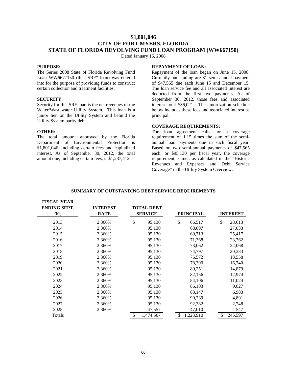### **\$1,801,046 CITY OF FORT MYERS, FLORIDA STATE OF FLORIDA REVOLVING FUND LOAN PROGRAM (WW667150)**

Dated January 16, 2008

#### **PURPOSE:**

The Series 2008 State of Florida Revolving Fund Loan WW6677150 (the "SRF" loan) was entered into for the purpose of providing funds to construct certain collection and treatment facilities.

#### **SECURITY:**

Security for this SRF loan is the net revenues of the Water/Wastewater Utility System. This loan is a junior lien on the Utility System and behind the Utility System parity debt.

#### **OTHER:**

The total amount approved by the Florida Department of Environmental Protection is \$1,801,046, including certain fees and capitalized interest. As of September 30, 2012, the total amount due, including certain fees, is \$1,237,412.

#### **REPAYMENT OF LOAN:**

Repayment of the loan began on June 15, 2008. Currently outstanding are 31 semi-annual payment of \$47,565 due each June 15 and December 15. The loan service fee and all associated interest are deducted from the first two payments. As of September 30, 2012, those fees and associated interest total \$36,021. The amortization schedule below includes these fees and associated interest as principal.

#### **COVERAGE REQUIREMENTS:**

The loan agreement calls for a coverage requirement of 1.15 times the sum of the semiannual loan payments due in such fiscal year. Based on two semi-annual payments of \$47,565 each, or \$95,130 per fiscal year, the coverage requirement is met, as calculated in the "Historic Revenues and Expenses and Debt Service Coverage" in the Utility System Overview.

| <b>FISCAL YEAR</b><br><b>ENDING SEPT.</b><br>30, | <b>INTEREST</b><br><b>RATE</b> | <b>TOTAL DEBT</b><br><b>SERVICE</b> | <b>PRINCIPAL</b> | <b>INTEREST</b> |
|--------------------------------------------------|--------------------------------|-------------------------------------|------------------|-----------------|
| 2013                                             | 2.360%                         | \$<br>95,130                        | \$<br>66,517     | \$<br>28,613    |
| 2014                                             | 2.360%                         | 95,130                              | 68,097           | 27,033          |
| 2015                                             | 2.360%                         | 95,130                              | 69,713           | 25,417          |
| 2016                                             | 2.360%                         | 95,130                              | 71,368           | 23,762          |
| 2017                                             | 2.360%                         | 95,130                              | 73,062           | 22,068          |
| 2018                                             | 2.360%                         | 95,130                              | 74,797           | 20,333          |
| 2019                                             | 2.360%                         | 95,130                              | 76,572           | 18,558          |
| 2020                                             | 2.360%                         | 95,130                              | 78,390           | 16,740          |
| 2021                                             | 2.360%                         | 95,130                              | 80,251           | 14,879          |
| 2022                                             | 2.360%                         | 95,130                              | 82,156           | 12,974          |
| 2023                                             | 2.360%                         | 95,130                              | 84,106           | 11,024          |
| 2024                                             | 2.360%                         | 95,130                              | 86,103           | 9,027           |
| 2025                                             | 2.360%                         | 95,130                              | 88,147           | 6,983           |
| 2026                                             | 2.360%                         | 95,130                              | 90,239           | 4,891           |
| 2027                                             | 2.360%                         | 95,130                              | 92,382           | 2,748           |
| 2028                                             | 2.360%                         | 47,557                              | 47,010           | 547             |
| Totals                                           |                                | \$<br>1,474,507                     | \$<br>1,228,910  | \$<br>245,597   |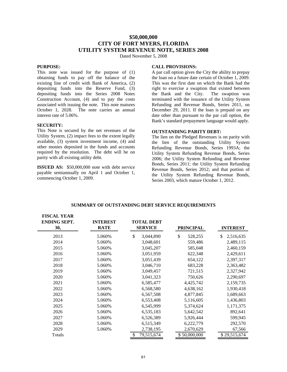### **\$50,000,000 CITY OF FORT MYERS, FLORIDA UTILITY SYSTEM REVENUE NOTE, SERIES 2008**

Dated November 5, 2008

#### **PURPOSE:**

This note was issued for the purpose of (1) obtaining funds to pay off the balance of the existing line of credit with Bank of America, (2) depositing funds into the Reserve Fund, (3) depositing funds into the Series 2008 Notes Construction Account, (4) and to pay the costs associated with issuing the note. This note matures October 1, 2028. The note carries an annual interest rate of 5.06%.

#### **SECURITY:**

This Note is secured by the net revenues of the Utility System, (2) impact fees to the extent legally available, (3) system investment income, (4) and other monies deposited in the funds and accounts required by the resolution. The debt will be on parity with all existing utility debt.

**ISSUED AS:** \$50,000,000 note with debt service payable semiannually on April 1 and October 1, commencing October 1, 2009.

#### **CALL PROVISIONS:**

A par call option gives the City the ability to prepay the loan on a future date certain of October 1, 2009. This was the first date on which the Bank had the right to exercise a swaption that existed between the Bank and the City. The swaption was terminated with the issuance of the Utility System Refunding and Revenue Bonds, Series 2011, on December 29, 2011. If the loan is prepaid on any date other than pursuant to the par call option, the Bank's standard prepayment language would apply.

#### **OUTSTANDING PARITY DEBT:**

The lien on the Pledged Revenues is on parity with the lien of the outstanding Utility System Refunding Revenue Bonds, Series 1993A; the Utility System Refunding Revenue Bonds, Series 2006; the Utility System Refunding and Revenue Bonds, Series 2011; the Utility System Refunding Revenue Bonds, Series 2012; and that portion of the Utility System Refunding Revenue Bonds, Series 2003, which mature October 1, 2012.

| <b>FISCAL YEAR</b><br><b>ENDING SEPT.</b><br>30, | <b>INTEREST</b><br><b>RATE</b> | <b>TOTAL DEBT</b><br><b>SERVICE</b> | <b>PRINCIPAL</b> | <b>INTEREST</b> |
|--------------------------------------------------|--------------------------------|-------------------------------------|------------------|-----------------|
| 2013                                             | 5.060%                         | \$<br>3,044,890                     | \$<br>528,255    | 2,516,635<br>\$ |
| 2014                                             | 5.060%                         | 3,048,601                           | 559,486          | 2,489,115       |
| 2015                                             | 5.060%                         | 3,045,207                           | 585,048          | 2,460,159       |
| 2016                                             | 5.060%                         | 3,051,959                           | 622,348          | 2,429,611       |
| 2017                                             | 5.060%                         | 3,051,439                           | 654,122          | 2,397,317       |
| 2018                                             | 5.060%                         | 3,046,710                           | 683,228          | 2,363,482       |
| 2019                                             | 5.060%                         | 3,049,457                           | 721,515          | 2,327,942       |
| 2020                                             | 5.060%                         | 3,041,323                           | 750,626          | 2,290,697       |
| 2021                                             | 5.060%                         | 6,585,477                           | 4,425,742        | 2,159,735       |
| 2022                                             | 5.060%                         | 6,568,580                           | 4,638,162        | 1,930,418       |
| 2023                                             | 5.060%                         | 6,567,508                           | 4,877,845        | 1,689,663       |
| 2024                                             | 5.060%                         | 6,553,408                           | 5,116,605        | 1,436,803       |
| 2025                                             | 5.060%                         | 6,545,999                           | 5,374,624        | 1,171,375       |
| 2026                                             | 5.060%                         | 6,535,183                           | 5,642,542        | 892,641         |
| 2027                                             | 5.060%                         | 6,526,389                           | 5,926,444        | 599,945         |
| 2028                                             | 5.060%                         | 6,515,349                           | 6,222,779        | 292,570         |
| 2029                                             | 5.060%                         | 2,738,195                           | 2,670,629        | 67,566          |
| Totals                                           |                                | \$<br>79,515,674                    | \$50,000,000     | \$29,515,674    |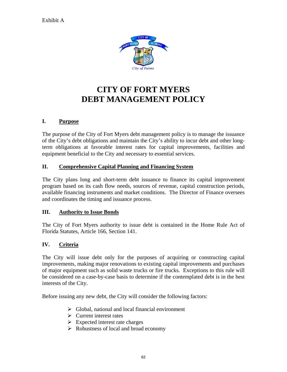

# **CITY OF FORT MYERS DEBT MANAGEMENT POLICY**

# **I. Purpose**

The purpose of the City of Fort Myers debt management policy is to manage the issuance of the City's debt obligations and maintain the City's ability to incur debt and other longterm obligations at favorable interest rates for capital improvements, facilities and equipment beneficial to the City and necessary to essential services.

# **II. Comprehensive Capital Planning and Financing System**

The City plans long and short-term debt issuance to finance its capital improvement program based on its cash flow needs, sources of revenue, capital construction periods, available financing instruments and market conditions. The Director of Finance oversees and coordinates the timing and issuance process.

# **III. Authority to Issue Bonds**

The City of Fort Myers authority to issue debt is contained in the Home Rule Act of Florida Statutes, Article 166, Section 141.

# **IV. Criteria**

The City will issue debt only for the purposes of acquiring or constructing capital improvements, making major renovations to existing capital improvements and purchases of major equipment such as solid waste trucks or fire trucks. Exceptions to this rule will be considered on a case-by-case basis to determine if the contemplated debt is in the best interests of the City.

Before issuing any new debt, the City will consider the following factors:

- $\triangleright$  Global, national and local financial environment
- $\triangleright$  Current interest rates
- $\triangleright$  Expected interest rate charges
- $\triangleright$  Robustness of local and broad economy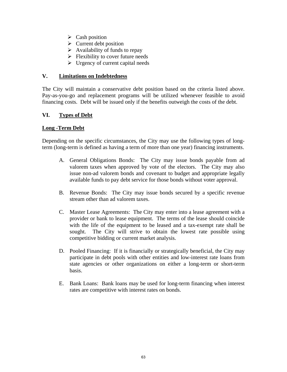- $\triangleright$  Cash position
- $\triangleright$  Current debt position
- $\triangleright$  Availability of funds to repay
- $\triangleright$  Flexibility to cover future needs
- $\triangleright$  Urgency of current capital needs

# **V. Limitations on Indebtedness**

The City will maintain a conservative debt position based on the criteria listed above. Pay-as-you-go and replacement programs will be utilized whenever feasible to avoid financing costs. Debt will be issued only if the benefits outweigh the costs of the debt.

# **VI. Types of Debt**

# **Long -Term Debt**

Depending on the specific circumstances, the City may use the following types of longterm (long-term is defined as having a term of more than one year) financing instruments.

- A. General Obligations Bonds: The City may issue bonds payable from ad valorem taxes when approved by vote of the electors. The City may also issue non-ad valorem bonds and covenant to budget and appropriate legally available funds to pay debt service for those bonds without voter approval.
- B. Revenue Bonds: The City may issue bonds secured by a specific revenue stream other than ad valorem taxes.
- C. Master Lease Agreements: The City may enter into a lease agreement with a provider or bank to lease equipment. The terms of the lease should coincide with the life of the equipment to be leased and a tax-exempt rate shall be sought. The City will strive to obtain the lowest rate possible using competitive bidding or current market analysis.
- D. Pooled Financing: If it is financially or strategically beneficial, the City may participate in debt pools with other entities and low-interest rate loans from state agencies or other organizations on either a long-term or short-term basis.
- E. Bank Loans: Bank loans may be used for long-term financing when interest rates are competitive with interest rates on bonds.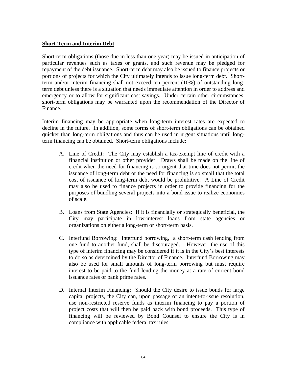### **Short-Term and Interim Debt**

Short-term obligations (those due in less than one year) may be issued in anticipation of particular revenues such as taxes or grants, and such revenue may be pledged for repayment of the debt issuance. Short-term debt may also be issued to finance projects or portions of projects for which the City ultimately intends to issue long-term debt. Shortterm and/or interim financing shall not exceed ten percent (10%) of outstanding longterm debt unless there is a situation that needs immediate attention in order to address and emergency or to allow for significant cost savings. Under certain other circumstances, short-term obligations may be warranted upon the recommendation of the Director of Finance.

Interim financing may be appropriate when long-term interest rates are expected to decline in the future. In addition, some forms of short-term obligations can be obtained quicker than long-term obligations and thus can be used in urgent situations until longterm financing can be obtained. Short-term obligations include:

- A. Line of Credit: The City may establish a tax-exempt line of credit with a financial institution or other provider. Draws shall be made on the line of credit when the need for financing is so urgent that time does not permit the issuance of long-term debt or the need for financing is so small that the total cost of issuance of long-term debt would be prohibitive. A Line of Credit may also be used to finance projects in order to provide financing for the purposes of bundling several projects into a bond issue to realize economies of scale.
- B. Loans from State Agencies: If it is financially or strategically beneficial, the City may participate in low-interest loans from state agencies or organizations on either a long-term or short-term basis.
- C. Interfund Borrowing: Interfund borrowing, a short-term cash lending from one fund to another fund, shall be discouraged. However, the use of this type of interim financing may be considered if it is in the City's best interests to do so as determined by the Director of Finance. Interfund Borrowing may also be used for small amounts of long-term borrowing but must require interest to be paid to the fund lending the money at a rate of current bond issuance rates or bank prime rates.
- D. Internal Interim Financing: Should the City desire to issue bonds for large capital projects, the City can, upon passage of an intent-to-issue resolution, use non-restricted reserve funds as interim financing to pay a portion of project costs that will then be paid back with bond proceeds. This type of financing will be reviewed by Bond Counsel to ensure the City is in compliance with applicable federal tax rules.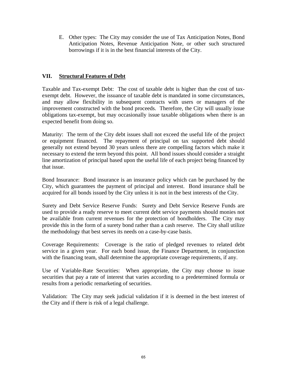E. Other types: The City may consider the use of Tax Anticipation Notes, Bond Anticipation Notes, Revenue Anticipation Note, or other such structured borrowings if it is in the best financial interests of the City.

# **VII. Structural Features of Debt**

Taxable and Tax-exempt Debt: The cost of taxable debt is higher than the cost of taxexempt debt. However, the issuance of taxable debt is mandated in some circumstances, and may allow flexibility in subsequent contracts with users or managers of the improvement constructed with the bond proceeds. Therefore, the City will usually issue obligations tax-exempt, but may occasionally issue taxable obligations when there is an expected benefit from doing so.

Maturity: The term of the City debt issues shall not exceed the useful life of the project or equipment financed. The repayment of principal on tax supported debt should generally not extend beyond 30 years unless there are compelling factors which make it necessary to extend the term beyond this point. All bond issues should consider a straight line amortization of principal based upon the useful life of each project being financed by that issue.

Bond Insurance: Bond insurance is an insurance policy which can be purchased by the City, which guarantees the payment of principal and interest. Bond insurance shall be acquired for all bonds issued by the City unless it is not in the best interests of the City.

Surety and Debt Service Reserve Funds: Surety and Debt Service Reserve Funds are used to provide a ready reserve to meet current debt service payments should monies not be available from current revenues for the protection of bondholders. The City may provide this in the form of a surety bond rather than a cash reserve. The City shall utilize the methodology that best serves its needs on a case-by-case basis.

Coverage Requirements: Coverage is the ratio of pledged revenues to related debt service in a given year. For each bond issue, the Finance Department, in conjunction with the financing team, shall determine the appropriate coverage requirements, if any.

Use of Variable-Rate Securities: When appropriate, the City may choose to issue securities that pay a rate of interest that varies according to a predetermined formula or results from a periodic remarketing of securities.

Validation: The City may seek judicial validation if it is deemed in the best interest of the City and if there is risk of a legal challenge.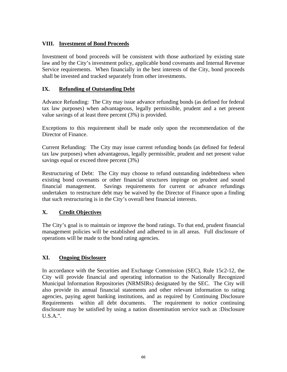# **VIII. Investment of Bond Proceeds**

Investment of bond proceeds will be consistent with those authorized by existing state law and by the City's investment policy, applicable bond covenants and Internal Revenue Service requirements. When financially in the best interests of the City, bond proceeds shall be invested and tracked separately from other investments.

# **IX. Refunding of Outstanding Debt**

Advance Refunding: The City may issue advance refunding bonds (as defined for federal tax law purposes) when advantageous, legally permissible, prudent and a net present value savings of at least three percent (3%) is provided.

Exceptions to this requirement shall be made only upon the recommendation of the Director of Finance.

Current Refunding: The City may issue current refunding bonds (as defined for federal tax law purposes) when advantageous, legally permissible, prudent and net present value savings equal or exceed three percent (3%)

Restructuring of Debt: The City may choose to refund outstanding indebtedness when existing bond covenants or other financial structures impinge on prudent and sound financial management. Savings requirements for current or advance refundings undertaken to restructure debt may be waived by the Director of Finance upon a finding that such restructuring is in the City's overall best financial interests.

# **X. Credit Objectives**

The City's goal is to maintain or improve the bond ratings. To that end, prudent financial management policies will be established and adhered to in all areas. Full disclosure of operations will be made to the bond rating agencies.

# **XI. Ongoing Disclosure**

In accordance with the Securities and Exchange Commission (SEC), Rule 15c2-12, the City will provide financial and operating information to the Nationally Recognized Municipal Information Repositories (NRMSIRs) designated by the SEC. The City will also provide its annual financial statements and other relevant information to rating agencies, paying agent banking institutions, and as required by Continuing Disclosure Requirements within all debt documents. The requirement to notice continuing disclosure may be satisfied by using a nation dissemination service such as :Disclosure U.S.A.".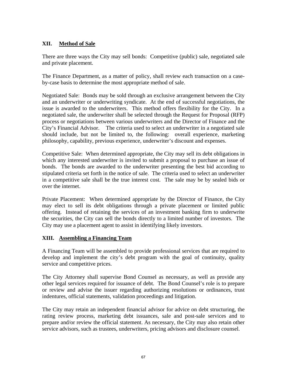# **XII. Method of Sale**

There are three ways the City may sell bonds: Competitive (public) sale, negotiated sale and private placement.

The Finance Department, as a matter of policy, shall review each transaction on a caseby-case basis to determine the most appropriate method of sale.

Negotiated Sale: Bonds may be sold through an exclusive arrangement between the City and an underwriter or underwriting syndicate. At the end of successful negotiations, the issue is awarded to the underwriters. This method offers flexibility for the City. In a negotiated sale, the underwriter shall be selected through the Request for Proposal (RFP) process or negotiations between various underwriters and the Director of Finance and the City's Financial Advisor. The criteria used to select an underwriter in a negotiated sale should include, but not be limited to, the following: overall experience, marketing philosophy, capability, previous experience, underwriter's discount and expenses.

Competitive Sale: When determined appropriate, the City may sell its debt obligations in which any interested underwriter is invited to submit a proposal to purchase an issue of bonds. The bonds are awarded to the underwriter presenting the best bid according to stipulated criteria set forth in the notice of sale. The criteria used to select an underwriter in a competitive sale shall be the true interest cost. The sale may be by sealed bids or over the internet.

Private Placement: When determined appropriate by the Director of Finance, the City may elect to sell its debt obligations through a private placement or limited public offering. Instead of retaining the services of an investment banking firm to underwrite the securities, the City can sell the bonds directly to a limited number of investors. The City may use a placement agent to assist in identifying likely investors.

# **XIII. Assembling a Financing Team**

A Financing Team will be assembled to provide professional services that are required to develop and implement the city's debt program with the goal of continuity, quality service and competitive prices.

The City Attorney shall supervise Bond Counsel as necessary, as well as provide any other legal services required for issuance of debt. The Bond Counsel's role is to prepare or review and advise the issuer regarding authorizing resolutions or ordinances, trust indentures, official statements, validation proceedings and litigation.

The City may retain an independent financial advisor for advice on debt structuring, the rating review process, marketing debt issuances, sale and post-sale services and to prepare and/or review the official statement. As necessary, the City may also retain other service advisors, such as trustees, underwriters, pricing advisors and disclosure counsel.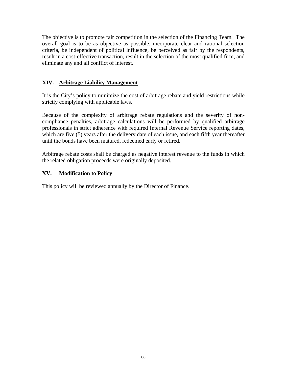The objective is to promote fair competition in the selection of the Financing Team. The overall goal is to be as objective as possible, incorporate clear and rational selection criteria, be independent of political influence, be perceived as fair by the respondents, result in a cost-effective transaction, result in the selection of the most qualified firm, and eliminate any and all conflict of interest.

# **XIV. Arbitrage Liability Management**

It is the City's policy to minimize the cost of arbitrage rebate and yield restrictions while strictly complying with applicable laws.

Because of the complexity of arbitrage rebate regulations and the severity of noncompliance penalties, arbitrage calculations will be performed by qualified arbitrage professionals in strict adherence with required Internal Revenue Service reporting dates, which are five (5) years after the delivery date of each issue, and each fifth year thereafter until the bonds have been matured, redeemed early or retired.

Arbitrage rebate costs shall be charged as negative interest revenue to the funds in which the related obligation proceeds were originally deposited.

# **XV. Modification to Policy**

This policy will be reviewed annually by the Director of Finance.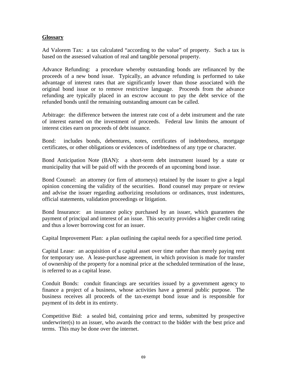### **Glossary**

Ad Valorem Tax: a tax calculated "according to the value" of property. Such a tax is based on the assessed valuation of real and tangible personal property.

Advance Refunding: a procedure whereby outstanding bonds are refinanced by the proceeds of a new bond issue. Typically, an advance refunding is performed to take advantage of interest rates that are significantly lower than those associated with the original bond issue or to remove restrictive language. Proceeds from the advance refunding are typically placed in an escrow account to pay the debt service of the refunded bonds until the remaining outstanding amount can be called.

Arbitrage: the difference between the interest rate cost of a debt instrument and the rate of interest earned on the investment of proceeds. Federal law limits the amount of interest cities earn on proceeds of debt issuance.

Bond: includes bonds, debentures, notes, certificates of indebtedness, mortgage certificates, or other obligations or evidences of indebtedness of any type or character.

Bond Anticipation Note (BAN): a short-term debt instrument issued by a state or municipality that will be paid off with the proceeds of an upcoming bond issue.

Bond Counsel: an attorney (or firm of attorneys) retained by the issuer to give a legal opinion concerning the validity of the securities. Bond counsel may prepare or review and advise the issuer regarding authorizing resolutions or ordinances, trust indentures, official statements, validation proceedings or litigation.

Bond Insurance: an insurance policy purchased by an issuer, which guarantees the payment of principal and interest of an issue. This security provides a higher credit rating and thus a lower borrowing cost for an issuer.

Capital Improvement Plan: a plan outlining the capital needs for a specified time period.

Capital Lease: an acquisition of a capital asset over time rather than merely paying rent for temporary use. A lease-purchase agreement, in which provision is made for transfer of ownership of the property for a nominal price at the scheduled termination of the lease, is referred to as a capital lease.

Conduit Bonds: conduit financings are securities issued by a government agency to finance a project of a business, whose activities have a general public purpose. The business receives all proceeds of the tax-exempt bond issue and is responsible for payment of its debt in its entirety.

Competitive Bid: a sealed bid, containing price and terms, submitted by prospective underwriter(s) to an issuer, who awards the contract to the bidder with the best price and terms. This may be done over the internet.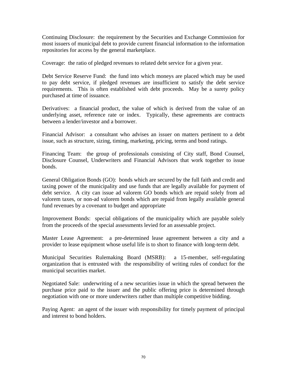Continuing Disclosure: the requirement by the Securities and Exchange Commission for most issuers of municipal debt to provide current financial information to the information repositories for access by the general marketplace.

Coverage: the ratio of pledged revenues to related debt service for a given year.

Debt Service Reserve Fund: the fund into which moneys are placed which may be used to pay debt service, if pledged revenues are insufficient to satisfy the debt service requirements. This is often established with debt proceeds. May be a surety policy purchased at time of issuance.

Derivatives: a financial product, the value of which is derived from the value of an underlying asset, reference rate or index. Typically, these agreements are contracts between a lender/investor and a borrower.

Financial Advisor: a consultant who advises an issuer on matters pertinent to a debt issue, such as structure, sizing, timing, marketing, pricing, terms and bond ratings.

Financing Team: the group of professionals consisting of City staff, Bond Counsel, Disclosure Counsel, Underwriters and Financial Advisors that work together to issue bonds.

General Obligation Bonds (GO): bonds which are secured by the full faith and credit and taxing power of the municipality and use funds that are legally available for payment of debt service. A city can issue ad valorem GO bonds which are repaid solely from ad valorem taxes, or non-ad valorem bonds which are repaid from legally available general fund revenues by a covenant to budget and appropriate

Improvement Bonds: special obligations of the municipality which are payable solely from the proceeds of the special assessments levied for an assessable project.

Master Lease Agreement: a pre-determined lease agreement between a city and a provider to lease equipment whose useful life is to short to finance with long-term debt.

Municipal Securities Rulemaking Board (MSRB): a 15-member, self-regulating organization that is entrusted with the responsibility of writing rules of conduct for the municipal securities market.

Negotiated Sale: underwriting of a new securities issue in which the spread between the purchase price paid to the issuer and the public offering price is determined through negotiation with one or more underwriters rather than multiple competitive bidding.

Paying Agent: an agent of the issuer with responsibility for timely payment of principal and interest to bond holders.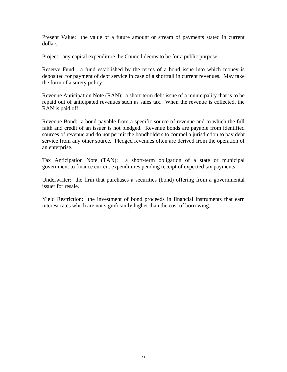Present Value: the value of a future amount or stream of payments stated in current dollars.

Project: any capital expenditure the Council deems to be for a public purpose.

Reserve Fund: a fund established by the terms of a bond issue into which money is deposited for payment of debt service in case of a shortfall in current revenues. May take the form of a surety policy.

Revenue Anticipation Note (RAN): a short-term debt issue of a municipality that is to be repaid out of anticipated revenues such as sales tax. When the revenue is collected, the RAN is paid off.

Revenue Bond: a bond payable from a specific source of revenue and to which the full faith and credit of an issuer is not pledged. Revenue bonds are payable from identified sources of revenue and do not permit the bondholders to compel a jurisdiction to pay debt service from any other source. Pledged revenues often are derived from the operation of an enterprise.

Tax Anticipation Note (TAN): a short-term obligation of a state or municipal government to finance current expenditures pending receipt of expected tax payments.

Underwriter: the firm that purchases a securities (bond) offering from a governmental issuer for resale.

Yield Restriction: the investment of bond proceeds in financial instruments that earn interest rates which are not significantly higher than the cost of borrowing.